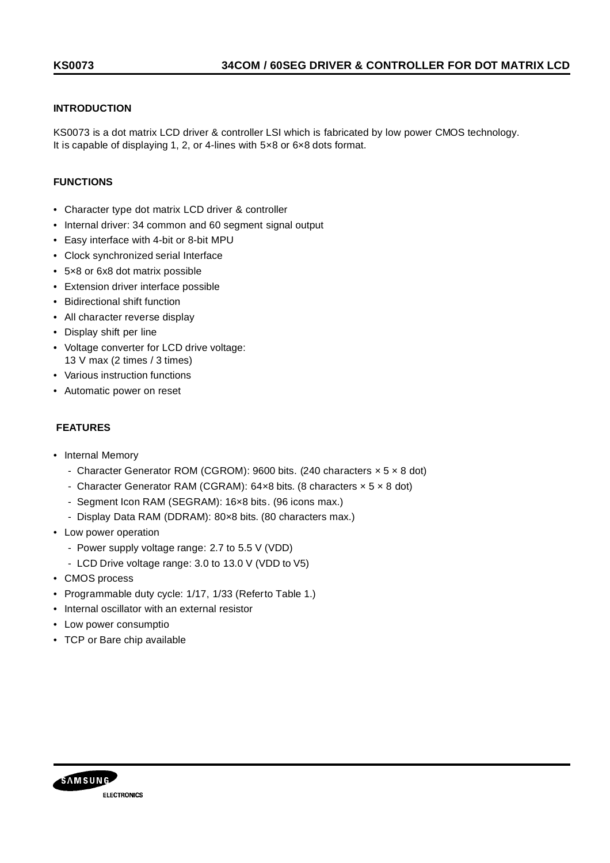## **INTRODUCTION**

KS0073 is a dot matrix LCD driver & controller LSI which is fabricated by low power CMOS technology. It is capable of displaying 1, 2, or 4-lines with 5×8 or 6×8 dots format.

# **FUNCTIONS**

- Character type dot matrix LCD driver & controller
- Internal driver: 34 common and 60 segment signal output
- Easy interface with 4-bit or 8-bit MPU
- Clock synchronized serial Interface
- 5×8 or 6x8 dot matrix possible
- Extension driver interface possible
- Bidirectional shift function
- All character reverse display
- Display shift per line
- Voltage converter for LCD drive voltage: 13 V max (2 times / 3 times)
- Various instruction functions
- Automatic power on reset

# **FEATURES**

- Internal Memory
	- Character Generator ROM (CGROM): 9600 bits. (240 characters  $\times$  5  $\times$  8 dot)
	- Character Generator RAM (CGRAM): 64×8 bits. (8 characters × 5 × 8 dot)
	- Segment Icon RAM (SEGRAM): 16×8 bits. (96 icons max.)
	- Display Data RAM (DDRAM): 80×8 bits. (80 characters max.)
- Low power operation
	- Power supply voltage range: 2.7 to 5.5 V (VDD)
	- LCD Drive voltage range: 3.0 to 13.0 V (VDD to V5)
- CMOS process
- Programmable duty cycle: 1/17, 1/33 (Referto Table 1.)
- Internal oscillator with an external resistor
- Low power consumptio
- TCP or Bare chip available

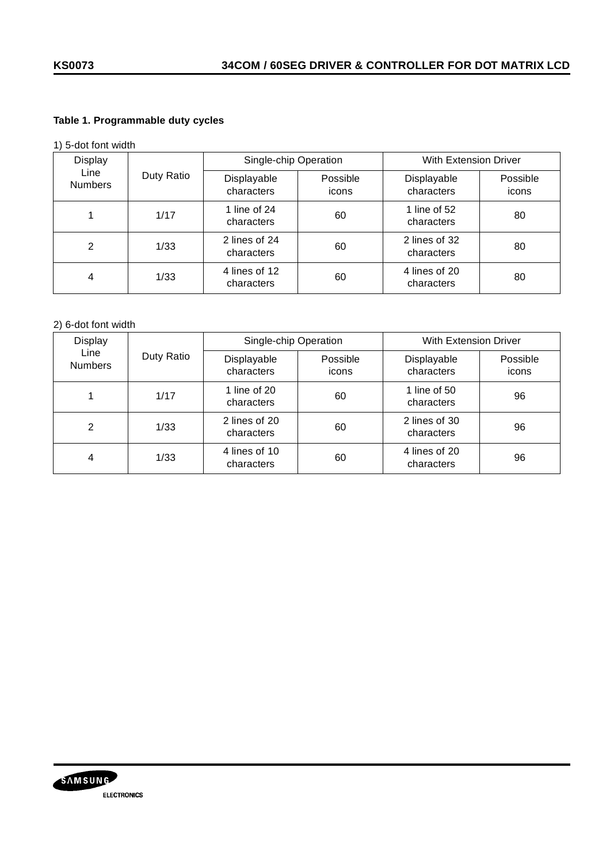# **Table 1. Programmable duty cycles**

1) 5-dot font width

| Display<br>Line<br><b>Numbers</b> |            | Single-chip Operation       |                   | <b>With Extension Driver</b> |                   |  |  |  |
|-----------------------------------|------------|-----------------------------|-------------------|------------------------------|-------------------|--|--|--|
|                                   | Duty Ratio | Displayable<br>characters   | Possible<br>icons | Displayable<br>characters    | Possible<br>icons |  |  |  |
|                                   | 1/17       | 1 line of 24<br>characters  | 60                | 1 line of 52<br>characters   | 80                |  |  |  |
| 2                                 | 1/33       | 2 lines of 24<br>characters | 60                | 2 lines of 32<br>characters  | 80                |  |  |  |
| 4                                 | 1/33       | 4 lines of 12<br>characters | 60                | 4 lines of 20<br>characters  | 80                |  |  |  |

# 2) 6-dot font width

| Display                |            | Single-chip Operation       |                   | With Extension Driver       |                   |  |  |  |
|------------------------|------------|-----------------------------|-------------------|-----------------------------|-------------------|--|--|--|
| Line<br><b>Numbers</b> | Duty Ratio | Displayable<br>characters   | Possible<br>icons | Displayable<br>characters   | Possible<br>icons |  |  |  |
|                        | 1/17       | 1 line of 20<br>characters  | 60                | 1 line of 50<br>characters  | 96                |  |  |  |
| 2                      | 1/33       | 2 lines of 20<br>characters | 60                | 2 lines of 30<br>characters | 96                |  |  |  |
| 4                      | 1/33       | 4 lines of 10<br>characters | 60                | 4 lines of 20<br>characters | 96                |  |  |  |

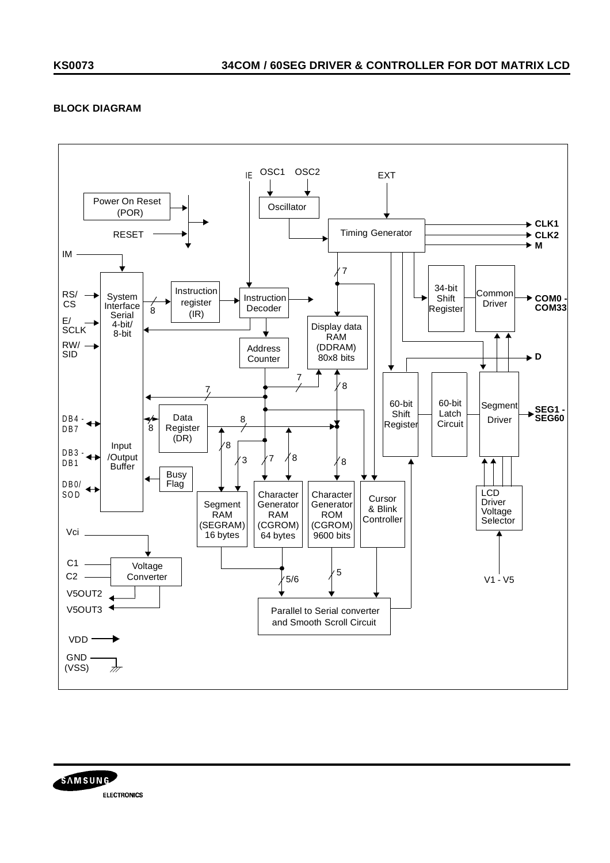# **BLOCK DIAGRAM**



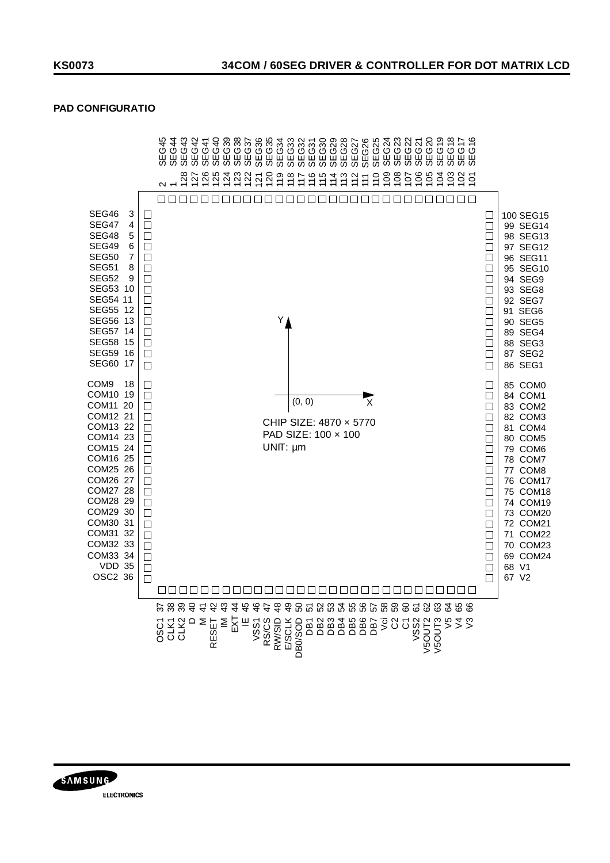## **PAD CONFIGURATIO**



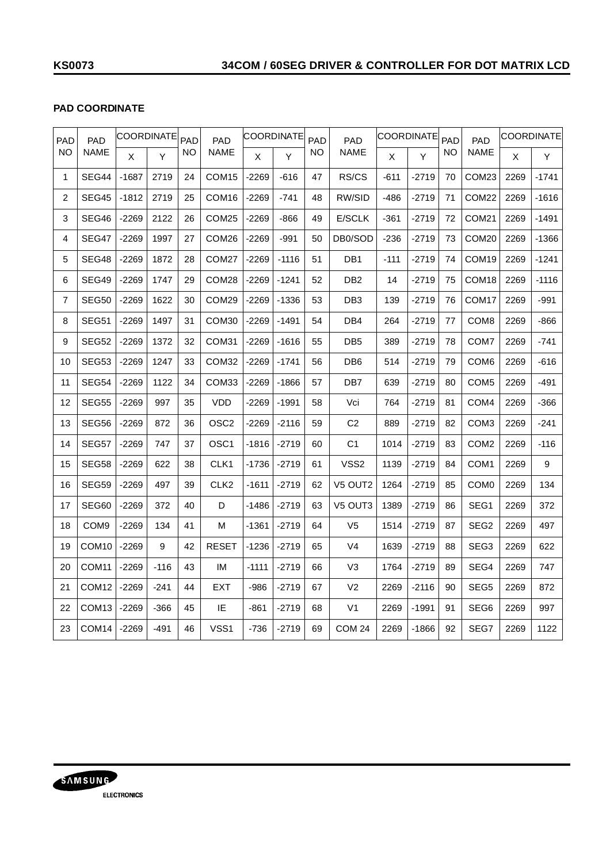# **PAD COORDINATE**

| PAD<br>PAD     | <b>COORDINATE</b> |             | PAD    | PAD       |                  | <b>COORDINATE</b> | PAD     | PAD | <b>COORDINATE</b> |                | PAD     | PAD       | <b>COORDINATE</b> |      |         |
|----------------|-------------------|-------------|--------|-----------|------------------|-------------------|---------|-----|-------------------|----------------|---------|-----------|-------------------|------|---------|
| <b>NO</b>      | <b>NAME</b>       | $\mathsf X$ | Y      | <b>NO</b> | <b>NAME</b>      | X                 | Y       | NO  | <b>NAME</b>       | $\pmb{\times}$ | Υ       | <b>NO</b> | <b>NAME</b>       | X    | Υ       |
| 1              | SEG44             | $-1687$     | 2719   | 24        | COM15            | $-2269$           | $-616$  | 47  | RS/CS             | -611           | -2719   | 70        | COM23             | 2269 | $-1741$ |
| $\overline{c}$ | SEG45             | $-1812$     | 2719   | 25        | COM16            | $-2269$           | $-741$  | 48  | RW/SID            | $-486$         | -2719   | 71        | COM22             | 2269 | $-1616$ |
| 3              | SEG46             | $-2269$     | 2122   | 26        | COM25            | -2269             | $-866$  | 49  | E/SCLK            | $-361$         | $-2719$ | 72        | COM21             | 2269 | $-1491$ |
| 4              | SEG47             | $-2269$     | 1997   | 27        | COM26            | -2269             | $-991$  | 50  | DB0/SOD           | $-236$         | $-2719$ | 73        | COM20             | 2269 | $-1366$ |
| 5              | <b>SEG48</b>      | $-2269$     | 1872   | 28        | COM27            | -2269             | $-1116$ | 51  | DB1               | $-111$         | $-2719$ | 74        | COM19             | 2269 | $-1241$ |
| 6              | SEG49             | $-2269$     | 1747   | 29        | COM28            | -2269             | $-1241$ | 52  | DB <sub>2</sub>   | 14             | $-2719$ | 75        | COM18             | 2269 | $-1116$ |
| 7              | SEG50             | $-2269$     | 1622   | 30        | COM29            | -2269             | $-1336$ | 53  | DB <sub>3</sub>   | 139            | $-2719$ | 76        | COM <sub>17</sub> | 2269 | -991    |
| 8              | <b>SEG51</b>      | $-2269$     | 1497   | 31        | COM30            | $-2269$           | $-1491$ | 54  | DB4               | 264            | $-2719$ | 77        | COM <sub>8</sub>  | 2269 | $-866$  |
| 9              | SEG52             | $-2269$     | 1372   | 32        | COM31            | -2269             | -1616   | 55  | DB <sub>5</sub>   | 389            | -2719   | 78        | COM7              | 2269 | $-741$  |
| 10             | SEG53             | $-2269$     | 1247   | 33        | COM32            | -2269             | -1741   | 56  | DB <sub>6</sub>   | 514            | -2719   | 79        | COM6              | 2269 | $-616$  |
| 11             | SEG54             | $-2269$     | 1122   | 34        | COM33            | -2269             | -1866   | 57  | DB7               | 639            | -2719   | 80        | COM <sub>5</sub>  | 2269 | $-491$  |
| 12             | SEG55             | $-2269$     | 997    | 35        | VDD              | $-2269$           | $-1991$ | 58  | Vci               | 764            | $-2719$ | 81        | COM4              | 2269 | $-366$  |
| 13             | SEG56             | $-2269$     | 872    | 36        | OSC <sub>2</sub> | $-2269$           | $-2116$ | 59  | C <sub>2</sub>    | 889            | $-2719$ | 82        | COM <sub>3</sub>  | 2269 | $-241$  |
| 14             | SEG57             | $-2269$     | 747    | 37        | OSC <sub>1</sub> | $-1816$           | $-2719$ | 60  | C <sub>1</sub>    | 1014           | $-2719$ | 83        | COM <sub>2</sub>  | 2269 | $-116$  |
| 15             | <b>SEG58</b>      | $-2269$     | 622    | 38        | CLK1             | $-1736$           | $-2719$ | 61  | VSS2              | 1139           | $-2719$ | 84        | COM1              | 2269 | 9       |
| 16             | SEG59             | $-2269$     | 497    | 39        | CLK <sub>2</sub> | $-1611$           | $-2719$ | 62  | V5 OUT2           | 1264           | $-2719$ | 85        | COM <sub>0</sub>  | 2269 | 134     |
| 17             | SEG60             | $-2269$     | 372    | 40        | D                | $-1486$           | $-2719$ | 63  | V5 OUT3           | 1389           | $-2719$ | 86        | SEG1              | 2269 | 372     |
| 18             | COM <sub>9</sub>  | $-2269$     | 134    | 41        | M                | $-1361$           | $-2719$ | 64  | V <sub>5</sub>    | 1514           | $-2719$ | 87        | SEG2              | 2269 | 497     |
| 19             | COM10             | $-2269$     | 9      | 42        | <b>RESET</b>     | $-1236$           | $-2719$ | 65  | V <sub>4</sub>    | 1639           | $-2719$ | 88        | SEG3              | 2269 | 622     |
| 20             | COM11             | $-2269$     | -116   | 43        | IM               | $-1111$           | $-2719$ | 66  | V <sub>3</sub>    | 1764           | $-2719$ | 89        | SEG4              | 2269 | 747     |
| 21             | COM12             | $-2269$     | $-241$ | 44        | <b>EXT</b>       | $-986$            | $-2719$ | 67  | V <sub>2</sub>    | 2269           | $-2116$ | 90        | SEG5              | 2269 | 872     |
| 22             | COM <sub>13</sub> | $-2269$     | $-366$ | 45        | IE               | $-861$            | $-2719$ | 68  | V <sub>1</sub>    | 2269           | $-1991$ | 91        | SEG6              | 2269 | 997     |
| 23             | COM14             | $-2269$     | $-491$ | 46        | VSS1             | $-736$            | $-2719$ | 69  | <b>COM 24</b>     | 2269           | $-1866$ | 92        | SEG7              | 2269 | 1122    |

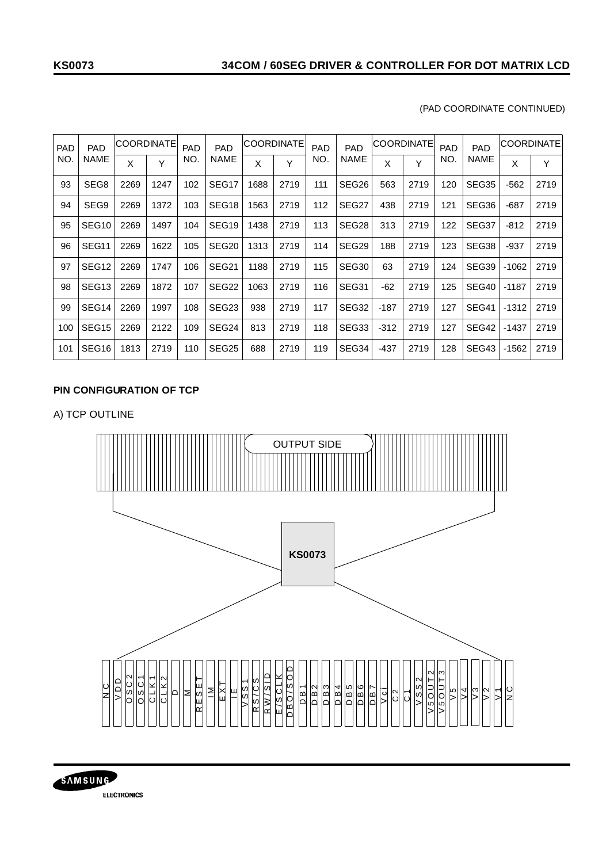| <b>PAD</b><br><b>PAD</b> |                   | <b>COORDINATE</b> |      | <b>PAD</b> | <b>PAD</b>        | COORDINATE |      | <b>PAD</b> | <b>PAD</b>  | <b>COORDINATE</b> |      | <b>PAD</b> | <b>PAD</b>  | <b>COORDINATE</b> |      |
|--------------------------|-------------------|-------------------|------|------------|-------------------|------------|------|------------|-------------|-------------------|------|------------|-------------|-------------------|------|
| <b>NO</b>                | <b>NAME</b>       | X                 | Υ    | NO.        | <b>NAME</b>       | Χ          | Y    | NO.        | <b>NAME</b> | Χ                 | Υ    | NO.        | <b>NAME</b> | X                 | Y    |
| 93                       | SEG8              | 2269              | 1247 | 102        | SEG17             | 1688       | 2719 | 111        | SEG26       | 563               | 2719 | 120        | SEG35       | $-562$            | 2719 |
| 94                       | SEG9              | 2269              | 1372 | 103        | SEG <sub>18</sub> | 1563       | 2719 | 112        | SEG27       | 438               | 2719 | 121        | SEG36       | -687              | 2719 |
| 95                       | SEG <sub>10</sub> | 2269              | 1497 | 104        | SEG19             | 1438       | 2719 | 113        | SEG28       | 313               | 2719 | 122        | SEG37       | $-812$            | 2719 |
| 96                       | SEG <sub>11</sub> | 2269              | 1622 | 105        | SEG <sub>20</sub> | 1313       | 2719 | 114        | SEG29       | 188               | 2719 | 123        | SEG38       | -937              | 2719 |
| 97                       | SEG <sub>12</sub> | 2269              | 1747 | 106        | SEG21             | 1188       | 2719 | 115        | SEG30       | 63                | 2719 | 124        | SEG39       | $-1062$           | 2719 |
| 98                       | SEG <sub>13</sub> | 2269              | 1872 | 107        | SEG22             | 1063       | 2719 | 116        | SEG31       | $-62$             | 2719 | 125        | SEG40       | $-1187$           | 2719 |
| 99                       | SEG14             | 2269              | 1997 | 108        | SEG23             | 938        | 2719 | 117        | SEG32       | $-187$            | 2719 | 127        | SEG41       | $-1312$           | 2719 |
| 100                      | SEG <sub>15</sub> | 2269              | 2122 | 109        | SEG24             | 813        | 2719 | 118        | SEG33       | $-312$            | 2719 | 127        | SEG42       | $-1437$           | 2719 |
| 101                      | SEG16             | 1813              | 2719 | 110        | SEG25             | 688        | 2719 | 119        | SEG34       | -437              | 2719 | 128        | SEG43       | $-1562$           | 2719 |

# (PAD COORDINATE CONTINUED)

# **PIN CONFIGURATION OF TCP**

# A) TCP OUTLINE



SAMSUNG **ELECTRONICS**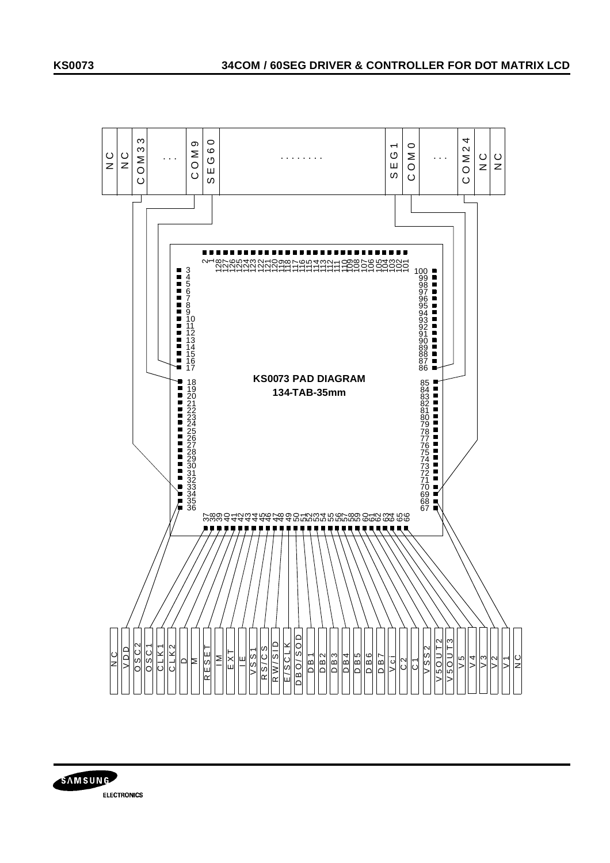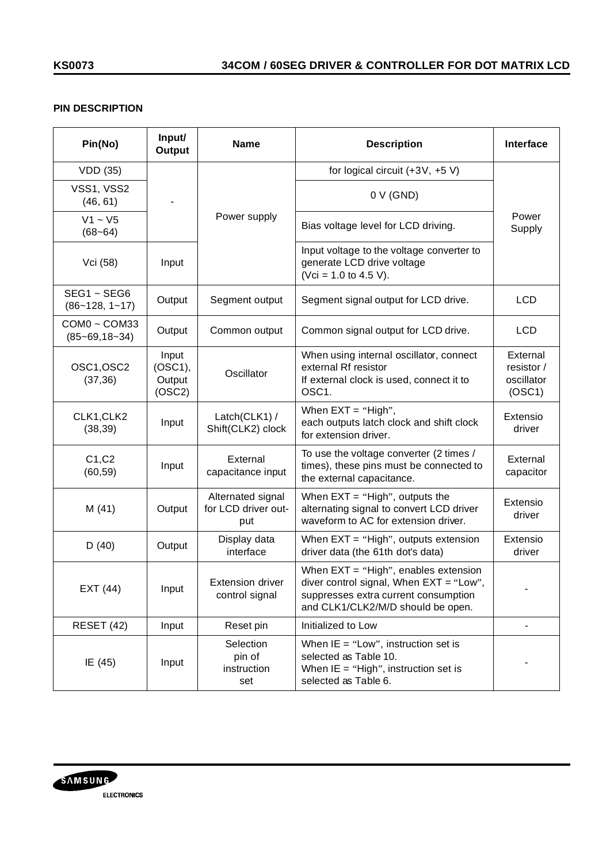# **PIN DESCRIPTION**

| Pin(No)                            | Input/<br><b>Output</b>              | <b>Name</b>                                     | <b>Description</b>                                                                                                                                             | Interface                                      |
|------------------------------------|--------------------------------------|-------------------------------------------------|----------------------------------------------------------------------------------------------------------------------------------------------------------------|------------------------------------------------|
| VDD (35)                           |                                      |                                                 | for logical circuit $(+3V, +5V)$                                                                                                                               |                                                |
| VSS1, VSS2<br>(46, 61)             |                                      |                                                 | 0 V (GND)                                                                                                                                                      |                                                |
| $V1 \sim V5$<br>$(68 - 64)$        |                                      | Power supply                                    | Bias voltage level for LCD driving.                                                                                                                            | Power<br>Supply                                |
| Vci (58)                           | Input                                |                                                 | Input voltage to the voltage converter to<br>generate LCD drive voltage<br>(Vci = 1.0 to 4.5 V).                                                               |                                                |
| SEG1~SEG6<br>$(86 - 128, 1 - 17)$  | Output                               | Segment output                                  | Segment signal output for LCD drive.                                                                                                                           | <b>LCD</b>                                     |
| COM0~COM33<br>$(85 - 69, 18 - 34)$ | Output                               | Common output                                   | Common signal output for LCD drive.                                                                                                                            | <b>LCD</b>                                     |
| OSC1, OSC2<br>(37, 36)             | Input<br>(OSC1),<br>Output<br>(OSC2) | Oscillator                                      | When using internal oscillator, connect<br>external Rf resistor<br>If external clock is used, connect it to<br>OSC1.                                           | External<br>resistor /<br>oscillator<br>(OSC1) |
| CLK1, CLK2<br>(38, 39)             | Input                                | Latch(CLK1) /<br>Shift(CLK2) clock              | When $EXT = "High",$<br>each outputs latch clock and shift clock<br>for extension driver.                                                                      | Extensio<br>driver                             |
| C1, C2<br>(60, 59)                 | Input                                | External<br>capacitance input                   | To use the voltage converter (2 times /<br>times), these pins must be connected to<br>the external capacitance.                                                | External<br>capacitor                          |
| M(41)                              | Output                               | Alternated signal<br>for LCD driver out-<br>put | When $EXT = "High",$ outputs the<br>alternating signal to convert LCD driver<br>waveform to AC for extension driver.                                           | Extensio<br>driver                             |
| D(40)                              | Output                               | Display data<br>interface                       | When $EXT = "High",$ outputs extension<br>driver data (the 61th dot's data)                                                                                    | Extensio<br>driver                             |
| EXT (44)                           | Input                                | <b>Extension driver</b><br>control signal       | When $EXT = "High",$ enables extension<br>diver control signal, When EXT = "Low",<br>suppresses extra current consumption<br>and CLK1/CLK2/M/D should be open. |                                                |
| RESET (42)                         | Input                                | Reset pin                                       | Initialized to Low                                                                                                                                             |                                                |
| IE (45)                            | Input                                | Selection<br>pin of<br>instruction<br>set       | When $IE = "Low",$ instruction set is<br>selected as Table 10.<br>When $IE = "High", instruction set is$<br>selected as Table 6.                               |                                                |

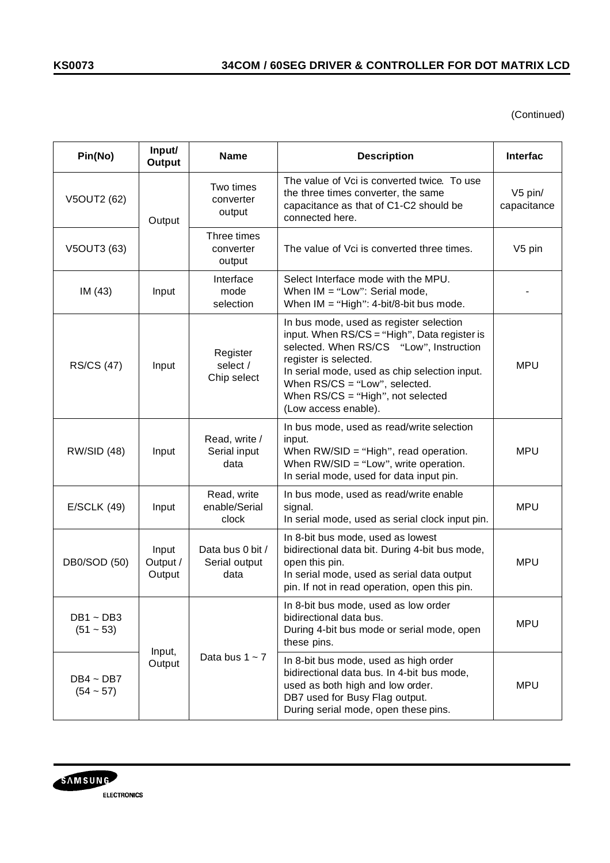(Continued)

| Pin(No)                       | Input/<br>Output            | <b>Name</b>                               | <b>Description</b>                                                                                                                                                                                                                                                                                         | <b>Interfac</b>        |
|-------------------------------|-----------------------------|-------------------------------------------|------------------------------------------------------------------------------------------------------------------------------------------------------------------------------------------------------------------------------------------------------------------------------------------------------------|------------------------|
| V5OUT2 (62)                   | Output                      | Two times<br>converter<br>output          | The value of Vci is converted twice. To use<br>the three times converter, the same<br>capacitance as that of C1-C2 should be<br>connected here.                                                                                                                                                            | V5 pin/<br>capacitance |
| V5OUT3 (63)                   |                             | Three times<br>converter<br>output        | The value of Vci is converted three times.                                                                                                                                                                                                                                                                 | V5 pin                 |
| IM $(43)$                     | Input                       | Interface<br>mode<br>selection            | Select Interface mode with the MPU.<br>When $IM = "Low":$ Serial mode,<br>When IM = "High": 4-bit/8-bit bus mode.                                                                                                                                                                                          |                        |
| <b>RS/CS (47)</b>             | Input                       | Register<br>select /<br>Chip select       | In bus mode, used as register selection<br>input. When RS/CS = "High", Data register is<br>selected. When RS/CS "Low", Instruction<br>register is selected.<br>In serial mode, used as chip selection input.<br>When RS/CS = "Low", selected.<br>When RS/CS = "High", not selected<br>(Low access enable). | <b>MPU</b>             |
| <b>RW/SID (48)</b>            | Input                       | Read, write /<br>Serial input<br>data     | In bus mode, used as read/write selection<br>input.<br>When RW/SID = "High", read operation.<br>When $RW/SID = "Low", write operation.$<br>In serial mode, used for data input pin.                                                                                                                        | <b>MPU</b>             |
| <b>E/SCLK (49)</b>            | Input                       | Read, write<br>enable/Serial<br>clock     | In bus mode, used as read/write enable<br>signal.<br>In serial mode, used as serial clock input pin.                                                                                                                                                                                                       | <b>MPU</b>             |
| <b>DB0/SOD (50)</b>           | Input<br>Output /<br>Output | Data bus 0 bit /<br>Serial output<br>data | In 8-bit bus mode, used as lowest<br>bidirectional data bit. During 4-bit bus mode,<br>open this pin.<br>In serial mode, used as serial data output<br>pin. If not in read operation, open this pin.                                                                                                       | <b>MPU</b>             |
| $DB1 - DB3$<br>$(51 - 53)$    | Input,                      |                                           | In 8-bit bus mode, used as low order<br>bidirectional data bus.<br>During 4-bit bus mode or serial mode, open<br>these pins.                                                                                                                                                                               | <b>MPU</b>             |
| $DB4 \sim DB7$<br>$(54 - 57)$ | Output                      | Data bus $1 - 7$                          | In 8-bit bus mode, used as high order<br>bidirectional data bus. In 4-bit bus mode,<br>used as both high and low order.<br>DB7 used for Busy Flag output.<br>During serial mode, open these pins.                                                                                                          | <b>MPU</b>             |

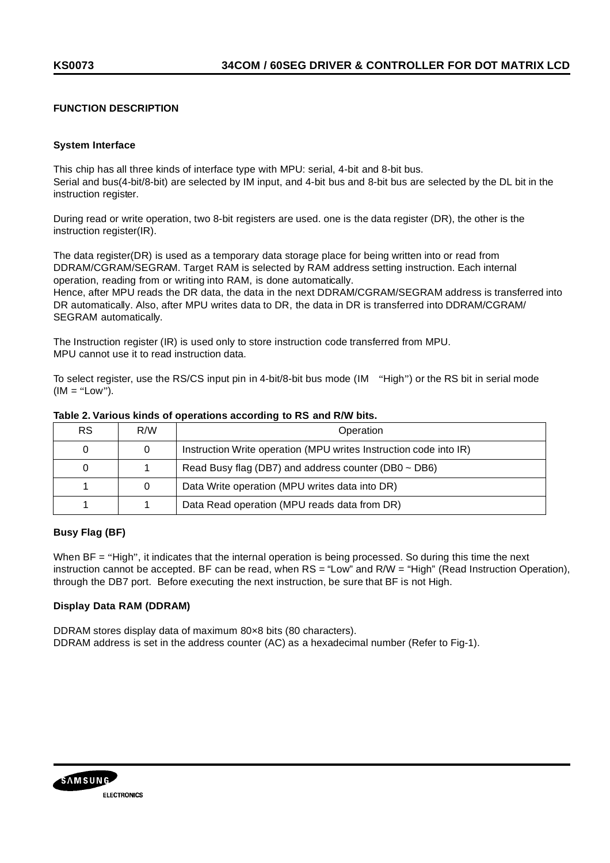## **FUNCTION DESCRIPTION**

### **System Interface**

This chip has all three kinds of interface type with MPU: serial, 4-bit and 8-bit bus. Serial and bus(4-bit/8-bit) are selected by IM input, and 4-bit bus and 8-bit bus are selected by the DL bit in the instruction register.

During read or write operation, two 8-bit registers are used. one is the data register (DR), the other is the instruction register(IR).

The data register(DR) is used as a temporary data storage place for being written into or read from DDRAM/CGRAM/SEGRAM. Target RAM is selected by RAM address setting instruction. Each internal operation, reading from or writing into RAM, is done automatically.

Hence, after MPU reads the DR data, the data in the next DDRAM/CGRAM/SEGRAM address is transferred into DR automatically. Also, after MPU writes data to DR, the data in DR is transferred into DDRAM/CGRAM/ SEGRAM automatically.

The Instruction register (IR) is used only to store instruction code transferred from MPU. MPU cannot use it to read instruction data.

To select register, use the RS/CS input pin in 4-bit/8-bit bus mode (IM "High") or the RS bit in serial mode  $(IM = "Low").$ 

| <b>RS</b> | R/W | Operation                                                         |
|-----------|-----|-------------------------------------------------------------------|
|           | 0   | Instruction Write operation (MPU writes Instruction code into IR) |
|           |     | Read Busy flag (DB7) and address counter (DB0 $\sim$ DB6)         |
|           | 0   | Data Write operation (MPU writes data into DR)                    |
|           |     | Data Read operation (MPU reads data from DR)                      |

#### **Table 2. Various kinds of operations according to RS and R/W bits.**

### **Busy Flag (BF)**

When BF = "High", it indicates that the internal operation is being processed. So during this time the next instruction cannot be accepted. BF can be read, when RS = "Low" and R/W = "High" (Read Instruction Operation), through the DB7 port. Before executing the next instruction, be sure that BF is not High.

### **Display Data RAM (DDRAM)**

DDRAM stores display data of maximum 80×8 bits (80 characters). DDRAM address is set in the address counter (AC) as a hexadecimal number (Refer to Fig-1).

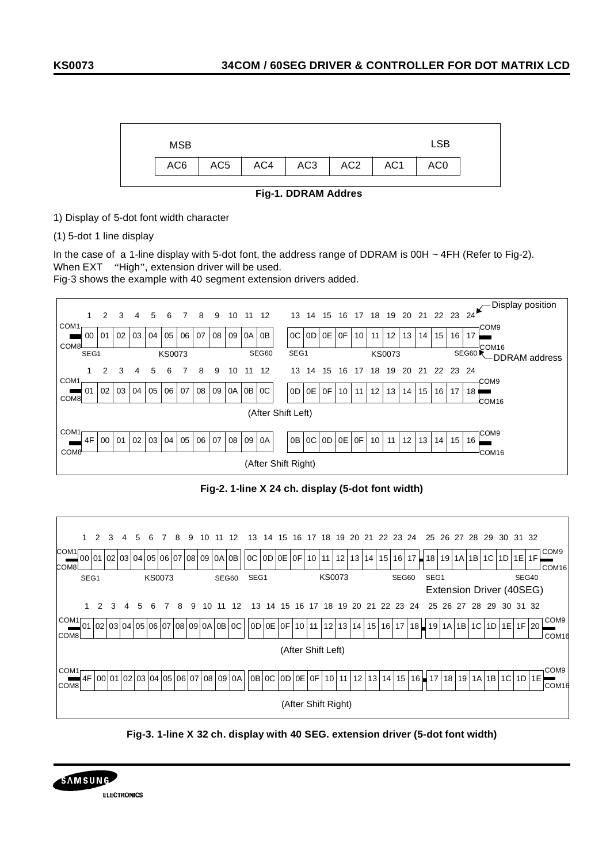

**Fig-1. DDRAM Addres**

1) Display of 5-dot font width character

(1) 5-dot 1 line display

In the case of a 1-line display with 5-dot font, the address range of DDRAM is 00H  $\sim$  4FH (Refer to Fig-2). When EXT "High", extension driver will be used.

Fig-3 shows the example with 40 segment extension drivers added.



**Fig-2. 1-line X 24 ch. display (5-dot font width)**



**Fig-3. 1-line X 32 ch. display with 40 SEG. extension driver (5-dot font width)**

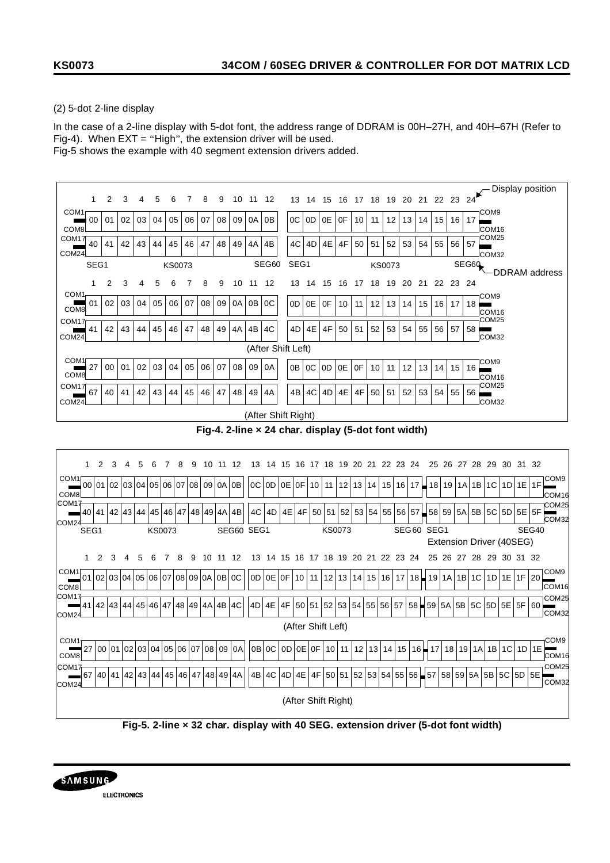# (2) 5-dot 2-line display

In the case of a 2-line display with 5-dot font, the address range of DDRAM is 00H–27H, and 40H–67H (Refer to Fig-4). When EXT = "High", the extension driver will be used. Fig-5 shows the example with 40 segment extension drivers added.

|                                       | 1                                                                          | 2  | 3     | 4               | 5             | 6      |        |                            | 9                                               | 10         | 11      | 12       | 13                                                                                | 14                 | 15 | 16              | 17              | 18       |                 |    | 19 20 21 |                 | 22 23 24  |       |                                                                     |    | <b>Display position</b>                                                                           |                                        |
|---------------------------------------|----------------------------------------------------------------------------|----|-------|-----------------|---------------|--------|--------|----------------------------|-------------------------------------------------|------------|---------|----------|-----------------------------------------------------------------------------------|--------------------|----|-----------------|-----------------|----------|-----------------|----|----------|-----------------|-----------|-------|---------------------------------------------------------------------|----|---------------------------------------------------------------------------------------------------|----------------------------------------|
| COM <sub>1</sub>                      |                                                                            |    |       |                 |               |        |        |                            |                                                 |            |         |          |                                                                                   |                    |    |                 |                 |          |                 |    |          |                 |           |       | COM9                                                                |    |                                                                                                   |                                        |
| COM <sub>8</sub>                      | 00                                                                         | 01 | 02    | 03              | 04            | 05     | 06     | 07                         | 08                                              | 09         | 0A      | 0B       | 0C                                                                                | 0D                 | 0E | 0F              | 10              | 11       | 12 <sub>1</sub> | 13 | 14       | 15              | 16        | 17    | COM <sub>16</sub><br>COM25                                          |    |                                                                                                   |                                        |
| COM17<br>COM <sub>24</sub>            | 40                                                                         | 41 | 42    | 43              | 44            | 45     | 46     | 47                         | 48                                              | 49         | 4A      | 4B       | 4C                                                                                | 4D                 | 4E | 4F              | 50              | 51       | 52              | 53 | 54       | 55              | 56        | 57    | COM32                                                               |    |                                                                                                   |                                        |
|                                       | SEG1                                                                       |    |       |                 |               | KS0073 |        |                            |                                                 |            |         | SEG60    | SEG1                                                                              |                    |    |                 |                 |          | KS0073          |    |          |                 |           | SEG60 |                                                                     |    | -DDRAM address                                                                                    |                                        |
| COM <sub>1</sub>                      | 1                                                                          | 2  | 3     | 4               | 5             | 6      | 7      | 8                          | 9                                               | 10         | 11      | -12      | 13                                                                                | 14                 | 15 | 16              |                 | 17 18 19 |                 |    | 20 21    |                 | 22 23 24  |       |                                                                     |    |                                                                                                   |                                        |
| COM <sub>8</sub>                      | 01                                                                         | 02 | 03    | 04              | 05            | 06     | 07     | 08                         | 09                                              | 0A         | 0B   0C |          | 0D                                                                                | 0E                 | 0F | 10              | 11              | 12       | 13              | 14 | 15       | 16              | 17        | 18    | COM9<br>COM16                                                       |    |                                                                                                   |                                        |
| COM17                                 | 41                                                                         | 42 | 43    | 44              | 45            | 46     | 47     | 48                         | 49                                              | 4A         | 4B      | 4C       | 4D                                                                                | 4E                 | 4F | 50              | 51              | 52       | 53              | 54 | 55       | 56              | 57        | 58    | COM25                                                               |    |                                                                                                   |                                        |
| COM24                                 |                                                                            |    |       |                 |               |        |        |                            |                                                 |            |         |          | (After Shift Left)                                                                |                    |    |                 |                 |          |                 |    |          |                 |           |       | COM32                                                               |    |                                                                                                   |                                        |
| COM <sub>1</sub>                      | 27                                                                         | 00 | 01    | 02 <sub>1</sub> | 03            | 04     | 05     | 06                         | 07                                              | 08         | 09      | 0A       | OB                                                                                | 0C                 | 0D | 0E              | 0F              | 10       | 11              | 12 | 13       | 14              | 15        | 16    | COM9                                                                |    |                                                                                                   |                                        |
| COM <sub>8</sub><br>COM17             |                                                                            |    |       |                 |               |        |        |                            |                                                 |            |         |          |                                                                                   |                    |    |                 |                 |          |                 |    |          |                 |           |       | COM <sub>16</sub><br>COM25                                          |    |                                                                                                   |                                        |
| COM <sub>24</sub>                     | 67                                                                         | 40 | 41    | 42              | 43            | 44     | 45     | 46                         | 47                                              | 48         | 49      | 4A       | 4B                                                                                | 4C                 | 4D | 4E              | 4F              | 50       | 51              | 52 | 53       | 54              | 55        | 56    | COM32                                                               |    |                                                                                                   |                                        |
|                                       | (After Shift Right)<br>Fig-4. 2-line x 24 char. display (5-dot font width) |    |       |                 |               |        |        |                            |                                                 |            |         |          |                                                                                   |                    |    |                 |                 |          |                 |    |          |                 |           |       |                                                                     |    |                                                                                                   |                                        |
|                                       |                                                                            |    |       |                 |               |        |        |                            |                                                 |            |         |          |                                                                                   |                    |    |                 |                 |          |                 |    |          |                 |           |       |                                                                     |    |                                                                                                   |                                        |
|                                       | 2<br>1                                                                     | 3  | 4     | 5               | 6             |        | 8<br>9 | 10                         | 11 12                                           |            |         |          | 13 14 15 16 17 18 19 20 21 22 23 24                                               |                    |    |                 |                 |          |                 |    |          |                 |           |       |                                                                     |    | 25 26 27 28 29 30 31 32                                                                           |                                        |
| COM <sub>1</sub>                      | 00 01                                                                      |    |       |                 |               |        |        |                            | 02   03   04   05   06   07   08   09   0A   0B |            |         | OC OD    | OE OF 10 11                                                                       |                    |    | 12 <sub>1</sub> | 13 <sub>1</sub> | 14       | 15              | 16 | 17       | 18 <sup>1</sup> | 19<br>1 A | 1B    | 1C                                                                  | 1D | $1E$ 1F                                                                                           | COM <sub>9</sub>                       |
| COM <sub>8</sub><br>COM <sub>17</sub> |                                                                            |    |       |                 |               |        |        |                            |                                                 |            |         |          |                                                                                   |                    |    |                 |                 |          |                 |    |          |                 |           |       |                                                                     |    |                                                                                                   | COM16<br>COM25                         |
| COM24                                 | 40 41                                                                      |    | 42 43 | 44              |               |        |        |                            | 45 46 47 48 49 4A 4B                            |            |         | 4C 4D    | 4E 4F 50 51 52 53 54 55 56 57                                                     |                    |    |                 |                 |          |                 |    |          |                 |           |       |                                                                     |    | _58 59 5A 5B 5C 5D 5E 5F                                                                          | COM32                                  |
|                                       | SEG1                                                                       |    |       |                 | <b>KS0073</b> |        |        |                            |                                                 | SEG60 SEG1 |         |          |                                                                                   |                    |    | KS0073          |                 |          |                 |    |          | SEG60 SEG1      |           |       |                                                                     |    | SEG40<br>Extension Driver (40SEG)                                                                 |                                        |
|                                       | 1<br>2                                                                     | 3  | 4     | 5               |               |        | 9      |                            | 10 11 12                                        |            |         |          | 13 14 15 16 17 18 19 20 21 22 23 24                                               |                    |    |                 |                 |          |                 |    |          |                 |           |       |                                                                     |    | 25 26 27 28 29 30 31 32                                                                           |                                        |
| COM1                                  | 01                                                                         |    |       |                 |               |        |        | 02 03 04 05 06 07 08 09 0A | OB OC                                           |            |         | OD OE OF |                                                                                   | 10 I<br>11         |    | 12 13 14 15     |                 |          | 16              | 17 | 18       | 19 1A 1B        |           |       | $1C$ $1D$ $1E$                                                      |    | 1F<br>20                                                                                          | COM <sub>9</sub>                       |
| COM <sub>8</sub><br>COM17             |                                                                            |    |       |                 |               |        |        |                            |                                                 |            |         |          |                                                                                   |                    |    |                 |                 |          |                 |    |          |                 |           |       | 52   53   54   55   56   57   58   59   5A   5B   5C   5D   5E   5F |    |                                                                                                   | COM <sub>16</sub><br>COM <sub>25</sub> |
| COM <sub>24</sub>                     |                                                                            |    |       |                 |               |        |        |                            | 41 42 43 44 45 46 47 48 49 48 48 48 4           |            | 4D      | 4E       | 4F                                                                                | 50 51              |    |                 |                 |          |                 |    |          |                 |           |       |                                                                     |    | 60                                                                                                | COM32                                  |
| COM1                                  |                                                                            |    |       |                 |               |        |        |                            |                                                 |            |         |          |                                                                                   | (After Shift Left) |    |                 |                 |          |                 |    |          |                 |           |       |                                                                     |    |                                                                                                   | COM9                                   |
| COM <sub>8</sub>                      |                                                                            |    |       |                 |               |        |        |                            |                                                 |            |         |          |                                                                                   |                    |    |                 |                 |          |                 |    |          |                 |           |       |                                                                     |    | 27 00 01 02 03 04 05 06 07 08 09 0A  0B 0C 0D 0E 0F 10 11 12 13 14 15 16  17 18 19 1A 1B 1C 1D 1E | COM16                                  |
| COM17                                 | 67                                                                         |    |       |                 |               |        |        |                            | 40 41 42 43 44 45 46 47 48 49 4A                |            |         |          | 4B 4C 4D 4E 4F 50 51 52 53 54 55 56 57 58 59 5A 5B 5C 5D                          |                    |    |                 |                 |          |                 |    |          |                 |           |       |                                                                     |    | 5E                                                                                                | COM25                                  |
| COM24                                 | COM32                                                                      |    |       |                 |               |        |        |                            |                                                 |            |         |          |                                                                                   |                    |    |                 |                 |          |                 |    |          |                 |           |       |                                                                     |    |                                                                                                   |                                        |
|                                       | (After Shift Right)                                                        |    |       |                 |               |        |        |                            |                                                 |            |         |          |                                                                                   |                    |    |                 |                 |          |                 |    |          |                 |           |       |                                                                     |    |                                                                                                   |                                        |
|                                       |                                                                            |    |       |                 |               |        |        |                            |                                                 |            |         |          | Fig-5. 2-line x 32 char. display with 40 SEG. extension driver (5-dot font width) |                    |    |                 |                 |          |                 |    |          |                 |           |       |                                                                     |    |                                                                                                   |                                        |

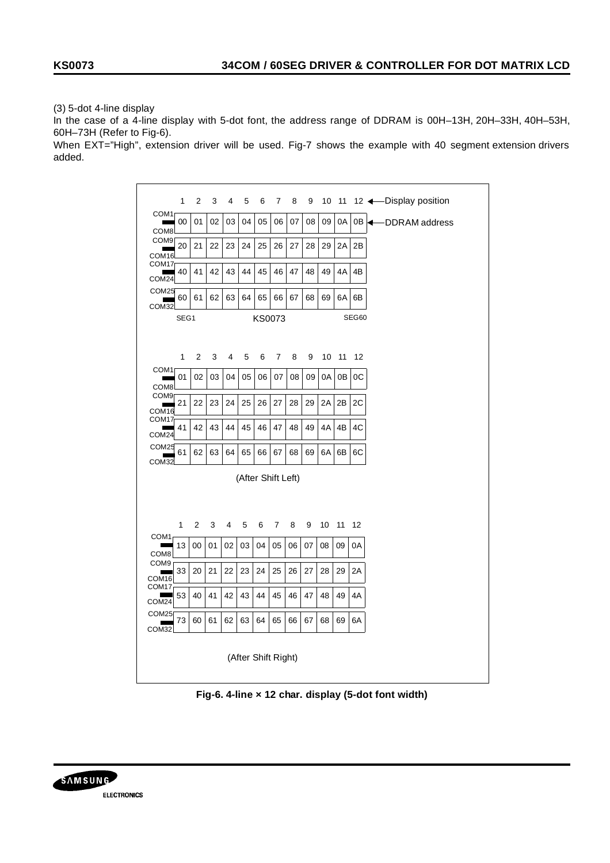(3) 5-dot 4-line display

In the case of a 4-line display with 5-dot font, the address range of DDRAM is 00H–13H, 20H–33H, 40H–53H, 60H–73H (Refer to Fig-6).

When EXT="High", extension driver will be used. Fig-7 shows the example with 40 segment extension drivers added.



**Fig-6. 4-line × 12 char. display (5-dot font width)**

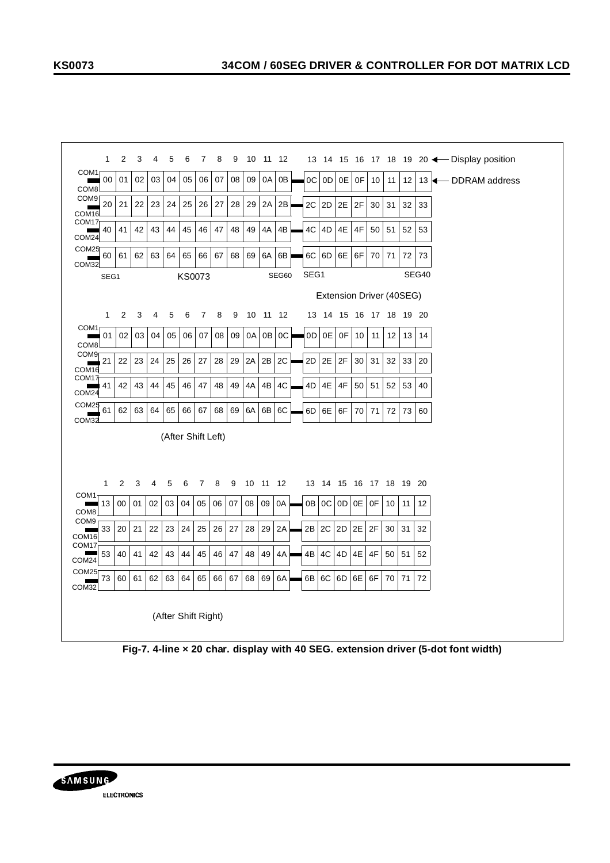

**Fig-7. 4-line × 20 char. display with 40 SEG. extension driver (5-dot font width)**

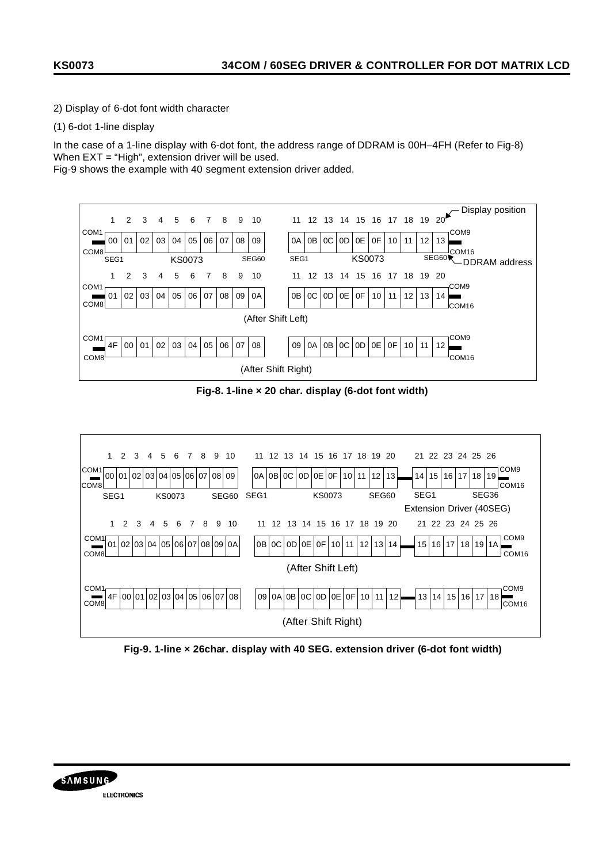2) Display of 6-dot font width character

(1) 6-dot 1-line display

In the case of a 1-line display with 6-dot font, the address range of DDRAM is 00H–4FH (Refer to Fig-8) When EXT = "High", extension driver will be used.

Fig-9 shows the example with 40 segment extension driver added.



**Fig-8. 1-line × 20 char. display (6-dot font width)**



**Fig-9. 1-line × 26char. display with 40 SEG. extension driver (6-dot font width)**

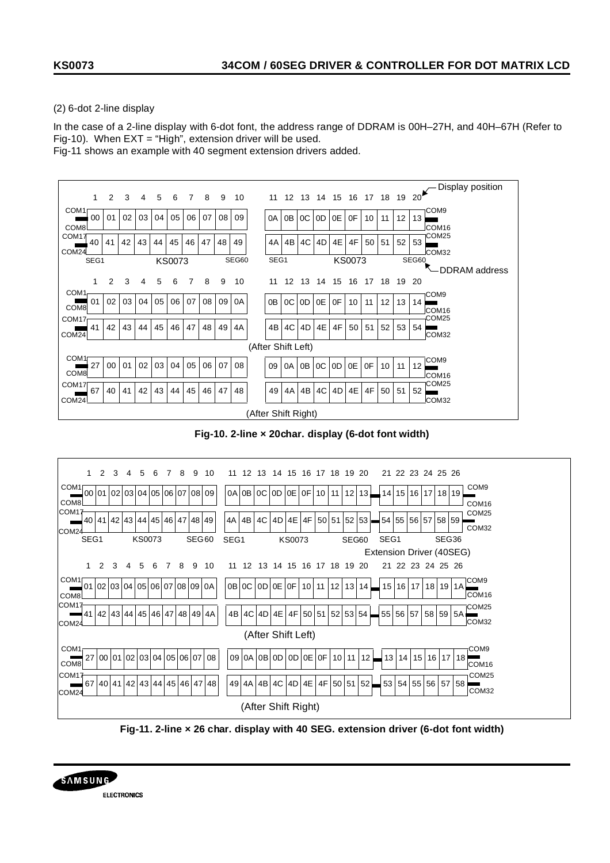## (2) 6-dot 2-line display

In the case of a 2-line display with 6-dot font, the address range of DDRAM is 00H–27H, and 40H–67H (Refer to Fig-10). When EXT = "High", extension driver will be used.

Fig-11 shows an example with 40 segment extension drivers added.



**Fig-10. 2-line × 20char. display (6-dot font width)**



**Fig-11. 2-line × 26 char. display with 40 SEG. extension driver (6-dot font width)**

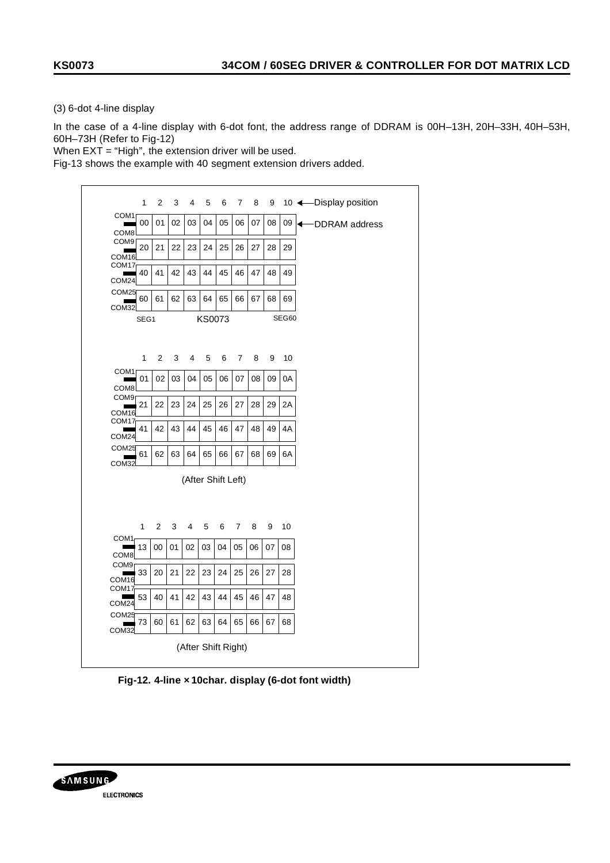(3) 6-dot 4-line display

In the case of a 4-line display with 6-dot font, the address range of DDRAM is 00H–13H, 20H–33H, 40H–53H, 60H–73H (Refer to Fig-12)

When EXT = "High", the extension driver will be used.

Fig-13 shows the example with 40 segment extension drivers added.

|                                                                     | 1    | 2              | 3  | 4                   | 5      | 6  | 7  | 8  | 9  |       | 10 ← Display position |
|---------------------------------------------------------------------|------|----------------|----|---------------------|--------|----|----|----|----|-------|-----------------------|
| COM <sub>1</sub><br><b>Contract</b><br>COM <sub>8</sub>             | 00   | 01             | 02 | 03                  | 04     | 05 | 06 | 07 | 08 | 09    | ← DDRAM address       |
| COM <sub>9</sub><br>COM <sub>16</sub>                               | 20   | 21             | 22 | 23                  | 24     | 25 | 26 | 27 | 28 | 29    |                       |
| COM <sub>17</sub><br>COM24                                          | 40   | 41             | 42 | 43                  | 44     | 45 | 46 | 47 | 48 | 49    |                       |
| COM25<br>COM32                                                      | 60   | 61             | 62 | 63                  | 64     | 65 | 66 | 67 | 68 | 69    |                       |
|                                                                     | SEG1 |                |    |                     | KS0073 |    |    |    |    | SEG60 |                       |
|                                                                     | 1    | $\overline{2}$ | 3  | 4                   | 5      | 6  | 7  | 8  | 9  | 10    |                       |
| COM1<br>COM <sub>8</sub>                                            | 01   | 02             | 03 | 04                  | 05     | 06 | 07 | 08 | 09 | 0A    |                       |
| COM <sub>9</sub><br>COM16                                           | 21   | 22             | 23 | 24                  | 25     | 26 | 27 | 28 | 29 | 2A    |                       |
| COM <sub>17</sub><br>COM <sub>24</sub>                              | 41   | 42             | 43 | 44                  | 45     | 46 | 47 | 48 | 49 | 4A    |                       |
| COM <sub>25</sub><br>COM32                                          | 61   | 62             | 63 | 64                  | 65     | 66 | 67 | 68 | 69 | 6A    |                       |
|                                                                     |      |                |    | (After Shift Left)  |        |    |    |    |    |       |                       |
|                                                                     |      |                |    |                     |        |    |    |    |    |       |                       |
| COM <sub>1</sub>                                                    | 1    | $\overline{2}$ | 3  | 4                   | 5      | 6  | 7  | 8  | 9  | 10    |                       |
| COM <sub>8</sub>                                                    | 13   | 00             | 01 | 02                  | 03     | 04 | 05 | 06 | 07 | 08    |                       |
| COM <sub>9</sub><br><b>In the Second State</b><br>COM <sub>16</sub> | 33   | 20             | 21 | 22                  | 23     | 24 | 25 | 26 | 27 | 28    |                       |
| COM <sub>17</sub><br>COM24                                          | 53   | 40             | 41 | 42                  | 43     | 44 | 45 | 46 | 47 | 48    |                       |
| COM25<br>COM32                                                      | 73   | 60             | 61 | 62                  | 63     | 64 | 65 | 66 | 67 | 68    |                       |
|                                                                     |      |                |    | (After Shift Right) |        |    |    |    |    |       |                       |

 **Fig-12. 4-line × 10char. display (6-dot font width)**

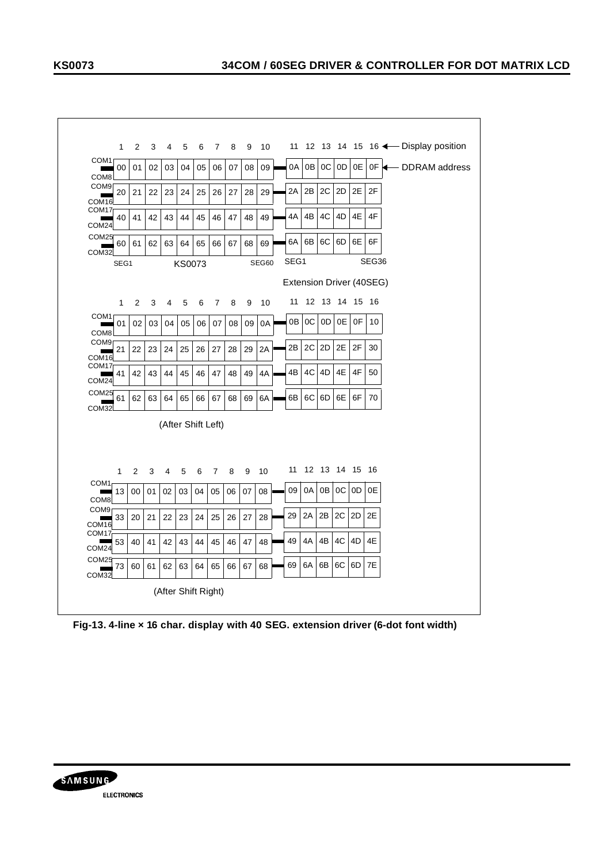

 **Fig-13. 4-line × 16 char. display with 40 SEG. extension driver (6-dot font width)**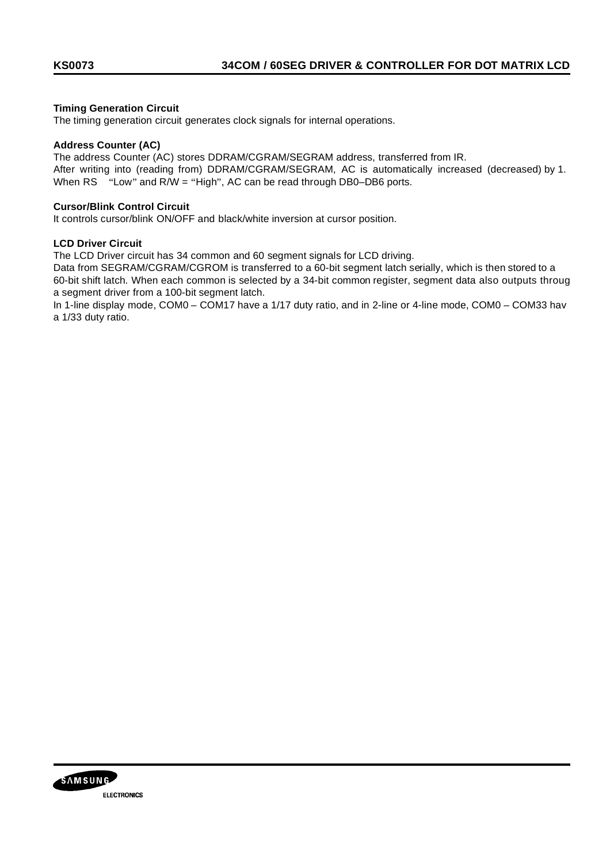## **Timing Generation Circuit**

The timing generation circuit generates clock signals for internal operations.

### **Address Counter (AC)**

The address Counter (AC) stores DDRAM/CGRAM/SEGRAM address, transferred from IR. After writing into (reading from) DDRAM/CGRAM/SEGRAM, AC is automatically increased (decreased) by 1. When RS "Low" and R/W = "High", AC can be read through DB0-DB6 ports.

### **Cursor/Blink Control Circuit**

It controls cursor/blink ON/OFF and black/white inversion at cursor position.

### **LCD Driver Circuit**

The LCD Driver circuit has 34 common and 60 segment signals for LCD driving.

Data from SEGRAM/CGRAM/CGROM is transferred to a 60-bit segment latch serially, which is then stored to a 60-bit shift latch. When each common is selected by a 34-bit common register, segment data also outputs throug a segment driver from a 100-bit segment latch.

In 1-line display mode, COM0 – COM17 have a 1/17 duty ratio, and in 2-line or 4-line mode, COM0 – COM33 hav a 1/33 duty ratio.

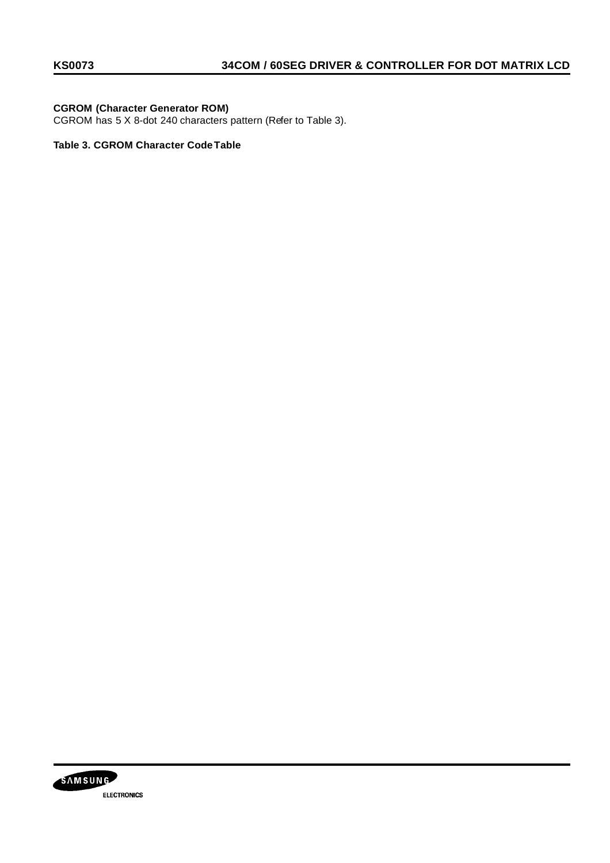# **CGROM (Character Generator ROM)**

CGROM has 5 X 8-dot 240 characters pattern (Refer to Table 3).

# **Table 3. CGROM Character Code Table**

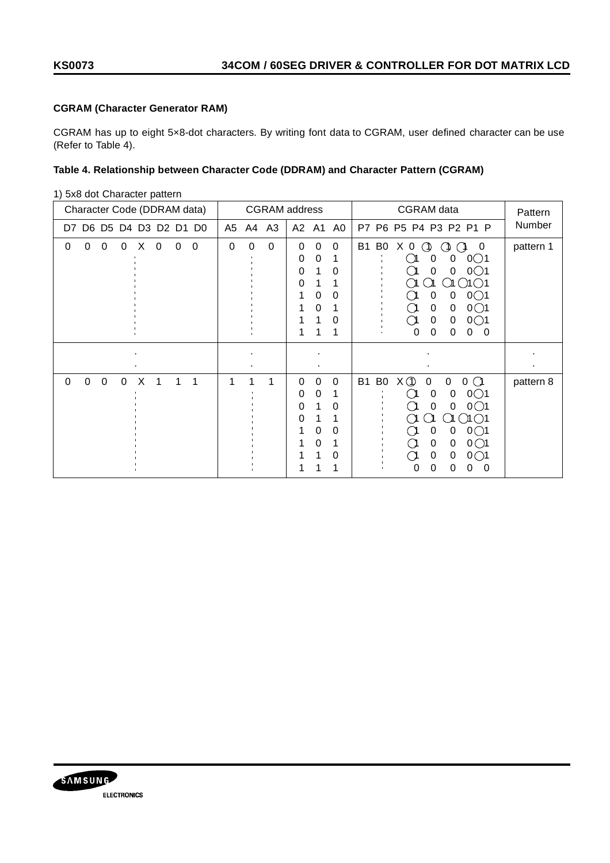# **CGRAM (Character Generator RAM)**

CGRAM has up to eight 5×8-dot characters. By writing font data to CGRAM, user defined character can be use (Refer to Table 4).

### **Table 4. Relationship between Character Code (DDRAM) and Character Pattern (CGRAM)**

| Character Code (DDRAM data)                              | <b>CGRAM</b> address<br><b>CGRAM</b> data                                                                                                                                                                                                                                                                                                                                                                                                                | Pattern   |
|----------------------------------------------------------|----------------------------------------------------------------------------------------------------------------------------------------------------------------------------------------------------------------------------------------------------------------------------------------------------------------------------------------------------------------------------------------------------------------------------------------------------------|-----------|
| D7 D6 D5 D4 D3 D2 D1 D0                                  | A <sub>5</sub><br>A <sub>3</sub><br>A2 A1<br>A0<br>P7 P6 P5 P4 P3 P2 P1 P<br>A4                                                                                                                                                                                                                                                                                                                                                                          | Number    |
| X<br>0<br>0<br>0<br>$\mathbf 0$<br>$\mathbf 0$<br>0<br>0 | 0<br>0<br>0<br><b>B1</b><br>B <sub>0</sub><br>X<br>0<br>0<br>$\mathbf 0$<br>$\Omega$<br>$\circledcirc$<br>$\Omega$<br>◑<br>$0$ $\bigcirc$ 1<br>$\mathbf 0$<br>0<br>0<br>0<br>$0$ $O1$<br>0<br>0<br>0<br>0<br>01 01 01<br>ίМ<br>0<br>ัท<br>$0$ $\bigcirc$ 1<br>0<br>$\Omega$<br>0<br>0<br>'Μ<br>$0$ $\bigcirc$ 1<br>0<br>0<br>0<br>ำ<br>$0$ $\bigcirc$ 1<br>$\Omega$<br>0<br>$\cap$<br>0<br>0<br>0<br>0<br>0<br>$\overline{0}$                            | pattern 1 |
|                                                          |                                                                                                                                                                                                                                                                                                                                                                                                                                                          |           |
| X<br>0<br>$\pmb{0}$<br>$\mathbf 0$<br>0<br>1<br>1<br>1   | B <sub>0</sub><br><b>B1</b><br>1<br>1<br>$\Omega$<br>0<br>$\Omega$<br>$X$ $\odot$<br>0<br>1<br>$\mathbf{0}$<br>$0$ $\circ$<br>$0$ $\bigcirc$ 1<br>$\mathbf 0$<br>0<br>0<br>0<br>่ไ<br>1<br>$0$ $\bigcirc$ 1<br>0<br>0<br>0<br>0<br>ຳ<br>$\bigcirc$ 1 $\bigcirc$ 1<br>( )ิ<br>0<br>( )<br>(ท<br>$0$ $\bigcirc$ 1<br>0<br>0<br>0<br>0<br>ຳ<br>$0$ $\bigcirc$ 1<br>0<br>0<br>ា<br>0<br>$\Omega$<br>$0$ $\bigcirc$ 1<br>0<br>0<br>า<br>0<br>0<br>0<br>0<br>0 | pattern 8 |

1) 5x8 dot Character pattern

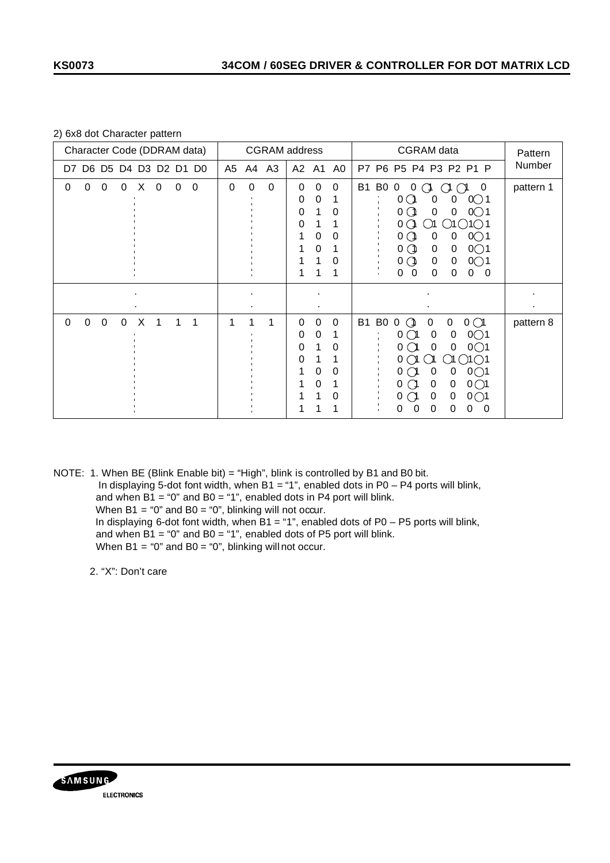2) 6x8 dot Character pattern

| Character Code (DDRAM data)                                                                          | <b>CGRAM</b> data<br><b>CGRAM</b> address                                                                                                                                                                                                                                                                                                                                                                                                                                                               | Pattern   |
|------------------------------------------------------------------------------------------------------|---------------------------------------------------------------------------------------------------------------------------------------------------------------------------------------------------------------------------------------------------------------------------------------------------------------------------------------------------------------------------------------------------------------------------------------------------------------------------------------------------------|-----------|
| D6 D5 D4 D3 D2 D1 D0<br>D7.                                                                          | A4 A3<br>A <sub>5</sub><br>A2 A1<br>P7 P6 P5 P4 P3 P2 P1 P<br>A <sub>0</sub>                                                                                                                                                                                                                                                                                                                                                                                                                            | Number    |
| 0<br>$\mathsf{X}$<br>$\mathbf 0$<br>$\overline{0}$<br>$\mathbf 0$<br>0<br>$\mathbf 0$<br>$\mathbf 0$ | $\mathbf 0$<br>0<br>$\Omega$<br>$\mathbf 0$<br>B1 B0 0<br>$\mathbf 0$<br>$\Omega$<br>0<br>0<br>(1<br>( )<br>0<br>0<br>$\infty$ 1<br>0Q<br>0<br>0<br>0 <sub>0</sub><br>$0$ 1<br>0<br>$\Omega$<br>0<br>0<br>0 <sub>O</sub><br>0<br>O1O1O1<br>1<br>(M)<br>0<br>$0 \bigcirc$<br>$0$ $\bigcirc$ 1<br>1<br>0<br>0<br>0<br>$0$ $\bigcirc$ 1<br>0<br>$\sigma$ $\sigma$<br>0<br>0<br>0<br>0<br>$0$ $\bigcirc$ 1<br>1<br>$\circ$ $\circ$<br>0<br>1<br>$0\quad 0$<br>0<br>0<br>$\overline{0}$<br>0<br>$\bullet$    | pattern 1 |
|                                                                                                      |                                                                                                                                                                                                                                                                                                                                                                                                                                                                                                         |           |
| X<br>$\mathbf 0$<br>0<br>$\mathbf 0$<br>$\Omega$<br>1<br>- 1<br>1                                    | B0<br>1<br>1<br>$\mathbf 0$<br>0<br><b>B1</b><br>$0 \bigcirc$<br>1<br>$\Omega$<br>0<br>0<br>0(1)<br>$0$ $\bigcirc$ 1<br>$\mathbf 0$<br>0<br>0<br>0(1)<br>0<br>$0$ $\bigcirc$ 1<br>0<br>0<br>0<br>$\mathbf 1$<br>0<br>0(1<br>0<br>OТ<br>$\bigcirc$ i $\bigcirc$ i $\bigcirc$ 1<br>$0 \bigcirc$<br>0<br>$0$ $\bigcirc$ 1<br>0<br>0<br>0<br>0(1<br>0<br>$0$ $\bigcirc$ 1<br>0<br>0<br>$0 \cap$<br>0<br>0<br>1<br>$0$ $\bigcirc$<br>0<br>$0$ $\bigcirc$ 1<br>$\mathbf 0$<br>0<br>0<br>0<br>1<br>1<br>0<br>0 | pattern 8 |

NOTE: 1. When BE (Blink Enable bit) = "High", blink is controlled by B1 and B0 bit. In displaying 5-dot font width, when  $B1 = 1$ ", enabled dots in P0 – P4 ports will blink, and when  $B1 = "0"$  and  $B0 = "1"$ , enabled dots in P4 port will blink. When  $B1 = "0"$  and  $B0 = "0"$ , blinking will not occur. In displaying 6-dot font width, when  $B1 = 1$ ", enabled dots of P0 – P5 ports will blink, and when  $\overrightarrow{B1}$  = "0" and B0 = "1", enabled dots of P5 port will blink. When  $B1 = "0"$  and  $B0 = "0"$ , blinking will not occur.

2. "X": Don't care

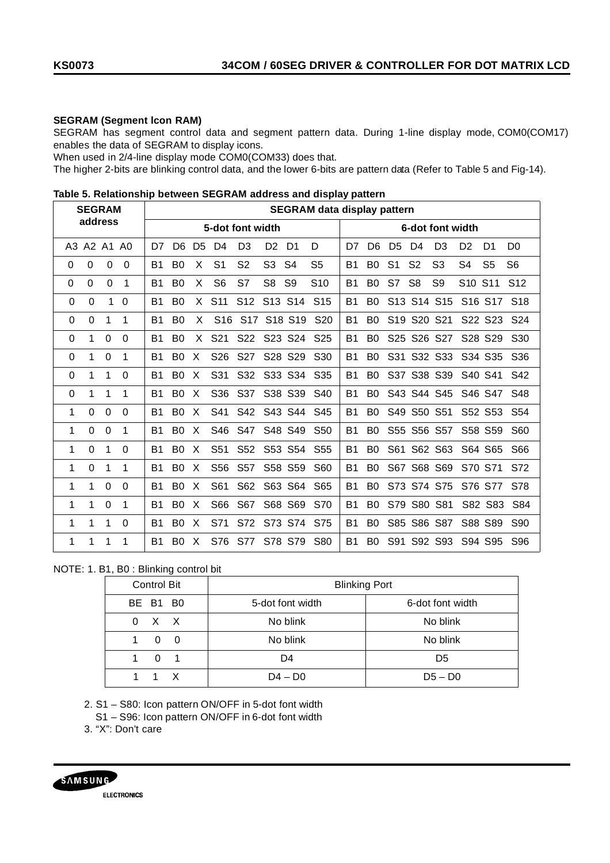# **SEGRAM (Segment lcon RAM)**

SEGRAM has segment control data and segment pattern data. During 1-line display mode, COM0(COM17) enables the data of SEGRAM to display icons.

When used in 2/4-line display mode COM0(COM33) does that.

The higher 2-bits are blinking control data, and the lower 6-bits are pattern data (Refer to Table 5 and Fig-14).

| Table 5. Relationship between SEGRAM address and display pattern |  |  |  |
|------------------------------------------------------------------|--|--|--|
|                                                                  |  |  |  |

|          | <b>SEGRAM</b> |          |          |                | <b>SEGRAM data display pattern</b><br>5-dot font width |                |                 |                                                 |                |                                 |                 |                |                |                |                |                  |                                 |                                 |                 |
|----------|---------------|----------|----------|----------------|--------------------------------------------------------|----------------|-----------------|-------------------------------------------------|----------------|---------------------------------|-----------------|----------------|----------------|----------------|----------------|------------------|---------------------------------|---------------------------------|-----------------|
|          | address       |          |          |                |                                                        |                |                 |                                                 |                |                                 |                 |                |                |                |                | 6-dot font width |                                 |                                 |                 |
|          | A3 A2 A1 A0   |          |          | D7             | D <sub>6</sub>                                         | D <sub>5</sub> | D4              | D <sub>3</sub>                                  | D <sub>2</sub> | D <sub>1</sub>                  | D               | D7             | D <sub>6</sub> | D <sub>5</sub> | D <sub>4</sub> | D <sub>3</sub>   | D <sub>2</sub>                  | D <sub>1</sub>                  | D <sub>0</sub>  |
| 0        | 0             | $\Omega$ | $\Omega$ | B1             | B <sub>0</sub>                                         | X              | S <sub>1</sub>  | S <sub>2</sub>                                  | S <sub>3</sub> | S <sub>4</sub>                  | S <sub>5</sub>  | Β1             | B <sub>0</sub> | S <sub>1</sub> | S <sub>2</sub> | S <sub>3</sub>   | S4                              | S <sub>5</sub>                  | S <sub>6</sub>  |
| 0        | $\Omega$      | $\Omega$ | 1        | B1             | B <sub>0</sub>                                         | X              | S <sub>6</sub>  | S7                                              | S <sub>8</sub> | S <sub>9</sub>                  | S <sub>10</sub> | <b>B1</b>      | B <sub>0</sub> | S7             | S8             | S9               | S <sub>10</sub> S <sub>11</sub> |                                 | S <sub>12</sub> |
| 0        | 0             | 1        | $\Omega$ | B1             | B <sub>0</sub>                                         | X.             | S <sub>11</sub> | S <sub>12</sub>                                 |                | S <sub>13</sub> S <sub>14</sub> | S <sub>15</sub> | B1             | B <sub>0</sub> |                |                | S13 S14 S15      |                                 | S <sub>16</sub> S <sub>17</sub> | S <sub>18</sub> |
| 0        | 0             | 1        | 1        | B <sub>1</sub> | B <sub>0</sub>                                         | X              | S <sub>16</sub> | S <sub>17</sub> S <sub>18</sub> S <sub>19</sub> |                |                                 | S <sub>20</sub> | B1             | B <sub>0</sub> |                |                | S19 S20 S21      |                                 | S22 S23                         | S <sub>24</sub> |
| 0        | 1             | $\Omega$ | $\Omega$ | B <sub>1</sub> | B <sub>0</sub>                                         | X              | S21             | S <sub>22</sub>                                 |                | S <sub>23</sub> S <sub>24</sub> | S <sub>25</sub> | <b>B1</b>      | B <sub>0</sub> |                |                | S25 S26 S27      |                                 | S <sub>28</sub> S <sub>29</sub> | S <sub>30</sub> |
| 0        | 1             | $\Omega$ | 1        | B <sub>1</sub> | B <sub>0</sub>                                         | X              | S <sub>26</sub> | S <sub>27</sub>                                 |                | S <sub>28</sub> S <sub>29</sub> | S <sub>30</sub> | <b>B1</b>      | B <sub>0</sub> |                |                | S31 S32 S33      |                                 | S <sub>34</sub> S <sub>35</sub> | S <sub>36</sub> |
| $\Omega$ | 1             | 1        | $\Omega$ | B <sub>1</sub> | B <sub>0</sub>                                         | X              | S <sub>31</sub> | S <sub>32</sub>                                 |                | S33 S34                         | S <sub>35</sub> | <b>B1</b>      | B <sub>0</sub> |                |                | S37 S38 S39      |                                 | S40 S41                         | S42             |
| $\Omega$ | 1             | 1        | 1        | B <sub>1</sub> | B <sub>0</sub>                                         | X              | S <sub>36</sub> | S37                                             |                | S38 S39                         | S40             | <b>B1</b>      | B <sub>0</sub> |                |                | S43 S44 S45      |                                 | S <sub>46</sub> S <sub>47</sub> | S48             |
| 1        | $\Omega$      | $\Omega$ | $\Omega$ | B <sub>1</sub> | B <sub>0</sub>                                         | X              | S41             | S42                                             |                | S43 S44                         | S45             | <b>B1</b>      | B <sub>0</sub> |                | S49 S50 S51    |                  |                                 | S <sub>52</sub> S <sub>53</sub> | S <sub>54</sub> |
| 1        | $\Omega$      | 0        | 1        | B <sub>1</sub> | B <sub>0</sub>                                         | X              | S46             | S <sub>47</sub>                                 |                | S48 S49                         | <b>S50</b>      | B <sub>1</sub> | B <sub>0</sub> |                |                | S55 S56 S57      |                                 | S58 S59                         | S60             |
| 1        | $\Omega$      | 1        | 0        | B <sub>1</sub> | B <sub>0</sub>                                         | X              | S <sub>51</sub> | S <sub>52</sub>                                 |                | S53 S54                         | S <sub>55</sub> | B <sub>1</sub> | B <sub>0</sub> | S61            |                | S62 S63          |                                 | S64 S65                         | S66             |
| 1        | $\Omega$      | 1        | 1        | B <sub>1</sub> | B <sub>0</sub>                                         | X              | S <sub>56</sub> | <b>S57</b>                                      |                | S58 S59                         | S60             | B <sub>1</sub> | B <sub>0</sub> |                |                | S67 S68 S69      |                                 | S70 S71                         | S72             |
| 1        | 1             | 0        | $\Omega$ | B <sub>1</sub> | B <sub>0</sub>                                         | X              | S61             | S62                                             |                | S63 S64                         | S65             | <b>B1</b>      | B <sub>0</sub> |                |                | S73 S74 S75      |                                 | S76 S77                         | S78             |
| 1        | 1             | 0        | 1        | B <sub>1</sub> | B <sub>0</sub>                                         | X              | S66             | S67                                             |                | S68 S69                         | S70             | B <sub>1</sub> | B <sub>0</sub> | S79            |                | S80 S81          |                                 | S82 S83                         | S84             |
| 1        | 1             | 1        | 0        | B <sub>1</sub> | B <sub>0</sub>                                         | X              | S71             | S72                                             |                | S73 S74                         | S75             | <b>B1</b>      | B <sub>0</sub> |                |                | S85 S86 S87      |                                 | S88 S89                         | S90             |
| 1        | 1             | 1        | 1        | B <sub>1</sub> | B <sub>0</sub>                                         | X              | S76             | S77                                             |                | S78 S79                         | S80             | <b>B1</b>      | B <sub>0</sub> | S91            |                | S92 S93          |                                 | S94 S95                         | S96             |

NOTE: 1. B1, B0 : Blinking control bit

| <b>Control Bit</b> | <b>Blinking Port</b> |                  |
|--------------------|----------------------|------------------|
| BE B1 B0           | 5-dot font width     | 6-dot font width |
| X X<br>0           | No blink             | No blink         |
| $\Omega$<br>- 0    | No blink             | No blink         |
| 0                  | D4                   | D <sub>5</sub>   |
|                    | $D4 - D0$            | $D5 - D0$        |

2. S1 – S80: Icon pattern ON/OFF in 5-dot font width

S1 – S96: Icon pattern ON/OFF in 6-dot font width

3. "X": Don't care

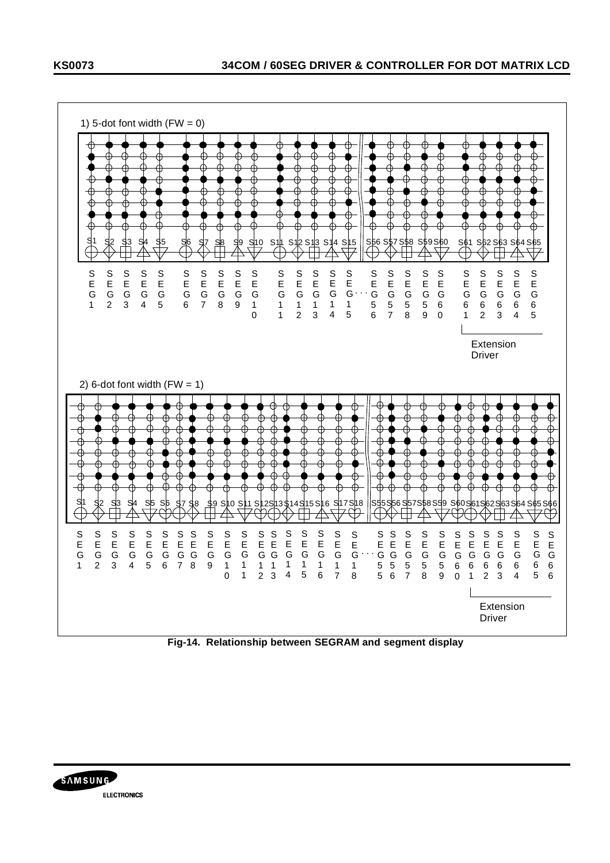

**SAMSUNG ELECTRONICS**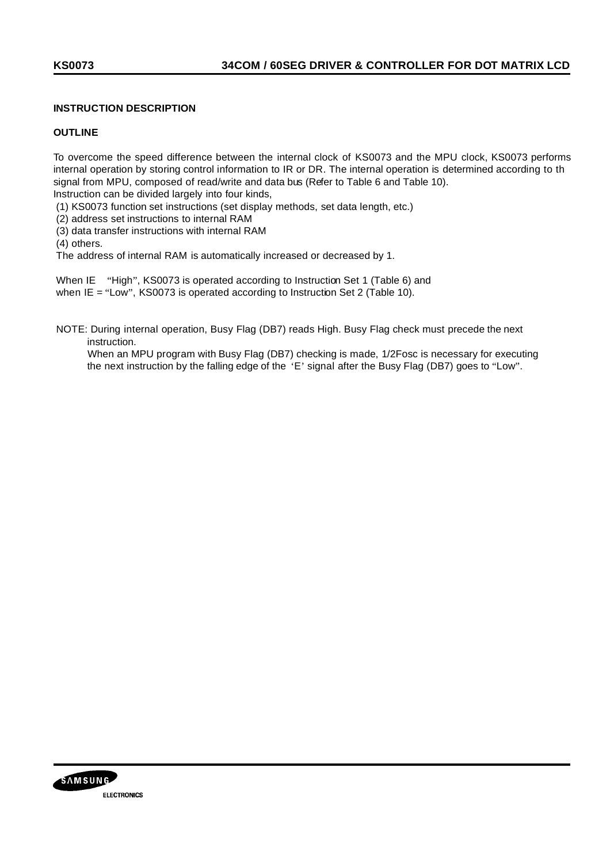## **INSTRUCTION DESCRIPTION**

### **OUTLINE**

To overcome the speed difference between the internal clock of KS0073 and the MPU clock, KS0073 performs internal operation by storing control information to IR or DR. The internal operation is determined according to th signal from MPU, composed of read/write and data bus (Refer to Table 6 and Table 10). Instruction can be divided largely into four kinds,

(1) KS0073 function set instructions (set display methods, set data length, etc.)

(2) address set instructions to internal RAM

(3) data transfer instructions with internal RAM

(4) others.

The address of internal RAM is automatically increased or decreased by 1.

When IE "High", KS0073 is operated according to Instruction Set 1 (Table 6) and when IE = "Low", KS0073 is operated according to Instruction Set 2 (Table 10).

 NOTE: During internal operation, Busy Flag (DB7) reads High. Busy Flag check must precede the next instruction.

 When an MPU program with Busy Flag (DB7) checking is made, 1/2Fosc is necessary for executing the next instruction by the falling edge of the 'E' signal after the Busy Flag (DB7) goes to "Low".

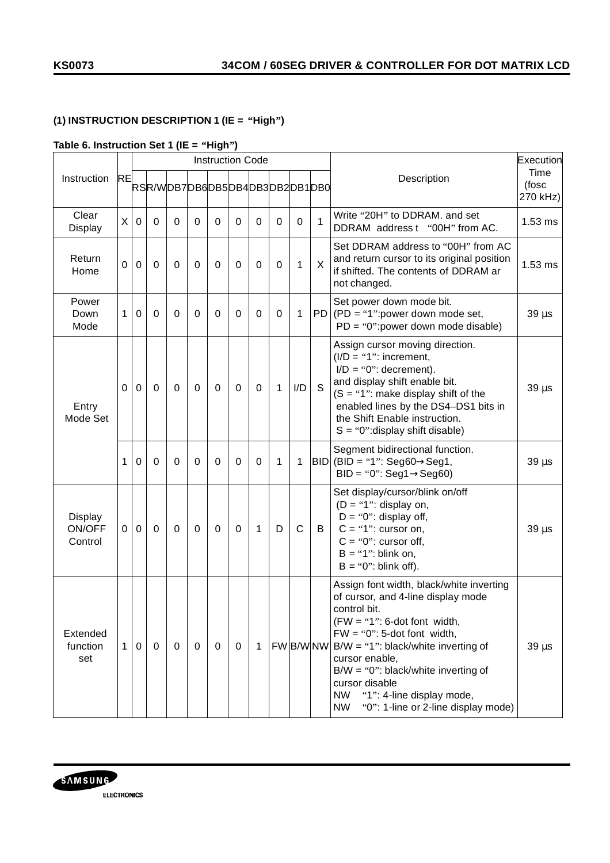# **(1) INSTRUCTION DESCRIPTION 1 (IE = "High")**

# **Table 6. Instruction Set 1 (IE = "High")**

|                                     |           |             |                               |             |             | <b>Instruction Code</b> |              |             |          |              |    |                                                                                                                                                                                                                                                                                                                                                                                          | Execution                 |
|-------------------------------------|-----------|-------------|-------------------------------|-------------|-------------|-------------------------|--------------|-------------|----------|--------------|----|------------------------------------------------------------------------------------------------------------------------------------------------------------------------------------------------------------------------------------------------------------------------------------------------------------------------------------------------------------------------------------------|---------------------------|
| Instruction                         | <b>RE</b> |             | RSR/WDB7DB6DB5DB4DB3DB2DB1DB0 |             |             |                         |              |             |          |              |    | Description                                                                                                                                                                                                                                                                                                                                                                              | Time<br>(fosc<br>270 kHz) |
| Clear<br><b>Display</b>             | X         | $\mathbf 0$ | 0                             | 0           | 0           | $\mathbf 0$             | 0            | 0           | $\Omega$ | $\mathbf 0$  | 1  | Write "20H" to DDRAM, and set<br>DDRAM address t "00H" from AC.                                                                                                                                                                                                                                                                                                                          | $1.53$ ms                 |
| Return<br>Home                      | 0         | $\mathbf 0$ | $\mathbf 0$                   | 0           | $\mathbf 0$ | 0                       | $\mathbf 0$  | $\mathbf 0$ | $\Omega$ | $\mathbf{1}$ | X  | Set DDRAM address to "00H" from AC<br>and return cursor to its original position<br>if shifted. The contents of DDRAM ar<br>not changed.                                                                                                                                                                                                                                                 | $1.53$ ms                 |
| Power<br>Down<br>Mode               | 1         | 0           | 0                             | 0           | 0           | 0                       | 0            | 0           | $\Omega$ | 1            | PD | Set power down mode bit.<br>(PD = "1":power down mode set,<br>$PD = "0"$ : power down mode disable)                                                                                                                                                                                                                                                                                      | $39 \mu s$                |
| Entry<br>Mode Set                   | 0         | 0           | $\Omega$                      | 0           | $\mathbf 0$ | $\mathbf 0$             | $\mathbf 0$  | $\mathbf 0$ | 1        | I/D          | S  | Assign cursor moving direction.<br>$(I/D = "1"$ : increment,<br>$I/D = "0"$ : decrement).<br>and display shift enable bit.<br>$(S = "1"')$ : make display shift of the<br>enabled lines by the DS4-DS1 bits in<br>the Shift Enable instruction.<br>$S = "0"$ : display shift disable)                                                                                                    | $39 \mu s$                |
|                                     | 1         | 0           | 0                             | 0           | $\mathbf 0$ | 0                       | 0            | 0           | 1        | 1            |    | Segment bidirectional function.<br>BID (BID = "1": Seg60 $\rightarrow$ Seg1,<br>$BID = "0"$ : Seg1 $\rightarrow$ Seg60)                                                                                                                                                                                                                                                                  | $39 \mu s$                |
| <b>Display</b><br>ON/OFF<br>Control | 0         | $\mathbf 0$ | 0                             | $\mathbf 0$ | $\mathbf 0$ | 0                       | $\mathbf 0$  | 1           | D        | $\mathsf C$  | B  | Set display/cursor/blink on/off<br>$(D = "1":$ display on,<br>$D = "0"$ : display off,<br>$C = "1"$ : cursor on,<br>$C = "0"$ : cursor off,<br>$B = "1"$ : blink on,<br>$B = "0"$ : blink off).                                                                                                                                                                                          | $39 \mu s$                |
| Extended<br>function<br>set         | 1         | 0           | 0                             | $\mathbf 0$ | $\mathbf 0$ | $\mathbf 0$             | $\mathbf{0}$ | 1           |          | FW B/W NW    |    | Assign font width, black/white inverting<br>of cursor, and 4-line display mode<br>control bit.<br>$(FW = "1": 6-dot font width,$<br>$FW = "0"$ : 5-dot font width,<br>$B/W = "1"$ : black/white inverting of<br>cursor enable,<br>$B/W = "0"$ : black/white inverting of<br>cursor disable<br><b>NW</b><br>"1": 4-line display mode,<br>"0": 1-line or 2-line display mode)<br><b>NW</b> | $39 \,\mu s$              |

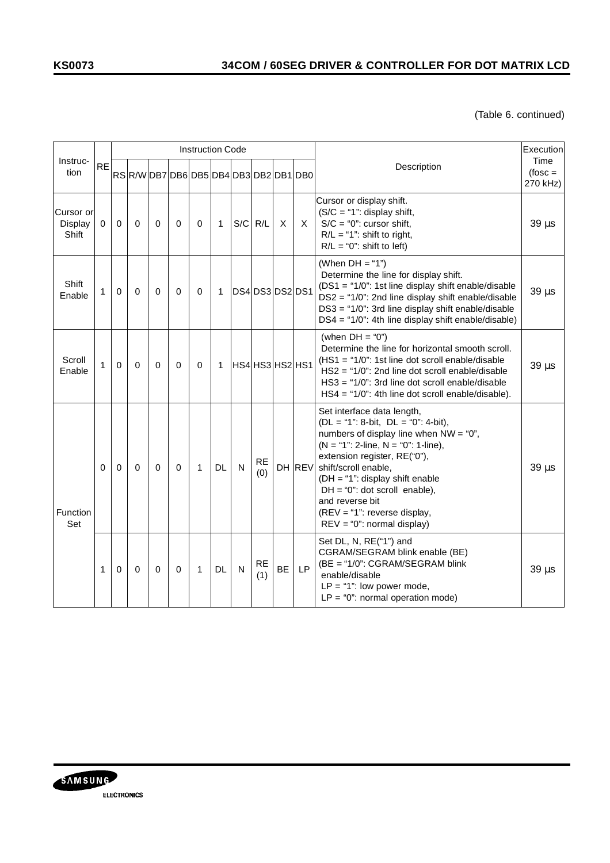(Table 6. continued)

|                               |             |          |             |          |             | <b>Instruction Code</b>       |              |              |                  |           |           |                                                                                                                                                                                                                                                                                                                                                                              | Execution                       |
|-------------------------------|-------------|----------|-------------|----------|-------------|-------------------------------|--------------|--------------|------------------|-----------|-----------|------------------------------------------------------------------------------------------------------------------------------------------------------------------------------------------------------------------------------------------------------------------------------------------------------------------------------------------------------------------------------|---------------------------------|
| Instruc-<br>tion              | <b>RE</b>   |          |             |          |             | RSR/WDB7DB6DB5DB4DB3DB2DB1DB0 |              |              |                  |           |           | Description                                                                                                                                                                                                                                                                                                                                                                  | Time<br>$f$ (fosc =<br>270 kHz) |
| Cursor or<br>Display<br>Shift | $\mathbf 0$ | 0        | $\mathbf 0$ | 0        | $\mathbf 0$ | $\mathbf 0$                   | $\mathbf{1}$ |              | $S/C$ R/L        | X         | $\times$  | Cursor or display shift.<br>$(S/C = "1"$ : display shift,<br>$S/C = "0"$ : cursor shift,<br>$R/L = "1"$ : shift to right,<br>$R/L = "0"$ : shift to left)                                                                                                                                                                                                                    | $39 \mu s$                      |
| Shift<br>Enable               | 1           | 0        | $\Omega$    | $\Omega$ | $\Omega$    | $\Omega$                      | 1            |              | DS4DS3DS2DS1     |           |           | (When $DH = "1"$ )<br>Determine the line for display shift.<br>(DS1 = "1/0": 1st line display shift enable/disable<br>DS2 = "1/0": 2nd line display shift enable/disable<br>DS3 = "1/0": 3rd line display shift enable/disable<br>$DS4 = "1/0"$ : 4th line display shift enable/disable)                                                                                     | $39 \mu s$                      |
| Scroll<br>Enable              | 1           | 0        | $\Omega$    | $\Omega$ | $\Omega$    | 0                             | 1            |              | HS4HS3HS2HS1     |           |           | (when $DH = "0")$<br>Determine the line for horizontal smooth scroll.<br>(HS1 = "1/0": 1st line dot scroll enable/disable<br>$HS2 = "1/0"$ : 2nd line dot scroll enable/disable<br>$HS3 = "1/0"$ : 3rd line dot scroll enable/disable<br>$HS4 = "1/0"$ : 4th line dot scroll enable/disable).                                                                                | $39 \mu s$                      |
| Function<br>Set               | $\Omega$    | $\Omega$ | $\Omega$    | $\Omega$ | $\Omega$    | 1                             | <b>DL</b>    | N            | <b>RE</b><br>(0) |           | DH REV    | Set interface data length,<br>$(DL = "1": 8-bit, DL = "0": 4-bit),$<br>numbers of display line when NW = "0",<br>$(N = "1": 2$ -line, $N = "0": 1$ -line),<br>extension register, RE("0"),<br>shift/scroll enable,<br>(DH = "1": display shift enable<br>$DH = "0": dot scroll enable),$<br>and reverse bit<br>(REV = "1": reverse display,<br>$REV = "0"$ : normal display) | $39 \mu s$                      |
|                               | 1           | 0        | $\mathbf 0$ | 0        | $\mathbf 0$ | 1                             | <b>DL</b>    | $\mathsf{N}$ | <b>RE</b><br>(1) | <b>BE</b> | <b>LP</b> | Set DL, N, RE("1") and<br>CGRAM/SEGRAM blink enable (BE)<br>(BE = "1/0": CGRAM/SEGRAM blink<br>enable/disable<br>$LP = "1"$ : low power mode,<br>$LP = "0"$ : normal operation mode)                                                                                                                                                                                         | $39 \mu s$                      |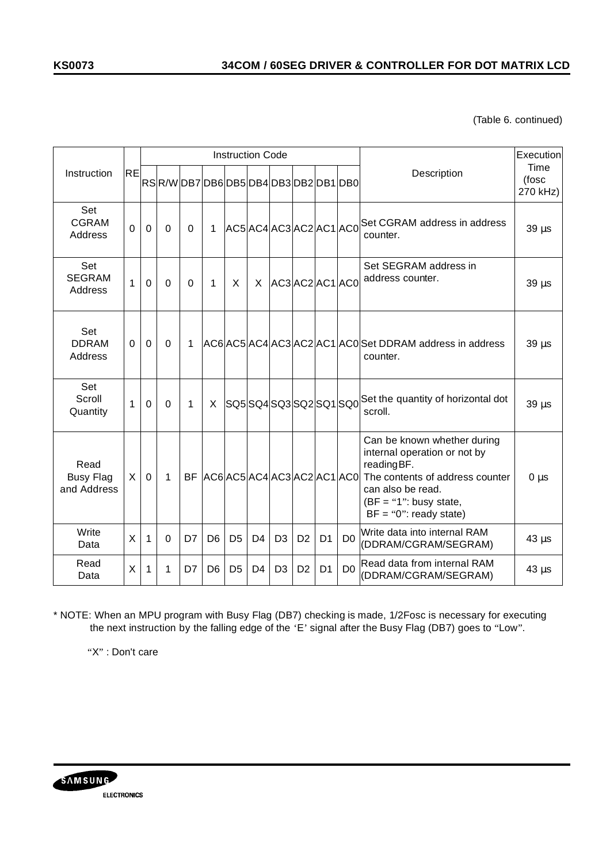# **KS0073 34COM / 60SEG DRIVER & CONTROLLER FOR DOT MATRIX LCD**

(Table 6. continued)

|                                         |              |              |                               |             |                |                | <b>Instruction Code</b>      |                |                |                |                |                                                                                                                                                                                             | Execution                 |
|-----------------------------------------|--------------|--------------|-------------------------------|-------------|----------------|----------------|------------------------------|----------------|----------------|----------------|----------------|---------------------------------------------------------------------------------------------------------------------------------------------------------------------------------------------|---------------------------|
| Instruction                             | <b>RE</b>    |              | RSR/WDB7DB6DB5DB4DB3DB2DB1DB0 |             |                |                |                              |                |                |                |                | Description                                                                                                                                                                                 | Time<br>(fosc<br>270 kHz) |
| Set<br><b>CGRAM</b><br>Address          | $\Omega$     | $\mathbf 0$  | $\mathbf 0$                   | $\mathbf 0$ | 1              |                | AC5 AC4 AC3 AC2 AC1 AC0      |                |                |                |                | Set CGRAM address in address<br>counter.                                                                                                                                                    | $39 \mu s$                |
| Set<br><b>SEGRAM</b><br>Address         | 1            | $\mathbf 0$  | $\mathbf 0$                   | $\mathbf 0$ | 1              | X              | X                            |                |                |                | AC3AC2AC1AC0   | Set SEGRAM address in<br>address counter.                                                                                                                                                   | $39 \mu s$                |
| Set<br><b>DDRAM</b><br>Address          | 0            | $\mathbf 0$  | $\Omega$                      | 1           |                |                |                              |                |                |                |                | AC6AC5AC4AC3AC2AC1AC0Set DDRAM address in address<br>counter.                                                                                                                               | $39 \mu s$                |
| Set<br>Scroll<br>Quantity               | 1            | $\mathbf 0$  | $\Omega$                      | 1           | X              |                | SQ5  SQ4  SQ3  SQ2  SQ1  SQ0 |                |                |                |                | Set the quantity of horizontal dot<br>scroll.                                                                                                                                               | $39 \mu s$                |
| Read<br><b>Busy Flag</b><br>and Address | $\mathsf{X}$ | $\Omega$     | 1                             |             |                |                | BF AC6AC5AC4AC3AC2AC1AC0     |                |                |                |                | Can be known whether during<br>internal operation or not by<br>reading BF.<br>The contents of address counter<br>can also be read.<br>$(BF = "1":$ busy state,<br>$BF = "0"$ : ready state) | $0 \mu s$                 |
| Write<br>Data                           | X            | $\mathbf{1}$ | $\Omega$                      | D7          | D <sub>6</sub> | D <sub>5</sub> | D <sub>4</sub>               | D <sub>3</sub> | D <sub>2</sub> | D <sub>1</sub> | D <sub>0</sub> | Write data into internal RAM<br>(DDRAM/CGRAM/SEGRAM)                                                                                                                                        | $43 \mu s$                |
| Read<br>Data                            | X            | 1            | 1                             | D7          | D <sub>6</sub> | D <sub>5</sub> | D <sub>4</sub>               | D <sub>3</sub> | D <sub>2</sub> | D <sub>1</sub> | D <sub>0</sub> | Read data from internal RAM<br>(DDRAM/CGRAM/SEGRAM)                                                                                                                                         | $43 \mu s$                |

\* NOTE: When an MPU program with Busy Flag (DB7) checking is made, 1/2Fosc is necessary for executing the next instruction by the falling edge of the 'E' signal after the Busy Flag (DB7) goes to "Low".

"X" : Don't care

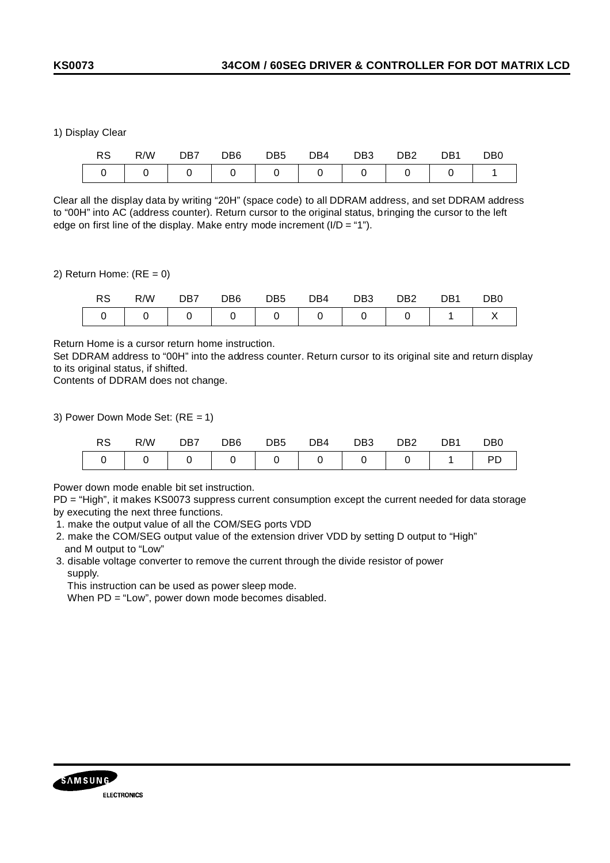1) Display Clear

|  | RS R/W DB7 DB6 DB5 DB4 DB3 DB2 DB1 DB0 |  |  |  |  |
|--|----------------------------------------|--|--|--|--|
|  |                                        |  |  |  |  |

Clear all the display data by writing "20H" (space code) to all DDRAM address, and set DDRAM address to "00H" into AC (address counter). Return cursor to the original status, bringing the cursor to the left edge on first line of the display. Make entry mode increment  $(I/D = "1")$ .

2) Return Home:  $(RE = 0)$ 

| RS | R/W | DB7 | DB6 | DB5 | DB4 | DB <sub>3</sub> | DB2 | DB <sub>1</sub> | D <sub>B</sub> 0 |
|----|-----|-----|-----|-----|-----|-----------------|-----|-----------------|------------------|
|    |     |     |     |     |     |                 |     |                 |                  |

Return Home is a cursor return home instruction.

Set DDRAM address to "00H" into the address counter. Return cursor to its original site and return display to its original status, if shifted.

Contents of DDRAM does not change.

3) Power Down Mode Set: (RE = 1)

| RS | R/W | DB7 | DB6 | DB <sub>5</sub> | DB4 | DB3 | DB <sub>2</sub> | DB <sub>1</sub> | D <sub>B</sub> 0 |
|----|-----|-----|-----|-----------------|-----|-----|-----------------|-----------------|------------------|
|    |     |     |     |                 |     |     |                 |                 |                  |

Power down mode enable bit set instruction.

PD = "High", it makes KS0073 suppress current consumption except the current needed for data storage by executing the next three functions.

1. make the output value of all the COM/SEG ports VDD

- 2. make the COM/SEG output value of the extension driver VDD by setting D output to "High" and M output to "Low"
- 3. disable voltage converter to remove the current through the divide resistor of power supply.

This instruction can be used as power sleep mode.

When PD = "Low", power down mode becomes disabled.

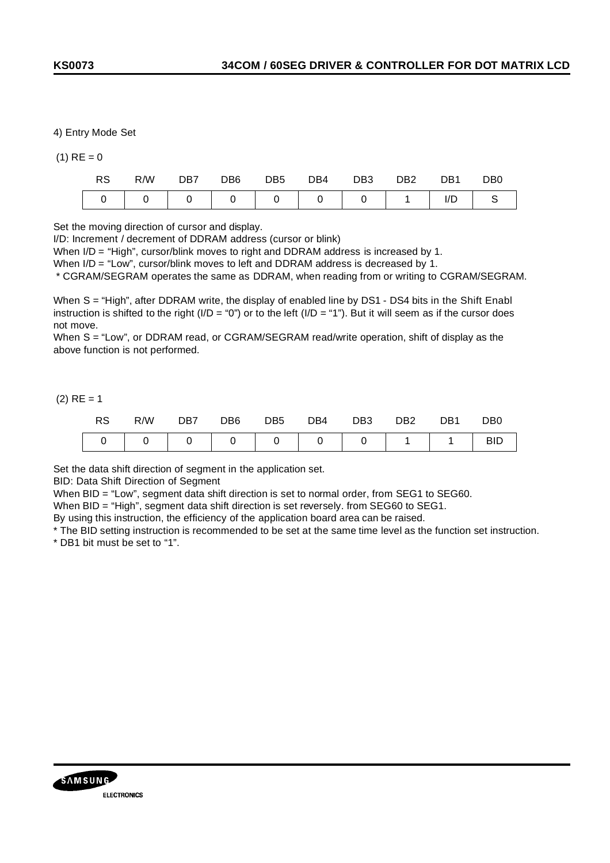4) Entry Mode Set

 $(1)$  RE = 0

|  | RS R/W DB7 DB6 DB5 DB4 DB3 DB2 DB1 DB0 |  |  |  |                                 |
|--|----------------------------------------|--|--|--|---------------------------------|
|  |                                        |  |  |  | 0 0 0 0 0 0 0 0 0 0 1 0 0 1 0 0 |

Set the moving direction of cursor and display.

I/D: Increment / decrement of DDRAM address (cursor or blink)

When I/D = "High", cursor/blink moves to right and DDRAM address is increased by 1.

When I/D = "Low", cursor/blink moves to left and DDRAM address is decreased by 1.

\* CGRAM/SEGRAM operates the same as DDRAM, when reading from or writing to CGRAM/SEGRAM.

When S = "High", after DDRAM write, the display of enabled line by DS1 - DS4 bits in the Shift Enabl instruction is shifted to the right (I/D = "0") or to the left (I/D = "1"). But it will seem as if the cursor does not move.

When S = "Low", or DDRAM read, or CGRAM/SEGRAM read/write operation, shift of display as the above function is not performed.

 $(2)$  RE = 1

|  | RS R/W DB7 DB6 DB5 DB4 DB3 DB2 DB1 DB0 |  |  |  |  |
|--|----------------------------------------|--|--|--|--|
|  |                                        |  |  |  |  |

Set the data shift direction of segment in the application set.

BID: Data Shift Direction of Segment

When BID = "Low", segment data shift direction is set to normal order, from SEG1 to SEG60.

When BID = "High", segment data shift direction is set reversely. from SEG60 to SEG1.

By using this instruction, the efficiency of the application board area can be raised.

\* The BID setting instruction is recommended to be set at the same time level as the function set instruction. \* DB1 bit must be set to "1".

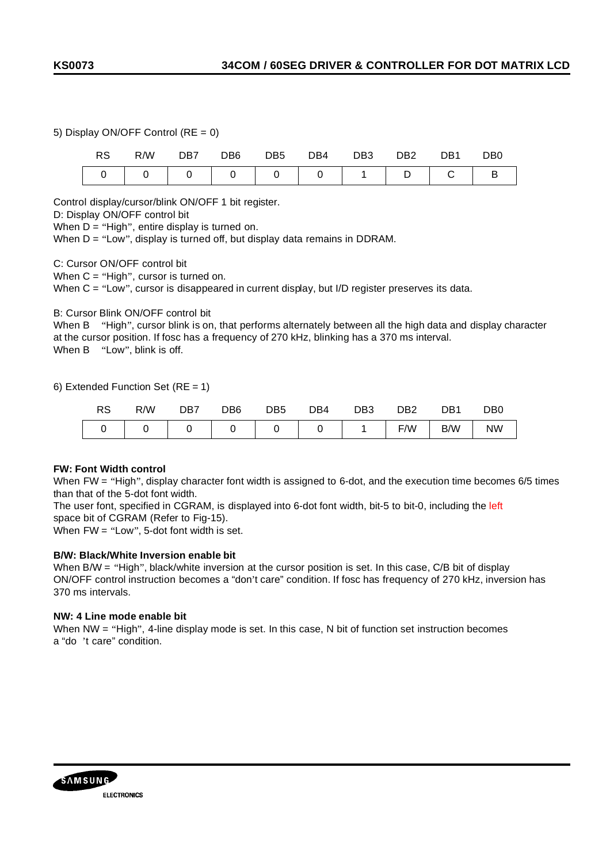## 5) Display ON/OFF Control (RE = 0)

|  |  | RS R/W DB7 DB6 DB5 DB4 DB3 DB2 DB1 DB0 |  |  |
|--|--|----------------------------------------|--|--|
|  |  |                                        |  |  |

Control display/cursor/blink ON/OFF 1 bit register.

D: Display ON/OFF control bit

When  $D = "High"$ , entire display is turned on.

When  $D = "Low", display$  display is turned off, but display data remains in DDRAM.

C: Cursor ON/OFF control bit

When C = "High", cursor is turned on.

When C = "Low", cursor is disappeared in current display, but I/D register preserves its data.

B: Cursor Blink ON/OFF control bit

When B "High", cursor blink is on, that performs alternately between all the high data and display character at the cursor position. If fosc has a frequency of 270 kHz, blinking has a 370 ms interval. When B "Low", blink is off.

6) Extended Function Set (RE = 1)

| <b>RS</b>               | R/W | DB7 | DB6 | DB <sub>5</sub> | DB4 | DB <sub>3</sub> | DB <sub>2</sub> | DB1 | D <sub>B</sub> 0 |
|-------------------------|-----|-----|-----|-----------------|-----|-----------------|-----------------|-----|------------------|
| $\overline{\mathbf{0}}$ |     |     |     |                 |     |                 | F/W             | B/W | <b>NW</b>        |

### **FW: Font Width control**

When FW = "High", display character font width is assigned to 6-dot, and the execution time becomes 6/5 times than that of the 5-dot font width.

The user font, specified in CGRAM, is displayed into 6-dot font width, bit-5 to bit-0, including the left space bit of CGRAM (Refer to Fig-15).

When FW = "Low", 5-dot font width is set.

## **B/W: Black/White Inversion enable bit**

When B/W = "High", black/white inversion at the cursor position is set. In this case, C/B bit of display ON/OFF control instruction becomes a "don't care" condition. If fosc has frequency of 270 kHz, inversion has 370 ms intervals.

### **NW: 4 Line mode enable bit**

When NW = "High", 4-line display mode is set. In this case, N bit of function set instruction becomes a "do 't care" condition.

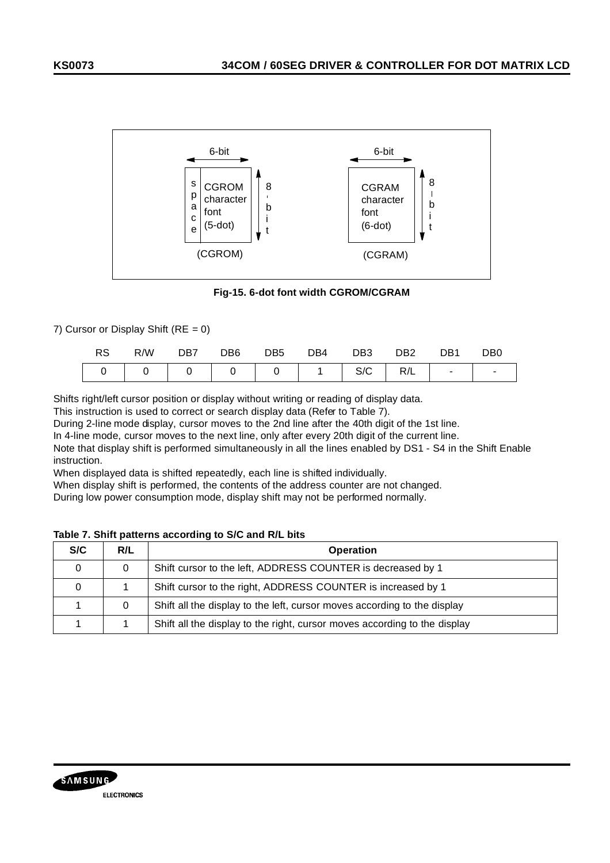

**Fig-15. 6-dot font width CGROM/CGRAM**

7) Cursor or Display Shift ( $RE = 0$ )

| RS                                        |  |  | R/W DB7 DB6 DB5 DB4 DB3 DB2 |  | DB1 | DB <sub>0</sub> |
|-------------------------------------------|--|--|-----------------------------|--|-----|-----------------|
| 0   0   0   0   0   1   S/C   R/L   -   - |  |  |                             |  |     |                 |

Shifts right/left cursor position or display without writing or reading of display data.

This instruction is used to correct or search display data (Refer to Table 7).

During 2-line mode display, cursor moves to the 2nd line after the 40th digit of the 1st line.

In 4-line mode, cursor moves to the next line, only after every 20th digit of the current line.

Note that display shift is performed simultaneously in all the lines enabled by DS1 - S4 in the Shift Enable instruction.

When displayed data is shifted repeatedly, each line is shifted individually.

When display shift is performed, the contents of the address counter are not changed.

During low power consumption mode, display shift may not be performed normally.

| S/C | R/L | <b>Operation</b>                                                          |
|-----|-----|---------------------------------------------------------------------------|
|     | 0   | Shift cursor to the left, ADDRESS COUNTER is decreased by 1               |
|     |     | Shift cursor to the right, ADDRESS COUNTER is increased by 1              |
|     | 0   | Shift all the display to the left, cursor moves according to the display  |
|     |     | Shift all the display to the right, cursor moves according to the display |

## **Table 7. Shift patterns according to S/C and R/L bits**

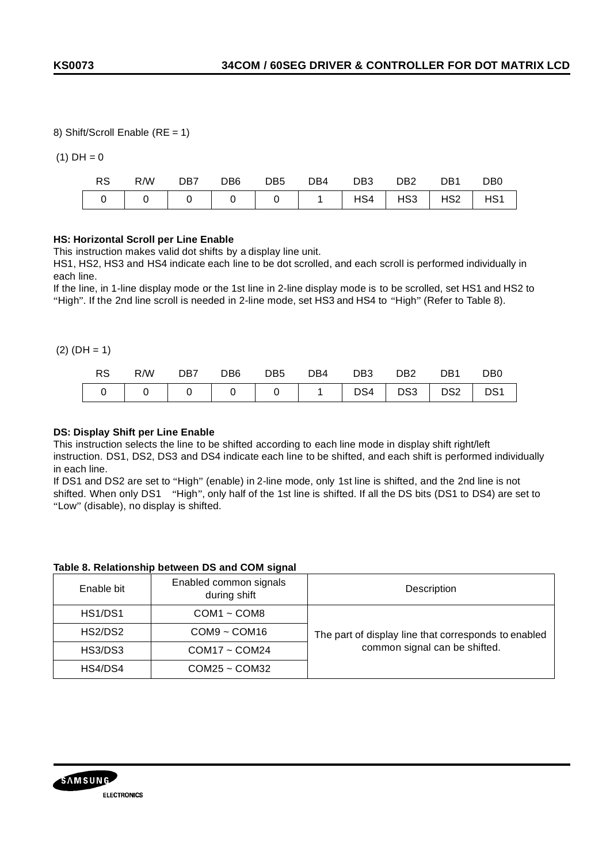8) Shift/Scroll Enable (RE = 1)

 $(1)$  DH = 0

|  |  | RS R/W DB7 DB6 DB5 DB4 DB3 DB2 DB1 DB0        |  |  |
|--|--|-----------------------------------------------|--|--|
|  |  | 0   0   0   0   0   1   HS4   HS3   HS2   HS1 |  |  |

## **HS: Horizontal Scroll per Line Enable**

This instruction makes valid dot shifts by a display line unit.

HS1, HS2, HS3 and HS4 indicate each line to be dot scrolled, and each scroll is performed individually in each line.

If the line, in 1-line display mode or the 1st line in 2-line display mode is to be scrolled, set HS1 and HS2 to "High". If the 2nd line scroll is needed in 2-line mode, set HS3 and HS4 to "High" (Refer to Table 8).

 $(2)$  (DH = 1)

| <b>RS</b> | R/W DB7 DB6 DB5 DB4 DB3 DB2 DB1 DB0           |  |  |  |  |
|-----------|-----------------------------------------------|--|--|--|--|
|           | 0   0   0   0   0   1   DS4   DS3   DS2   DS1 |  |  |  |  |

### **DS: Display Shift per Line Enable**

This instruction selects the line to be shifted according to each line mode in display shift right/left instruction. DS1, DS2, DS3 and DS4 indicate each line to be shifted, and each shift is performed individually in each line.

If DS1 and DS2 are set to "High" (enable) in 2-line mode, only 1st line is shifted, and the 2nd line is not shifted. When only DS1 "High", only half of the 1st line is shifted. If all the DS bits (DS1 to DS4) are set to "Low" (disable), no display is shifted.

### **Table 8. Relationship between DS and COM signal**

| Enable bit | Enabled common signals<br>during shift | Description                                          |
|------------|----------------------------------------|------------------------------------------------------|
| HS1/DS1    | $COM1 - COM8$                          |                                                      |
| HS2/DS2    | $COM9 - COM16$                         | The part of display line that corresponds to enabled |
| HS3/DS3    | $COM17 - COM24$                        | common signal can be shifted.                        |
| HS4/DS4    | $COM25 \sim COM32$                     |                                                      |

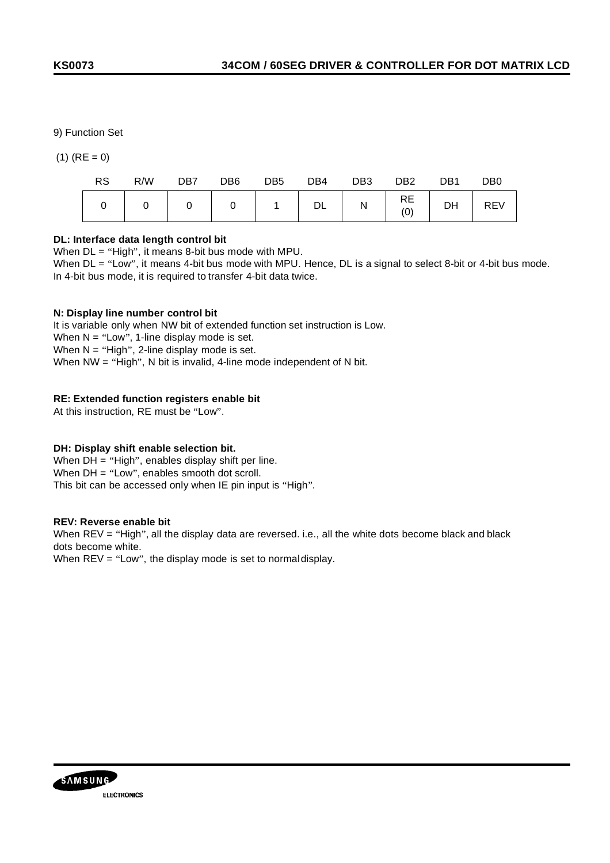9) Function Set

 $(1)$  (RE = 0)

| <b>RS</b> | R/W | DB7 | DB <sub>6</sub> | DB <sub>5</sub> | DB4 | DB <sub>3</sub> | DB <sub>2</sub> | DB <sub>1</sub> | DB <sub>0</sub> |
|-----------|-----|-----|-----------------|-----------------|-----|-----------------|-----------------|-----------------|-----------------|
|           |     |     |                 |                 | DL  | N               | RE<br>(0)       | DH              | <b>REV</b>      |

# **DL: Interface data length control bit**

When DL = "High", it means 8-bit bus mode with MPU.

When  $DL = 'Low'$ , it means 4-bit bus mode with MPU. Hence, DL is a signal to select 8-bit or 4-bit bus mode. In 4-bit bus mode, it is required to transfer 4-bit data twice.

## **N: Display line number control bit**

It is variable only when NW bit of extended function set instruction is Low. When  $N = "Low", 1-line display mode is set.$ When  $N = "High", 2-line display mode is set.$ When NW = "High", N bit is invalid, 4-line mode independent of N bit.

# **RE: Extended function registers enable bit**

At this instruction, RE must be "Low".

## **DH: Display shift enable selection bit.**

When DH = "High", enables display shift per line. When DH = "Low", enables smooth dot scroll. This bit can be accessed only when IE pin input is "High".

## **REV: Reverse enable bit**

When REV = "High", all the display data are reversed. i.e., all the white dots become black and black dots become white. When REV = "Low", the display mode is set to normal display.

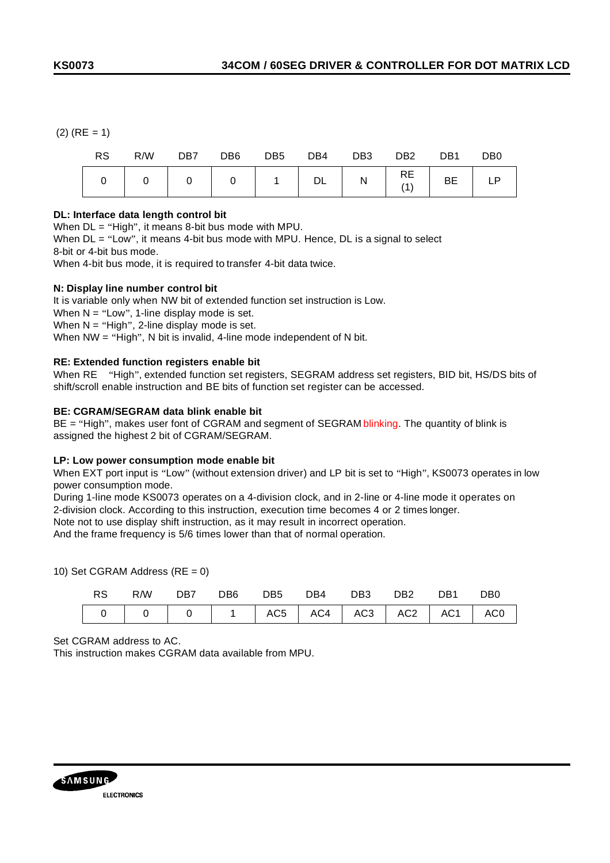$(2)$  (RE = 1)

| RS. | R/W | DB7 | DB6 | DB5 | DB4 | DB <sub>3</sub>                                              | DB <sub>2</sub>                                       | DB <sub>1</sub> | DB <sub>0</sub> |
|-----|-----|-----|-----|-----|-----|--------------------------------------------------------------|-------------------------------------------------------|-----------------|-----------------|
|     |     |     |     |     |     | $\begin{array}{ c c c c c }\n\hline\n&\text{N}\n\end{array}$ | $N \begin{array}{c} \overline{RE} \\ (1) \end{array}$ |                 | LP              |

## **DL: Interface data length control bit**

When DL = "High", it means 8-bit bus mode with MPU.

When  $DL = "Low"$ , it means 4-bit bus mode with MPU. Hence, DL is a signal to select 8-bit or 4-bit bus mode.

When 4-bit bus mode, it is required to transfer 4-bit data twice.

### **N: Display line number control bit**

It is variable only when NW bit of extended function set instruction is Low. When  $N = "Low", 1-line display mode is set.$ When  $N = "High", 2-line display mode is set.$ When NW = "High", N bit is invalid, 4-line mode independent of N bit.

### **RE: Extended function registers enable bit**

When RE "High", extended function set registers, SEGRAM address set registers, BID bit, HS/DS bits of shift/scroll enable instruction and BE bits of function set register can be accessed.

### **BE: CGRAM/SEGRAM data blink enable bit**

BE = "High", makes user font of CGRAM and segment of SEGRAM blinking. The quantity of blink is assigned the highest 2 bit of CGRAM/SEGRAM.

### **LP: Low power consumption mode enable bit**

When EXT port input is "Low" (without extension driver) and LP bit is set to "High", KS0073 operates in low power consumption mode.

During 1-line mode KS0073 operates on a 4-division clock, and in 2-line or 4-line mode it operates on 2-division clock. According to this instruction, execution time becomes 4 or 2 times longer.

Note not to use display shift instruction, as it may result in incorrect operation.

And the frame frequency is 5/6 times lower than that of normal operation.

10) Set CGRAM Address (RE = 0)

|  | RS R/W DB7 DB6 DB5 DB4 DB3 DB2 DB1 DB0            |  |  |  |  |
|--|---------------------------------------------------|--|--|--|--|
|  | 0   0   0   1   AC5   AC4   AC3   AC2   AC1   AC0 |  |  |  |  |

Set CGRAM address to AC.

This instruction makes CGRAM data available from MPU.

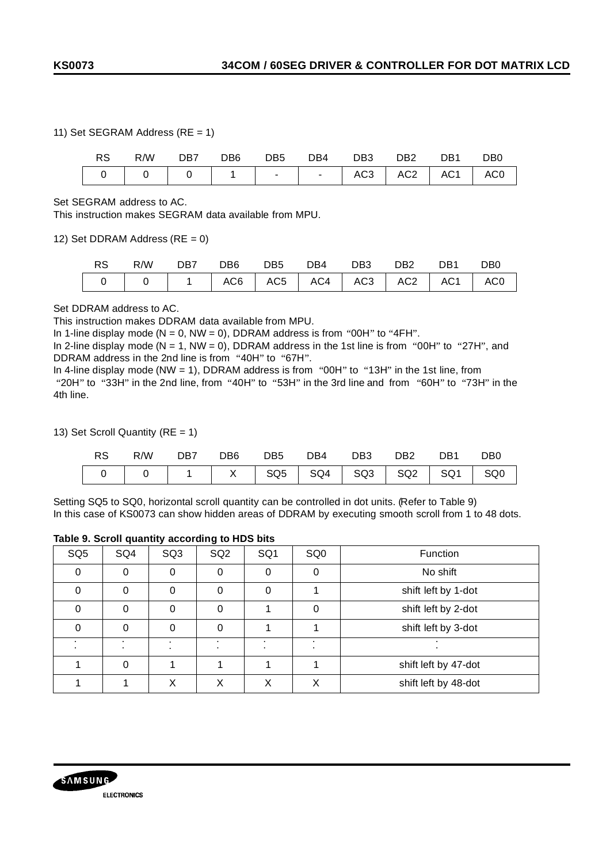### 11) Set SEGRAM Address (RE = 1)

|  |  | RS R/W DB7 DB6 DB5 DB4 DB3 DB2 DB1 DB0        |  |  |
|--|--|-----------------------------------------------|--|--|
|  |  | 0   0   0   1   -   -   AC3   AC2   AC1   AC0 |  |  |

### Set SEGRAM address to AC.

This instruction makes SEGRAM data available from MPU.

12) Set DDRAM Address (RE = 0)

|  | RS R/W DB7 DB6 DB5 DB4 DB3 DB2 DB1 DB0 |  |  |  |  |
|--|----------------------------------------|--|--|--|--|
|  |                                        |  |  |  |  |

## Set DDRAM address to AC.

This instruction makes DDRAM data available from MPU.

In 1-line display mode ( $N = 0$ ,  $NW = 0$ ), DDRAM address is from "00H" to "4FH".

In 2-line display mode ( $N = 1$ ,  $NW = 0$ ), DDRAM address in the 1st line is from "00H" to "27H", and DDRAM address in the 2nd line is from "40H" to "67H".

In 4-line display mode (NW = 1), DDRAM address is from "00H" to "13H" in the 1st line, from "20H" to "33H" in the 2nd line, from "40H" to "53H" in the 3rd line and from "60H" to "73H" in the 4th line.

13) Set Scroll Quantity (RE = 1)

| RS R/W DB7 DB6 DB5 DB4 DB3 DB2 DB1 DB0 |  |  |  |  |  |
|----------------------------------------|--|--|--|--|--|
| 0 0 1 X 3Q5 3Q4 3Q3 3Q2 3Q1 3Q0        |  |  |  |  |  |

Setting SQ5 to SQ0, horizontal scroll quantity can be controlled in dot units. (Refer to Table 9) In this case of KS0073 can show hidden areas of DDRAM by executing smooth scroll from 1 to 48 dots.

### **Table 9. Scroll quantity according to HDS bits**

| SQ <sub>5</sub> | SQ4 | SQ <sub>3</sub> | SQ <sub>2</sub> | SQ1 | SQ <sub>0</sub> | Function             |
|-----------------|-----|-----------------|-----------------|-----|-----------------|----------------------|
| 0               | 0   | 0               | 0               | 0   | 0               | No shift             |
| 0               | 0   | 0               | 0               | 0   |                 | shift left by 1-dot  |
| 0               | 0   | 0               | $\Omega$        |     | 0               | shift left by 2-dot  |
|                 | 0   | 0               | $\Omega$        |     |                 | shift left by 3-dot  |
|                 |     |                 | ٠<br>٠          | ٠   |                 |                      |
|                 | 0   |                 |                 |     |                 | shift left by 47-dot |
|                 |     | X               | X               | X   | X               | shift left by 48-dot |

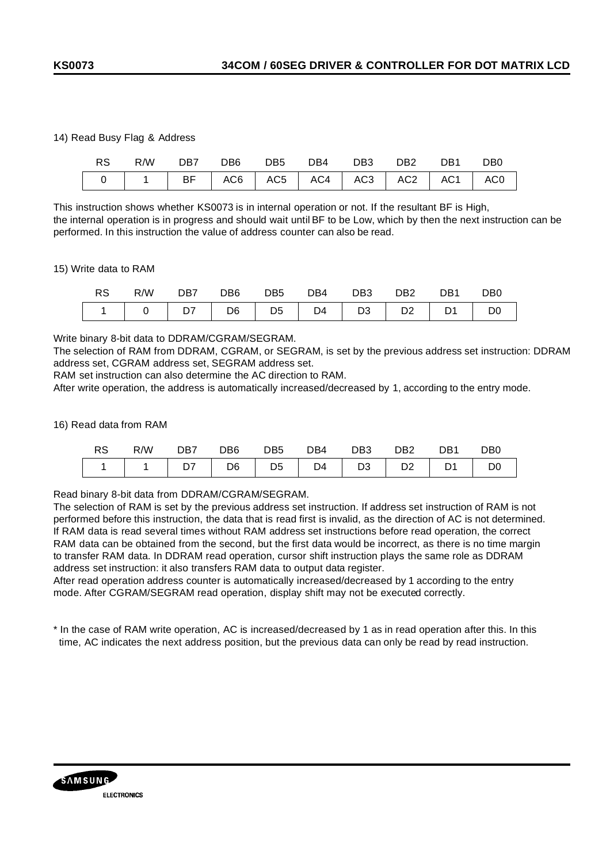## 14) Read Busy Flag & Address

| - RS |  |  | R/W DB7 DB6 DB5 DB4 DB3 DB2 DB1                        |  | DB0 |
|------|--|--|--------------------------------------------------------|--|-----|
|      |  |  | │ 0 │ 1 │ BF │ AC6 │ AC5 │ AC4 │ AC3 │ AC2 │ AC1 │ AC0 |  |     |

This instruction shows whether KS0073 is in internal operation or not. If the resultant BF is High, the internal operation is in progress and should wait until BF to be Low, which by then the next instruction can be performed. In this instruction the value of address counter can also be read.

## 15) Write data to RAM

| <b>RS</b> | R/W DB7 DB6 DB5 DB4 DB3 DB2 DB1 DB0           |  |  |  |  |
|-----------|-----------------------------------------------|--|--|--|--|
|           | 1   0   D7   D6   D5   D4   D3   D2   D1   D0 |  |  |  |  |

Write binary 8-bit data to DDRAM/CGRAM/SEGRAM.

The selection of RAM from DDRAM, CGRAM, or SEGRAM, is set by the previous address set instruction: DDRAM address set, CGRAM address set, SEGRAM address set.

RAM set instruction can also determine the AC direction to RAM.

After write operation, the address is automatically increased/decreased by 1, according to the entry mode.

#### 16) Read data from RAM

| <b>RS</b> | R/W | DB <sub>7</sub>                          | DB6 | DB5 | DB4 | DB <sub>3</sub> | DB <sub>2</sub> | DB <sub>1</sub> | DB <sub>0</sub> |
|-----------|-----|------------------------------------------|-----|-----|-----|-----------------|-----------------|-----------------|-----------------|
|           |     | 1   1   D7   D6   D5   D4   D3   D2   D1 |     |     |     |                 |                 |                 | D <sub>0</sub>  |

Read binary 8-bit data from DDRAM/CGRAM/SEGRAM.

The selection of RAM is set by the previous address set instruction. If address set instruction of RAM is not performed before this instruction, the data that is read first is invalid, as the direction of AC is not determined. If RAM data is read several times without RAM address set instructions before read operation, the correct RAM data can be obtained from the second, but the first data would be incorrect, as there is no time margin to transfer RAM data. In DDRAM read operation, cursor shift instruction plays the same role as DDRAM address set instruction: it also transfers RAM data to output data register.

After read operation address counter is automatically increased/decreased by 1 according to the entry mode. After CGRAM/SEGRAM read operation, display shift may not be executed correctly.

\* In the case of RAM write operation, AC is increased/decreased by 1 as in read operation after this. In this time, AC indicates the next address position, but the previous data can only be read by read instruction.

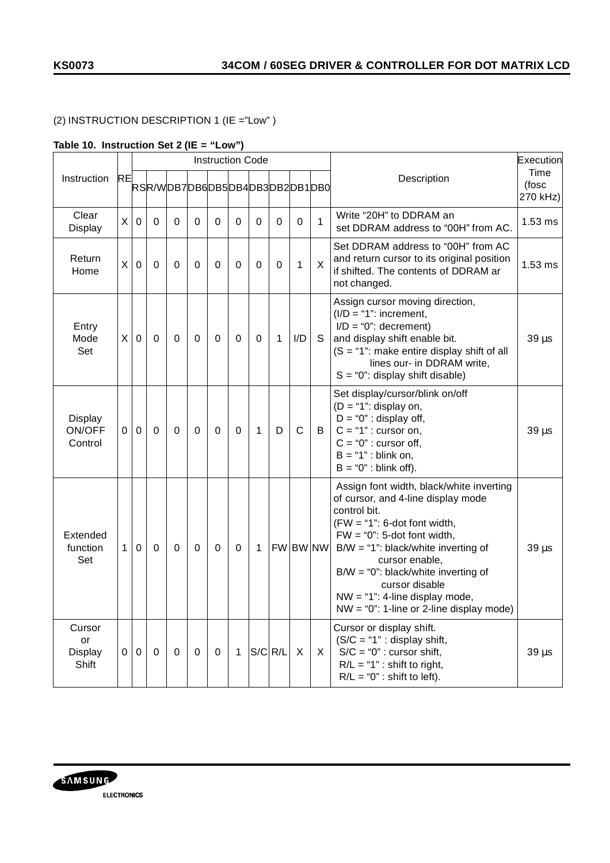B/W = "0": black/white inverting of cursor disable NW = "1": 4-line display mode,

 Cursor or display shift.  $(S/C = "1" : display)$  shift,  $S/C = "0" : cursor shift,$  $R/L = "1"$ : shift to right,  $R/L = "0"$ : shift to left).

NW = "0": 1-line or 2-line display mode)

**Execution** Time (fosc 270 kHz)

39 µs

# (2) INSTRUCTION DESCRIPTION 1 (IE ="Low" )

| Table 10. Instruction Set 2 (IE = "Low") |           |                |                |                |                               |                         |             |              |             |              |              |                                                                                                                                                                                                                                               |                           |
|------------------------------------------|-----------|----------------|----------------|----------------|-------------------------------|-------------------------|-------------|--------------|-------------|--------------|--------------|-----------------------------------------------------------------------------------------------------------------------------------------------------------------------------------------------------------------------------------------------|---------------------------|
|                                          |           |                |                |                |                               | <b>Instruction Code</b> |             |              |             |              |              |                                                                                                                                                                                                                                               | Execution                 |
| Instruction                              | <b>RE</b> |                |                |                | RSR/WDB7DB6DB5DB4DB3DB2DB1DB0 |                         |             |              |             |              |              | Description                                                                                                                                                                                                                                   | Time<br>(fosc<br>270 kHz) |
| Clear<br><b>Display</b>                  | X         | $\overline{0}$ | $\mathbf 0$    | $\mathbf 0$    | $\Omega$                      | $\Omega$                | $\Omega$    | $\mathbf 0$  | $\mathbf 0$ | $\mathbf 0$  | $\mathbf{1}$ | Write "20H" to DDRAM an<br>set DDRAM address to "00H" from AC.                                                                                                                                                                                | $1.53$ ms                 |
| Return<br>Home                           | X         | $\Omega$       | $\overline{0}$ | $\overline{0}$ | $\mathbf 0$                   | $\overline{0}$          | $\mathbf 0$ | $\mathbf 0$  | $\mathbf 0$ | $\mathbf{1}$ | X            | Set DDRAM address to "00H" from AC<br>and return cursor to its original position<br>if shifted. The contents of DDRAM ar<br>not changed.                                                                                                      | $1.53$ ms                 |
| Entry<br>Mode<br>Set                     | X         | $\Omega$       | $\overline{0}$ | $\overline{0}$ | $\mathbf 0$                   | $\mathbf 0$             | $\Omega$    | $\mathbf 0$  | 1           | I/D          | S.           | Assign cursor moving direction,<br>$(I/D = "1"$ : increment,<br>$I/D = "0"$ : decrement)<br>and display shift enable bit.<br>$(S = "1":$ make entire display shift of all<br>lines our- in DDRAM write,<br>$S = "0"$ : display shift disable) | $39 \mu s$                |
| <b>Display</b><br>ON/OFF<br>Control      | $\Omega$  | $\Omega$       | $\Omega$       | $\mathbf 0$    | $\Omega$                      | $\Omega$                | $\Omega$    | $\mathbf{1}$ | D           | $\mathbf C$  | B            | Set display/cursor/blink on/off<br>$(D = "1": display on,$<br>$D = "0"$ : display off,<br>$C = "1" : cursor on,$<br>$C = "0"$ : cursor off,<br>$B = "1" : blink on,$<br>$B = "0"$ : blink off).                                               | $39 \mu s$                |
| Extended<br>function<br>Set              | 1         | 0              | 0              | $\mathbf 0$    | 0                             | $\Omega$                | $\Omega$    | 1            |             | FW BW NW     |              | Assign font width, black/white inverting<br>of cursor, and 4-line display mode<br>control bit.<br>$(FW = "1": 6-dot font width,$<br>$FW = "0": 5-dot$ font width,<br>$B/W = "1"$ : black/white inverting of<br>cursor enable,                 | $39 \mu s$                |

 $0|0|0|0|0|0|1|S/C |R/L|X|X$ 

# **Table 10. Instruction Set 2 (IE = "Low")**



**Cursor** or Display **Shift**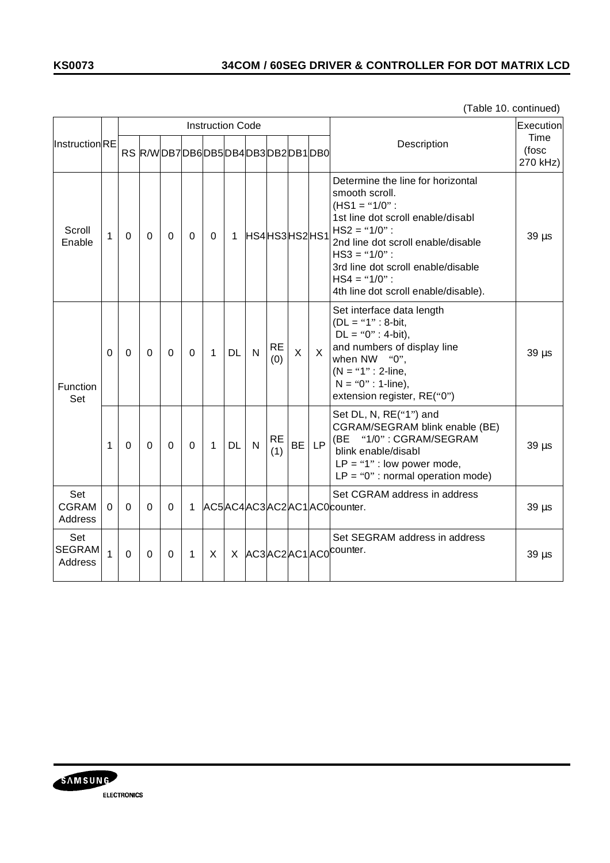(Table 10. continued)

|                                 |              |             |             |          |             | <b>Instruction Code</b>        |             |              |                  |              |           |                                                                                                                                                                                                                                                                                          | Execution                 |
|---------------------------------|--------------|-------------|-------------|----------|-------------|--------------------------------|-------------|--------------|------------------|--------------|-----------|------------------------------------------------------------------------------------------------------------------------------------------------------------------------------------------------------------------------------------------------------------------------------------------|---------------------------|
| <b>InstructionRE</b>            |              |             |             |          |             | RS R/WDB7DB6DB5DB4DB3DB2DB1DB0 |             |              |                  |              |           | Description                                                                                                                                                                                                                                                                              | Time<br>(fosc<br>270 kHz) |
| Scroll<br>Enable                | $\mathbf{1}$ | $\mathbf 0$ | $\Omega$    | $\Omega$ | $\mathbf 0$ | 0                              | $\mathbf 1$ | HS4HS3HS2HS1 |                  |              |           | Determine the line for horizontal<br>smooth scroll.<br>$(HS1 = "1/0":$<br>1st line dot scroll enable/disabl<br>$HS2 = "1/0"$ :<br>2nd line dot scroll enable/disable<br>$HS3 = "1/0"$ :<br>3rd line dot scroll enable/disable<br>$HS4 = "1/0"$ :<br>4th line dot scroll enable/disable). | $39 \mu s$                |
| <b>Function</b><br>Set          | $\mathbf 0$  | $\mathbf 0$ | $\mathbf 0$ | 0        | $\mathbf 0$ | 1                              | <b>DL</b>   | N            | <b>RE</b><br>(0) | $\mathsf{X}$ | X         | Set interface data length<br>$(DL = "1" : 8-bit,$<br>$DL = "0" : 4-bit),$<br>and numbers of display line<br>when NW "0",<br>$(N = "1" : 2$ -line,<br>$N = "0" : 1$ -line),<br>extension register, RE("0")                                                                                | $39 \mu s$                |
|                                 | 1            | $\mathbf 0$ | $\mathbf 0$ | 0        | $\Omega$    | 1                              | <b>DL</b>   | $\mathsf{N}$ | <b>RE</b><br>(1) | <b>BE</b>    | <b>LP</b> | Set DL, N, RE("1") and<br>CGRAM/SEGRAM blink enable (BE)<br>(BE "1/0": CGRAM/SEGRAM<br>blink enable/disabl<br>$LP = "1" : low power mode,$<br>$LP = "0"$ : normal operation mode)                                                                                                        | $39 \mu s$                |
| Set<br><b>CGRAM</b><br>Address  | $\Omega$     | $\Omega$    | $\Omega$    | 0        | 1           |                                |             |              |                  |              |           | Set CGRAM address in address<br>AC5AC4AC3AC2AC1AC0counter.                                                                                                                                                                                                                               | $39 \mu s$                |
| Set<br><b>SEGRAM</b><br>Address | $\mathbf{1}$ | $\Omega$    | $\Omega$    | $\Omega$ | 1           | X                              |             |              |                  |              |           | Set SEGRAM address in address<br>X  AC3 AC2 AC1 AC0 <sup> counter.</sup>                                                                                                                                                                                                                 | $39 \mu s$                |

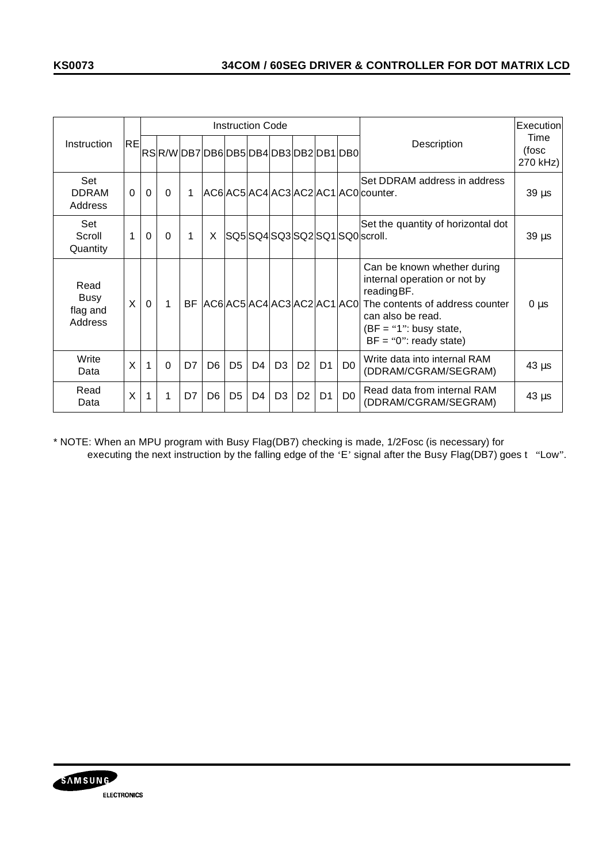|                                            |              |                |          |                                        |                |                | <b>Instruction Code</b>  |                |                |                |                |                                                                                                                                                                                             | <b>Execution</b>          |
|--------------------------------------------|--------------|----------------|----------|----------------------------------------|----------------|----------------|--------------------------|----------------|----------------|----------------|----------------|---------------------------------------------------------------------------------------------------------------------------------------------------------------------------------------------|---------------------------|
| Instruction                                | <b>RE</b>    |                |          | RS R/W DB7 DB6 DB5 DB4 DB3 DB2 DB1 DB0 |                |                |                          |                |                |                |                | Description                                                                                                                                                                                 | Time<br>(fosc<br>270 kHz) |
| Set<br><b>DDRAM</b><br>Address             | $\Omega$     | $\Omega$       | $\Omega$ | 1                                      |                |                |                          |                |                |                |                | lSet DDRAM address in address<br>AC6 AC5 AC4 AC3 AC2 AC1 AC0 counter.                                                                                                                       | $39 \mu s$                |
| Set<br>Scroll<br>Quantity                  | 1            | $\overline{0}$ | $\Omega$ | 1                                      | X              |                |                          |                |                |                |                | Set the quantity of horizontal dot<br> SQ5 SQ4 SQ3 SQ2 SQ1 SQ0 scroll.                                                                                                                      | $39 \mu s$                |
| Read<br><b>Busy</b><br>flag and<br>Address | $\mathsf{X}$ | $\Omega$       | 1        |                                        |                |                | BF AC6AC5AC4AC3AC2AC1AC0 |                |                |                |                | Can be known whether during<br>internal operation or not by<br>reading BF.<br>The contents of address counter<br>can also be read.<br>$(BF = "1": busy state,$<br>$BF = "0"$ : ready state) | $0 \mu s$                 |
| Write<br>Data                              | X.           | $\mathbf 1$    | $\Omega$ | D7                                     | D <sub>6</sub> | D <sub>5</sub> | D <sub>4</sub>           | D <sub>3</sub> | D <sub>2</sub> | D <sub>1</sub> | D <sub>0</sub> | Write data into internal RAM<br>(DDRAM/CGRAM/SEGRAM)                                                                                                                                        | $43 \mu s$                |
| Read<br>Data                               | X            |                |          | D7                                     | D <sub>6</sub> | D <sub>5</sub> | D <sub>4</sub>           | D <sub>3</sub> | D <sub>2</sub> | D1             | D <sub>0</sub> | Read data from internal RAM<br>(DDRAM/CGRAM/SEGRAM)                                                                                                                                         | $43 \mu s$                |

\* NOTE: When an MPU program with Busy Flag(DB7) checking is made, 1/2Fosc (is necessary) for executing the next instruction by the falling edge of the 'E' signal after the Busy Flag(DB7) goes t "Low".

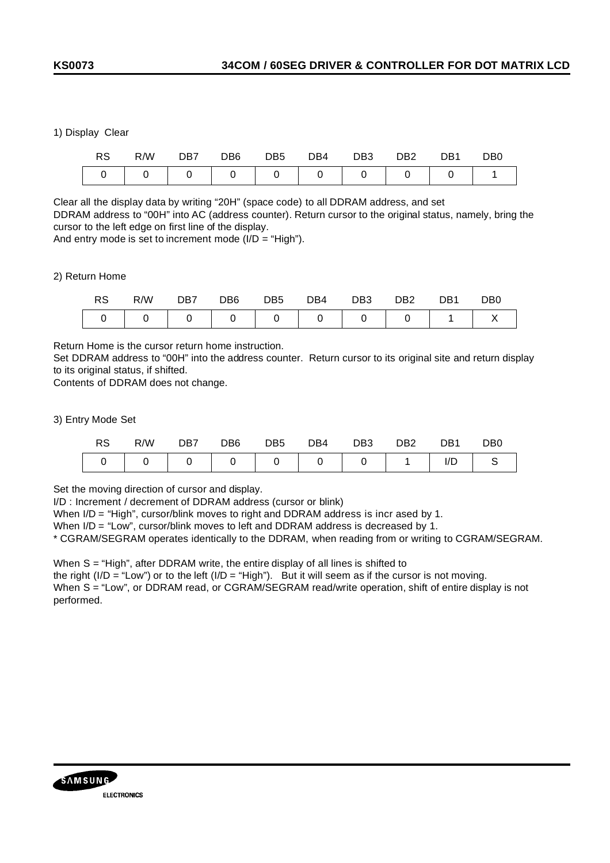1) Display Clear

| <b>RS</b> | R/W | DB7 | DB6 | <b>DB5</b> | DB4 and the set of the set of the set of the set of the set of the set of the set of the set of the set of the | DB3 | DB2 | DB1 | DB <sub>0</sub> |
|-----------|-----|-----|-----|------------|----------------------------------------------------------------------------------------------------------------|-----|-----|-----|-----------------|
|           |     |     |     |            |                                                                                                                |     |     |     |                 |

Clear all the display data by writing "20H" (space code) to all DDRAM address, and set DDRAM address to "00H" into AC (address counter). Return cursor to the original status, namely, bring the cursor to the left edge on first line of the display.

And entry mode is set to increment mode  $(I/D = "High").$ 

#### 2) Return Home

| RS | R/W DB7 |  | DB6 DB5 | DB4 and the set of the set of the set of the set of the set of the set of the set of the set of the set of the | DB3 DB2 DB1 | DB <sub>0</sub> |
|----|---------|--|---------|----------------------------------------------------------------------------------------------------------------|-------------|-----------------|
|    |         |  |         |                                                                                                                |             |                 |

Return Home is the cursor return home instruction.

Set DDRAM address to "00H" into the address counter. Return cursor to its original site and return display to its original status, if shifted.

Contents of DDRAM does not change.

3) Entry Mode Set

|  | RS R/W DB7 DB6 DB5 DB4 DB3 DB2 DB1 DB0 |  |  |  |  |
|--|----------------------------------------|--|--|--|--|
|  |                                        |  |  |  |  |

Set the moving direction of cursor and display.

I/D : Increment / decrement of DDRAM address (cursor or blink)

When I/D = "High", cursor/blink moves to right and DDRAM address is incr ased by 1.

When I/D = "Low", cursor/blink moves to left and DDRAM address is decreased by 1.

\* CGRAM/SEGRAM operates identically to the DDRAM, when reading from or writing to CGRAM/SEGRAM.

When S = "High", after DDRAM write, the entire display of all lines is shifted to

the right ( $I/D = "Low"$ ) or to the left ( $I/D = "High"$ ). But it will seem as if the cursor is not moving. When S = "Low", or DDRAM read, or CGRAM/SEGRAM read/write operation, shift of entire display is not performed.

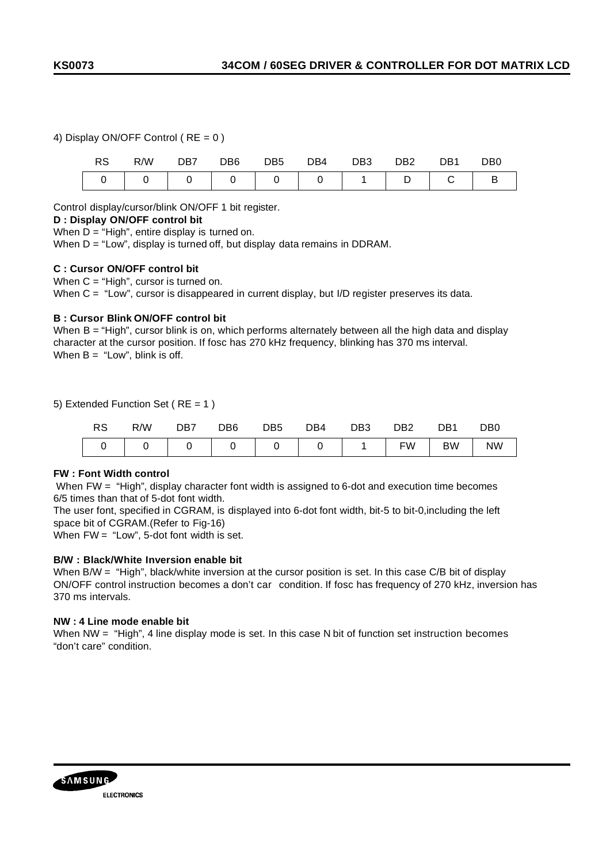# 4) Display ON/OFF Control ( RE = 0 )

| <b>RS</b> | R/W | DB7 | DB6 | DB5 | DB4 | DB <sub>3</sub> | DB <sub>2</sub> | DB <sub>1</sub> | D <sub>B</sub> 0 |
|-----------|-----|-----|-----|-----|-----|-----------------|-----------------|-----------------|------------------|
|           |     |     |     |     |     |                 |                 |                 |                  |

Control display/cursor/blink ON/OFF 1 bit register.

## **D : Display ON/OFF control bit**

When  $D = "High",$  entire display is turned on.

When D = "Low", display is turned off, but display data remains in DDRAM.

## **C : Cursor ON/OFF control bit**

When  $C = "High"$ , cursor is turned on.

When C = "Low", cursor is disappeared in current display, but I/D register preserves its data.

# **B : Cursor Blink ON/OFF control bit**

When B = "High", cursor blink is on, which performs alternately between all the high data and display character at the cursor position. If fosc has 270 kHz frequency, blinking has 370 ms interval. When  $B = "Low"$ , blink is off.

5) Extended Function Set ( RE = 1 )

| RS | R/W            | DB7                     | DB6 | DB <sub>5</sub> | DB4 | DB <sub>3</sub> | DB <sub>2</sub> | DB <sub>1</sub> | D <sub>B</sub> 0 |
|----|----------------|-------------------------|-----|-----------------|-----|-----------------|-----------------|-----------------|------------------|
|    | $\overline{0}$ | $\overline{\mathbf{0}}$ |     |                 |     |                 | FW              | <b>BW</b>       | <b>NW</b>        |

## **FW : Font Width control**

When FW = "High", display character font width is assigned to 6-dot and execution time becomes 6/5 times than that of 5-dot font width.

The user font, specified in CGRAM, is displayed into 6-dot font width, bit-5 to bit-0,including the left space bit of CGRAM.(Refer to Fig-16)

When FW = "Low", 5-dot font width is set.

## **B/W : Black/White Inversion enable bit**

When B/W = "High", black/white inversion at the cursor position is set. In this case C/B bit of display ON/OFF control instruction becomes a don't car condition. If fosc has frequency of 270 kHz, inversion has 370 ms intervals.

## **NW : 4 Line mode enable bit**

When NW = "High", 4 line display mode is set. In this case N bit of function set instruction becomes "don't care" condition.

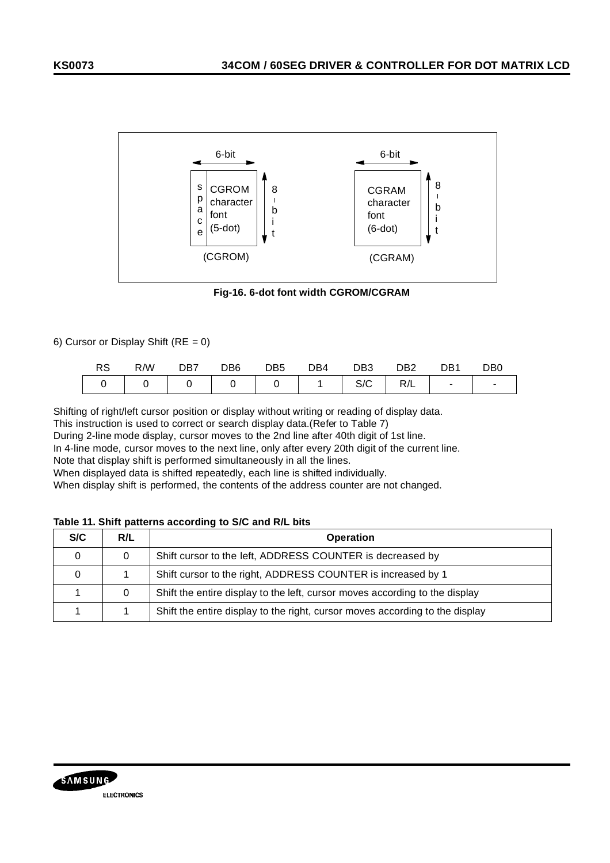



# 6) Cursor or Display Shift ( $RE = 0$ )

| RS | R/W | DB7 | DB6 | DB <sub>5</sub> | DB4              | DB <sub>3</sub> | DB <sub>2</sub> | DB <sub>1</sub>          | D <sub>B</sub> 0         |
|----|-----|-----|-----|-----------------|------------------|-----------------|-----------------|--------------------------|--------------------------|
|    |     |     |     |                 | $\blacksquare$ 1 | S/C             | R/L             | $\overline{\phantom{a}}$ | $\overline{\phantom{a}}$ |

Shifting of right/left cursor position or display without writing or reading of display data.

This instruction is used to correct or search display data.(Refer to Table 7)

During 2-line mode display, cursor moves to the 2nd line after 40th digit of 1st line.

In 4-line mode, cursor moves to the next line, only after every 20th digit of the current line.

Note that display shift is performed simultaneously in all the lines.

When displayed data is shifted repeatedly, each line is shifted individually.

When display shift is performed, the contents of the address counter are not changed.

## **Table 11. Shift patterns according to S/C and R/L bits**

| S/C | R/L | <b>Operation</b>                                                             |
|-----|-----|------------------------------------------------------------------------------|
|     |     | Shift cursor to the left, ADDRESS COUNTER is decreased by                    |
|     |     | Shift cursor to the right, ADDRESS COUNTER is increased by 1                 |
|     | O   | Shift the entire display to the left, cursor moves according to the display  |
|     |     | Shift the entire display to the right, cursor moves according to the display |

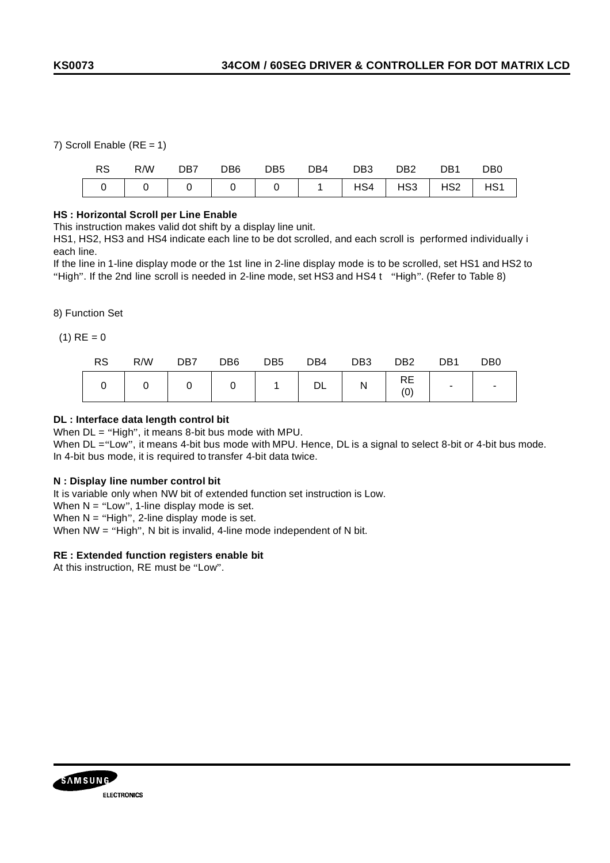7) Scroll Enable  $(RE = 1)$ 

| <b>RS</b> |  |  | R/W DB7 DB6 DB5 DB4 DB3 DB2 DB1               |  | DB <sub>0</sub> |
|-----------|--|--|-----------------------------------------------|--|-----------------|
|           |  |  | 0   0   0   0   0   1   HS4   HS3   HS2   HS1 |  |                 |

## **HS : Horizontal Scroll per Line Enable**

This instruction makes valid dot shift by a display line unit.

HS1, HS2, HS3 and HS4 indicate each line to be dot scrolled, and each scroll is performed individually i each line.

If the line in 1-line display mode or the 1st line in 2-line display mode is to be scrolled, set HS1 and HS2 to "High". If the 2nd line scroll is needed in 2-line mode, set HS3 and HS4 t "High". (Refer to Table 8)

8) Function Set

 $(1)$  RE = 0

| <b>RS</b> | R/W | DB7 | DB6 | DB <sub>5</sub> | DB4       | DB <sub>3</sub> | DB <sub>2</sub> | DB <sub>1</sub>          | DB <sub>0</sub> |
|-----------|-----|-----|-----|-----------------|-----------|-----------------|-----------------|--------------------------|-----------------|
|           |     |     |     |                 | <b>DI</b> | N               | RE<br>(0)       | $\overline{\phantom{0}}$ |                 |

## **DL : Interface data length control bit**

When DL = "High", it means 8-bit bus mode with MPU.

When  $DL = "Low",$  it means 4-bit bus mode with MPU. Hence, DL is a signal to select 8-bit or 4-bit bus mode. In 4-bit bus mode, it is required to transfer 4-bit data twice.

## **N : Display line number control bit**

It is variable only when NW bit of extended function set instruction is Low.

When  $N = "Low", 1-line display mode is set.$ 

When  $N = "High", 2-line display mode is set.$ 

When NW = "High", N bit is invalid, 4-line mode independent of N bit.

## **RE : Extended function registers enable bit**

At this instruction, RE must be "Low".

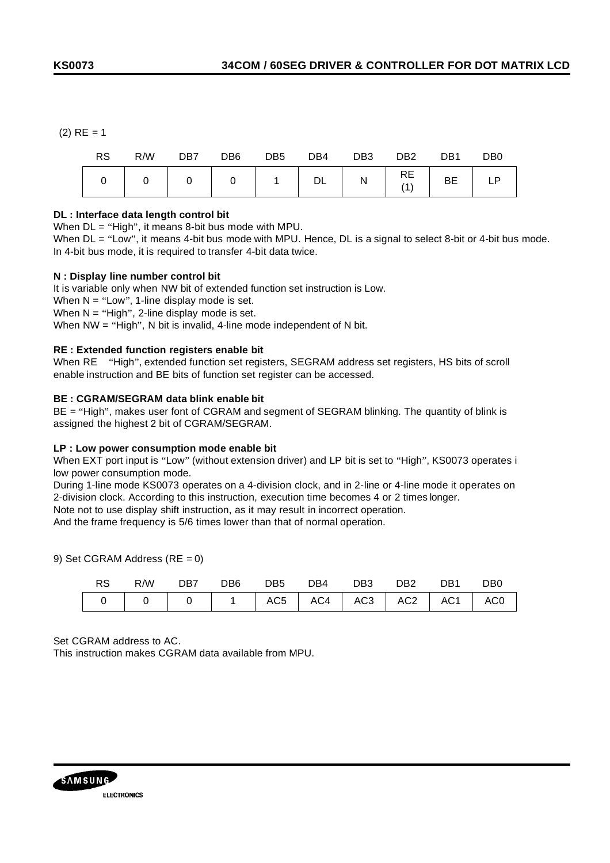$(2)$  RE = 1

| <b>RS</b> | R/W | DB7 | DB6 | DB5 | DB4 | DB3 | DB <sub>2</sub>                                                         | DB <sub>1</sub> | DB <sub>0</sub> |
|-----------|-----|-----|-----|-----|-----|-----|-------------------------------------------------------------------------|-----------------|-----------------|
|           |     |     |     |     |     |     | $\begin{array}{ c c c c c } \hline & \text{RE} & \text{BE} \end{array}$ |                 |                 |

#### **DL : Interface data length control bit**

When DL = "High", it means 8-bit bus mode with MPU.

When  $DL = "Low"$ , it means 4-bit bus mode with MPU. Hence, DL is a signal to select 8-bit or 4-bit bus mode. In 4-bit bus mode, it is required to transfer 4-bit data twice.

#### **N : Display line number control bit**

It is variable only when NW bit of extended function set instruction is Low.

When  $N = "Low", 1-line display mode is set.$ 

When  $N = "High", 2-line display mode is set.$ 

When NW = "High", N bit is invalid, 4-line mode independent of N bit.

#### **RE : Extended function registers enable bit**

When RE "High", extended function set registers, SEGRAM address set registers, HS bits of scroll enable instruction and BE bits of function set register can be accessed.

## **BE : CGRAM/SEGRAM data blink enable bit**

BE = "High", makes user font of CGRAM and segment of SEGRAM blinking. The quantity of blink is assigned the highest 2 bit of CGRAM/SEGRAM.

#### **LP : Low power consumption mode enable bit**

When EXT port input is "Low" (without extension driver) and LP bit is set to "High", KS0073 operates i low power consumption mode.

During 1-line mode KS0073 operates on a 4-division clock, and in 2-line or 4-line mode it operates on 2-division clock. According to this instruction, execution time becomes 4 or 2 times longer.

Note not to use display shift instruction, as it may result in incorrect operation.

And the frame frequency is 5/6 times lower than that of normal operation.

9) Set CGRAM Address (RE = 0)

| RS |  |  | R/W DB7 DB6 DB5 DB4 DB3 DB2 DB1             |  | DB0 |
|----|--|--|---------------------------------------------|--|-----|
|    |  |  | 0   0   0   1  AC5  AC4  AC3  AC2  AC1  AC0 |  |     |

Set CGRAM address to AC.

This instruction makes CGRAM data available from MPU.

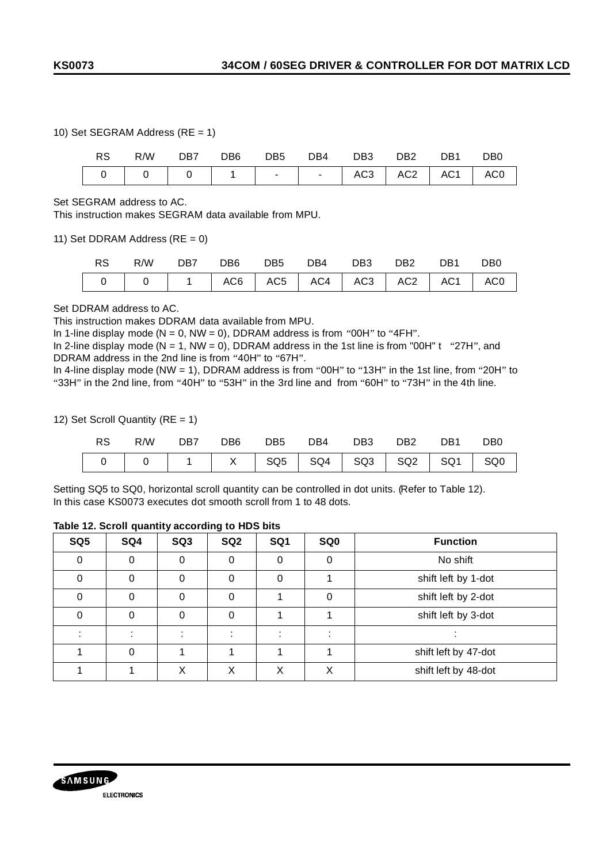#### 10) Set SEGRAM Address (RE = 1)

|  |  |  | RS R/W DB7 DB6 DB5 DB4 DB3 DB2 DB1 DB0 |  |  |
|--|--|--|----------------------------------------|--|--|
|  |  |  | 0 0 0 1 - AC3 AC2 AC1 AC0              |  |  |

#### Set SEGRAM address to AC.

This instruction makes SEGRAM data available from MPU.

11) Set DDRAM Address ( $RE = 0$ )

|  |  |  | RS R/W DB7 DB6 DB5 DB4 DB3 DB2 DB1 DB0 |  |  |
|--|--|--|----------------------------------------|--|--|
|  |  |  | 0 0 1 AC6 AC5 AC4 AC3 AC2 AC1 AC0      |  |  |

## Set DDRAM address to AC.

This instruction makes DDRAM data available from MPU.

In 1-line display mode ( $N = 0$ ,  $NW = 0$ ), DDRAM address is from "00H" to "4FH".

In 2-line display mode ( $N = 1$ ,  $NW = 0$ ), DDRAM address in the 1st line is from "00H" t "27H", and DDRAM address in the 2nd line is from "40H" to "67H".

In 4-line display mode (NW = 1), DDRAM address is from "00H" to "13H" in the 1st line, from "20H" to "33H" in the 2nd line, from "40H" to "53H" in the 3rd line and from "60H" to "73H" in the 4th line.

12) Set Scroll Quantity (RE = 1)

|  |  | RS R/W DB7 DB6 DB5 DB4 DB3 DB2 DB1 DB0 |  |                                                   |
|--|--|----------------------------------------|--|---------------------------------------------------|
|  |  |                                        |  | 0   0   1   X   SQ5   SQ4   SQ3   SQ2   SQ1   SQ0 |

Setting SQ5 to SQ0, horizontal scroll quantity can be controlled in dot units. (Refer to Table 12). In this case KS0073 executes dot smooth scroll from 1 to 48 dots.

#### **Table 12. Scroll quantity according to HDS bits**

| SQ <sub>5</sub> | SQ4      | SQ <sub>3</sub> | SQ <sub>2</sub> | SQ1      | SQ0          | <b>Function</b>      |
|-----------------|----------|-----------------|-----------------|----------|--------------|----------------------|
| $\Omega$        | $\Omega$ | $\Omega$        | 0               | $\Omega$ | 0            | No shift             |
| ი               | 0        | 0               | 0               | $\Omega$ |              | shift left by 1-dot  |
|                 | 0        | 0               | 0               |          |              | shift left by 2-dot  |
|                 | 0        | 0               | 0               |          |              | shift left by 3-dot  |
|                 |          |                 |                 |          |              |                      |
|                 | 0        |                 |                 |          |              | shift left by 47-dot |
|                 |          | Χ               | Χ               | X        | $\checkmark$ | shift left by 48-dot |

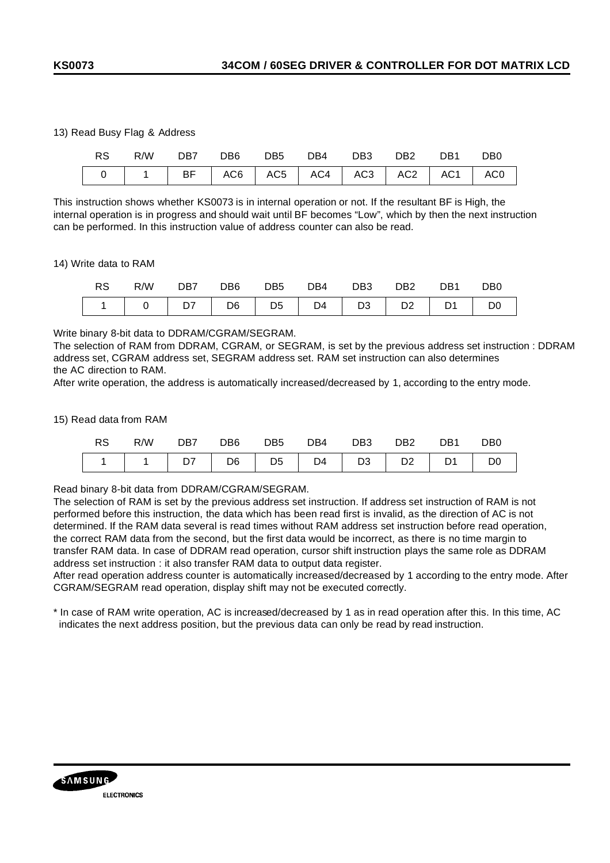#### 13) Read Busy Flag & Address

|  |  | RS R/W DB7 DB6 DB5 DB4 DB3 DB2 DB1 DB0               |  |  |
|--|--|------------------------------------------------------|--|--|
|  |  | 0   1   BF   AC6   AC5   AC4   AC3   AC2   AC1   AC0 |  |  |

This instruction shows whether KS0073 is in internal operation or not. If the resultant BF is High, the internal operation is in progress and should wait until BF becomes "Low", which by then the next instruction can be performed. In this instruction value of address counter can also be read.

#### 14) Write data to RAM

| <b>RS</b> | R/W | DB7                      | DB6 | DB <sub>5</sub> | DB4 | DB <sub>3</sub> | DB <sub>2</sub> | DB <sub>1</sub> | DB <sub>0</sub> |
|-----------|-----|--------------------------|-----|-----------------|-----|-----------------|-----------------|-----------------|-----------------|
|           |     | 0   D7   D6 <sub> </sub> |     | D5              |     | D4   D3   D2    |                 | D <sub>1</sub>  | D <sub>0</sub>  |

Write binary 8-bit data to DDRAM/CGRAM/SEGRAM.

The selection of RAM from DDRAM, CGRAM, or SEGRAM, is set by the previous address set instruction : DDRAM address set, CGRAM address set, SEGRAM address set. RAM set instruction can also determines the AC direction to RAM.

After write operation, the address is automatically increased/decreased by 1, according to the entry mode.

#### 15) Read data from RAM

|  | RS R/W DB7 DB6 DB5 DB4 DB3 DB2 DB1 DB0 |  |  |  |  |
|--|----------------------------------------|--|--|--|--|
|  |                                        |  |  |  |  |

Read binary 8-bit data from DDRAM/CGRAM/SEGRAM.

The selection of RAM is set by the previous address set instruction. If address set instruction of RAM is not performed before this instruction, the data which has been read first is invalid, as the direction of AC is not determined. If the RAM data several is read times without RAM address set instruction before read operation, the correct RAM data from the second, but the first data would be incorrect, as there is no time margin to transfer RAM data. In case of DDRAM read operation, cursor shift instruction plays the same role as DDRAM address set instruction : it also transfer RAM data to output data register.

After read operation address counter is automatically increased/decreased by 1 according to the entry mode. After CGRAM/SEGRAM read operation, display shift may not be executed correctly.

\* In case of RAM write operation, AC is increased/decreased by 1 as in read operation after this. In this time, AC indicates the next address position, but the previous data can only be read by read instruction.

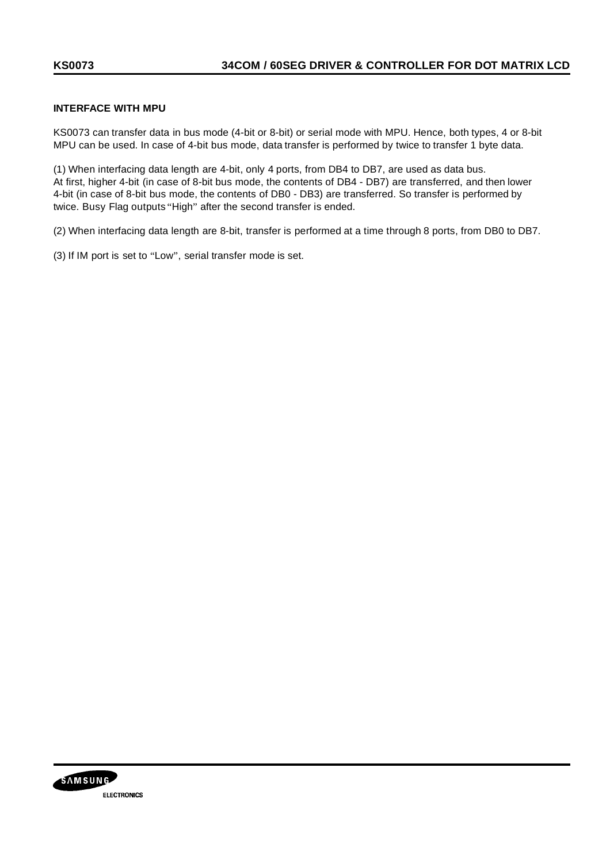# **INTERFACE WITH MPU**

KS0073 can transfer data in bus mode (4-bit or 8-bit) or serial mode with MPU. Hence, both types, 4 or 8-bit MPU can be used. In case of 4-bit bus mode, data transfer is performed by twice to transfer 1 byte data.

(1) When interfacing data length are 4-bit, only 4 ports, from DB4 to DB7, are used as data bus. At first, higher 4-bit (in case of 8-bit bus mode, the contents of DB4 - DB7) are transferred, and then lower 4-bit (in case of 8-bit bus mode, the contents of DB0 - DB3) are transferred. So transfer is performed by twice. Busy Flag outputs "High" after the second transfer is ended.

(2) When interfacing data length are 8-bit, transfer is performed at a time through 8 ports, from DB0 to DB7.

(3) If IM port is set to "Low", serial transfer mode is set.

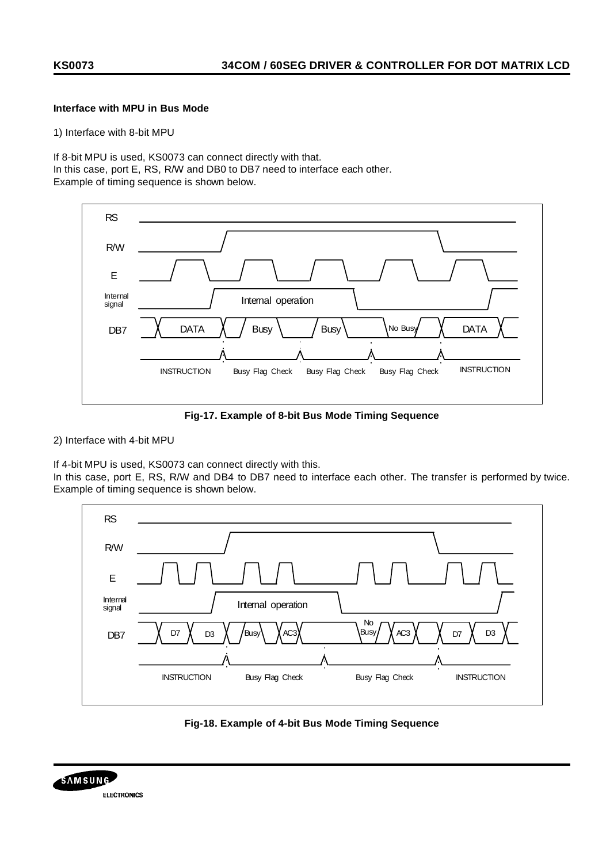#### **Interface with MPU in Bus Mode**

1) Interface with 8-bit MPU

If 8-bit MPU is used, KS0073 can connect directly with that. In this case, port E, RS, R/W and DB0 to DB7 need to interface each other. Example of timing sequence is shown below.



**Fig-17. Example of 8-bit Bus Mode Timing Sequence**

## 2) Interface with 4-bit MPU

If 4-bit MPU is used, KS0073 can connect directly with this.

In this case, port E, RS, R/W and DB4 to DB7 need to interface each other. The transfer is performed by twice. Example of timing sequence is shown below.



**Fig-18. Example of 4-bit Bus Mode Timing Sequence**

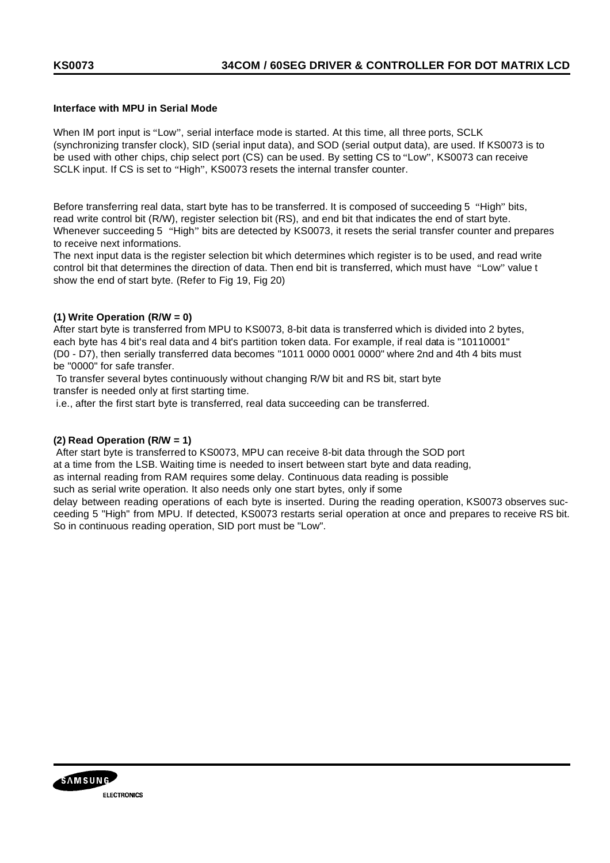## **Interface with MPU in Serial Mode**

When IM port input is "Low", serial interface mode is started. At this time, all three ports, SCLK (synchronizing transfer clock), SID (serial input data), and SOD (serial output data), are used. If KS0073 is to be used with other chips, chip select port (CS) can be used. By setting CS to "Low", KS0073 can receive SCLK input. If CS is set to "High", KS0073 resets the internal transfer counter.

Before transferring real data, start byte has to be transferred. It is composed of succeeding 5 "High" bits, read write control bit (R/W), register selection bit (RS), and end bit that indicates the end of start byte. Whenever succeeding 5 "High" bits are detected by KS0073, it resets the serial transfer counter and prepares to receive next informations.

The next input data is the register selection bit which determines which register is to be used, and read write control bit that determines the direction of data. Then end bit is transferred, which must have "Low" value t show the end of start byte. (Refer to Fig 19, Fig 20)

## **(1) Write Operation (R/W = 0)**

After start byte is transferred from MPU to KS0073, 8-bit data is transferred which is divided into 2 bytes, each byte has 4 bit's real data and 4 bit's partition token data. For example, if real data is "10110001" (D0 - D7), then serially transferred data becomes "1011 0000 0001 0000" where 2nd and 4th 4 bits must be "0000" for safe transfer.

 To transfer several bytes continuously without changing R/W bit and RS bit, start byte transfer is needed only at first starting time.

i.e., after the first start byte is transferred, real data succeeding can be transferred.

## **(2) Read Operation (R/W = 1)**

 After start byte is transferred to KS0073, MPU can receive 8-bit data through the SOD port at a time from the LSB. Waiting time is needed to insert between start byte and data reading, as internal reading from RAM requires some delay. Continuous data reading is possible such as serial write operation. It also needs only one start bytes, only if some delay between reading operations of each byte is inserted. During the reading operation, KS0073 observes succeeding 5 "High" from MPU. If detected, KS0073 restarts serial operation at once and prepares to receive RS bit. So in continuous reading operation, SID port must be "Low".

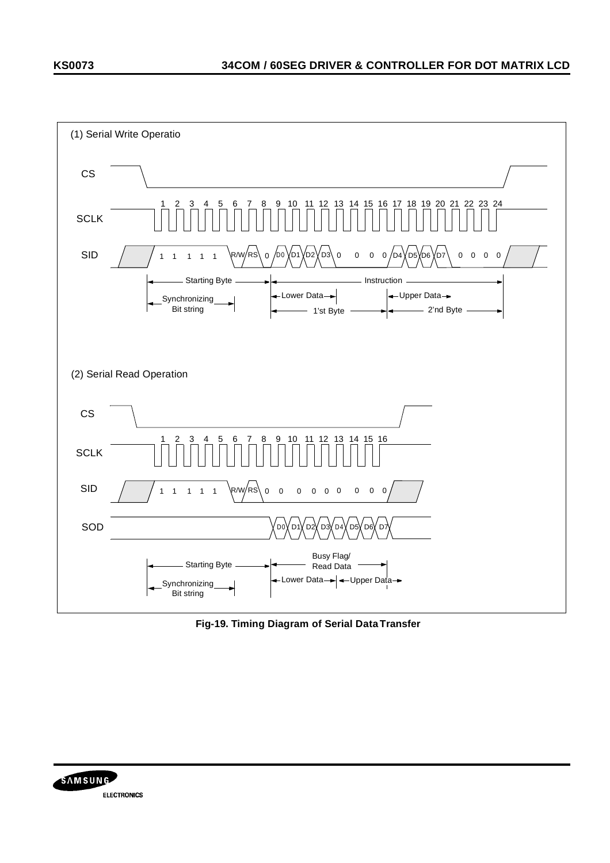

 **Fig-19. Timing Diagram of Serial Data Transfer**

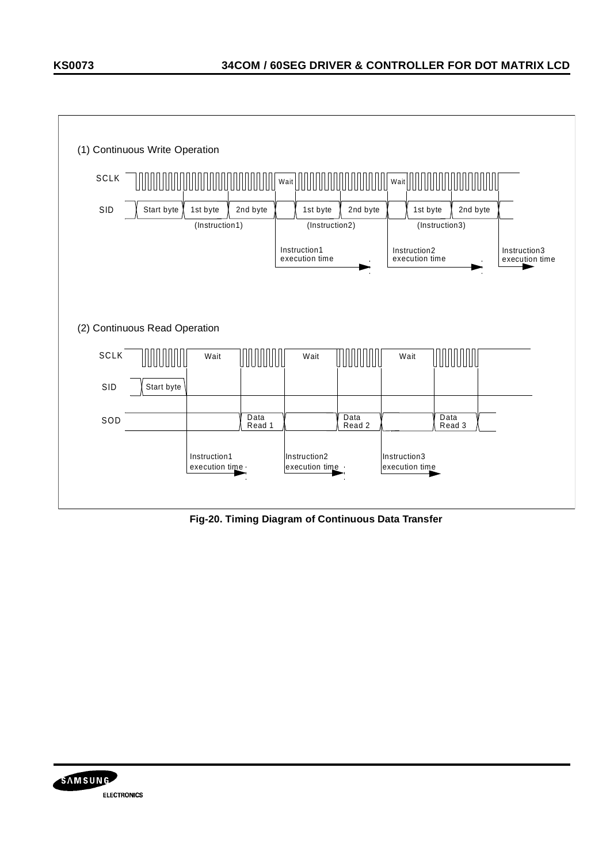

**Fig-20. Timing Diagram of Continuous Data Transfer**

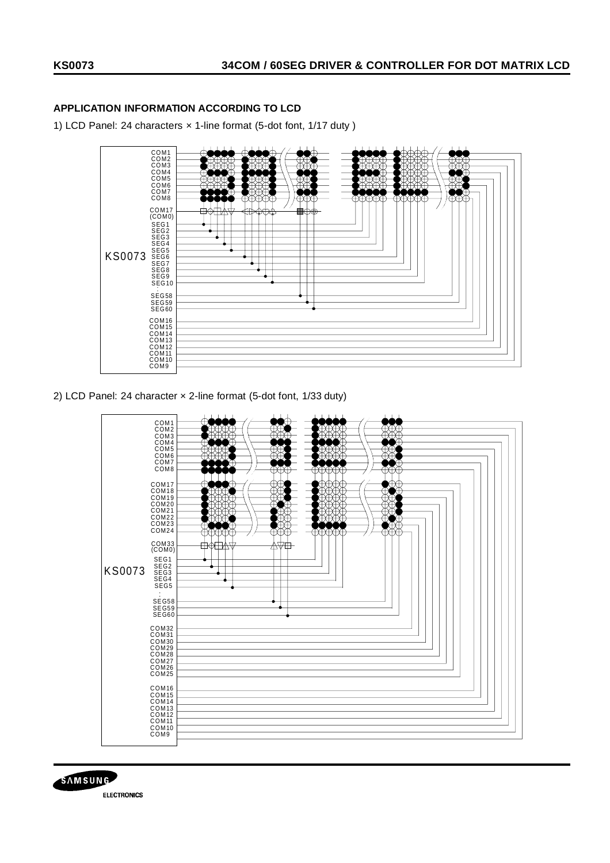# **APPLICATION INFORMATION ACCORDING TO LCD**

1) LCD Panel: 24 characters × 1-line format (5-dot font, 1/17 duty )



2) LCD Panel: 24 character × 2-line format (5-dot font, 1/33 duty)



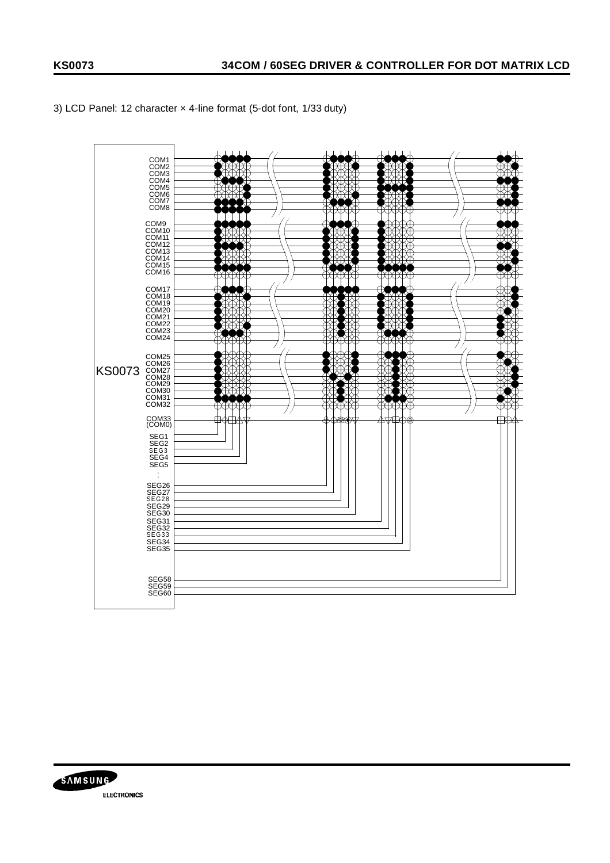3) LCD Panel: 12 character × 4-line format (5-dot font, 1/33 duty)



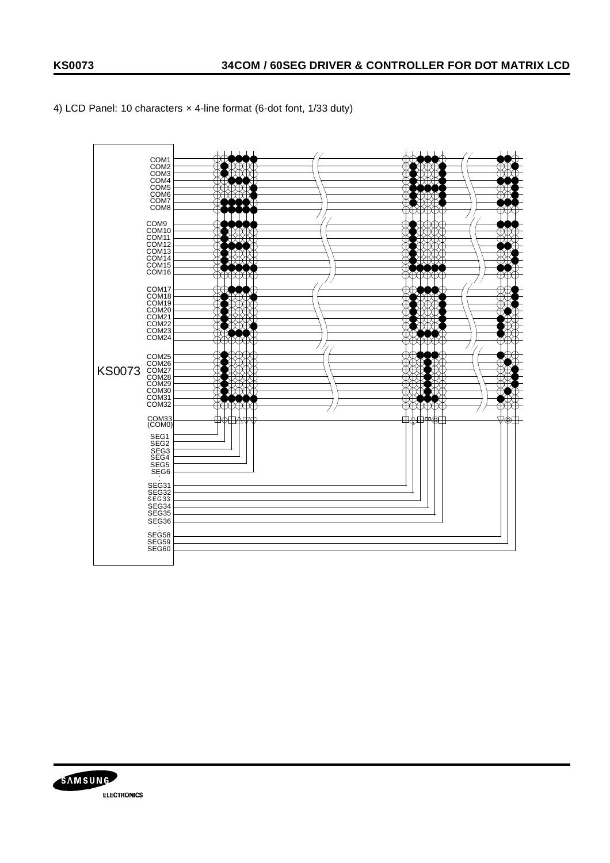4) LCD Panel: 10 characters × 4-line format (6-dot font, 1/33 duty)



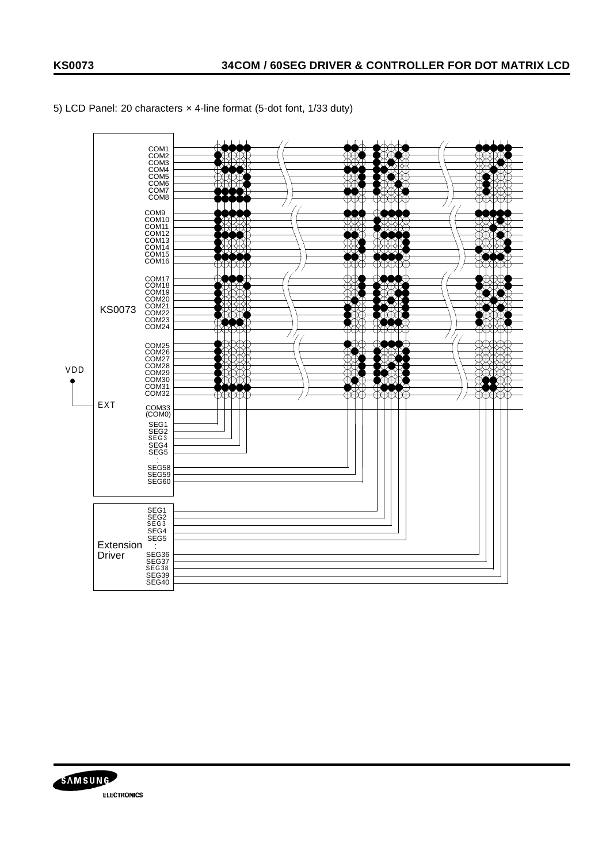

5) LCD Panel: 20 characters × 4-line format (5-dot font, 1/33 duty)

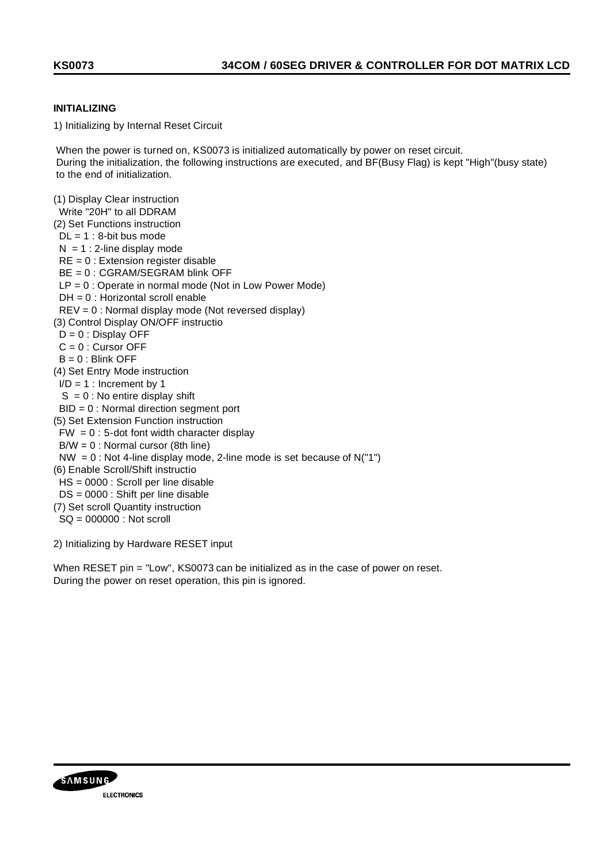# **INITIALIZING**

1) Initializing by Internal Reset Circuit

 When the power is turned on, KS0073 is initialized automatically by power on reset circuit. During the initialization, the following instructions are executed, and BF(Busy Flag) is kept "High"(busy state) to the end of initialization.

(1) Display Clear instruction Write "20H" to all DDRAM (2) Set Functions instruction  $DL = 1$ : 8-bit bus mode  $N = 1$  : 2-line display mode RE = 0 : Extension register disable BE = 0 : CGRAM/SEGRAM blink OFF  $LP = 0$ : Operate in normal mode (Not in Low Power Mode) DH = 0 : Horizontal scroll enable REV = 0 : Normal display mode (Not reversed display) (3) Control Display ON/OFF instructio  $D = 0$ : Display OFF  $C = 0$  : Cursor OFF  $B = 0$ : Blink OFF (4) Set Entry Mode instruction  $I/D = 1$  : Increment by 1  $S = 0$  : No entire display shift BID = 0 : Normal direction segment port (5) Set Extension Function instruction  $FW = 0$ : 5-dot font width character display  $B/W = 0$ : Normal cursor (8th line)  $NW = 0$ : Not 4-line display mode, 2-line mode is set because of  $N("1")$ (6) Enable Scroll/Shift instructio HS = 0000 : Scroll per line disable DS = 0000 : Shift per line disable (7) Set scroll Quantity instruction

SQ = 000000 : Not scroll

2) Initializing by Hardware RESET input

When RESET pin = "Low", KS0073 can be initialized as in the case of power on reset. During the power on reset operation, this pin is ignored.

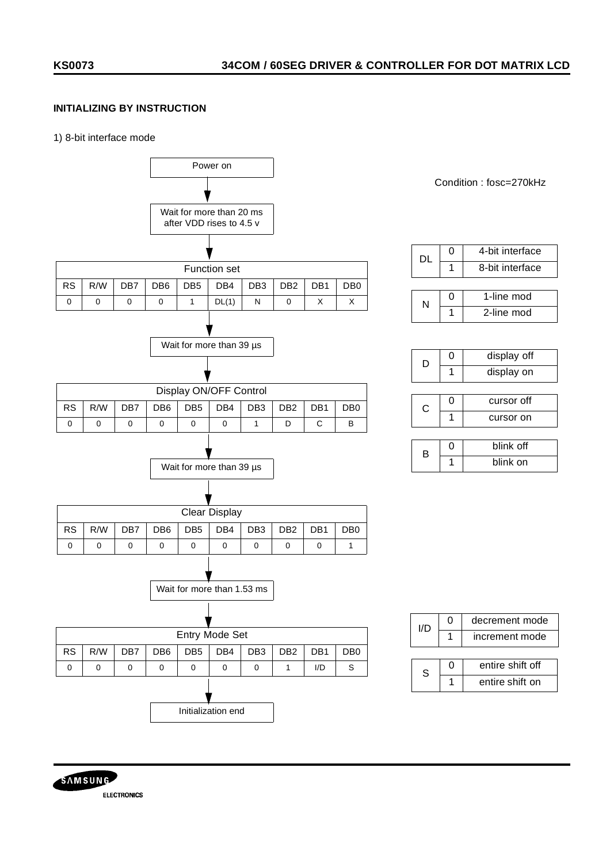# **INITIALIZING BY INSTRUCTION**

#### 1) 8-bit interface mode



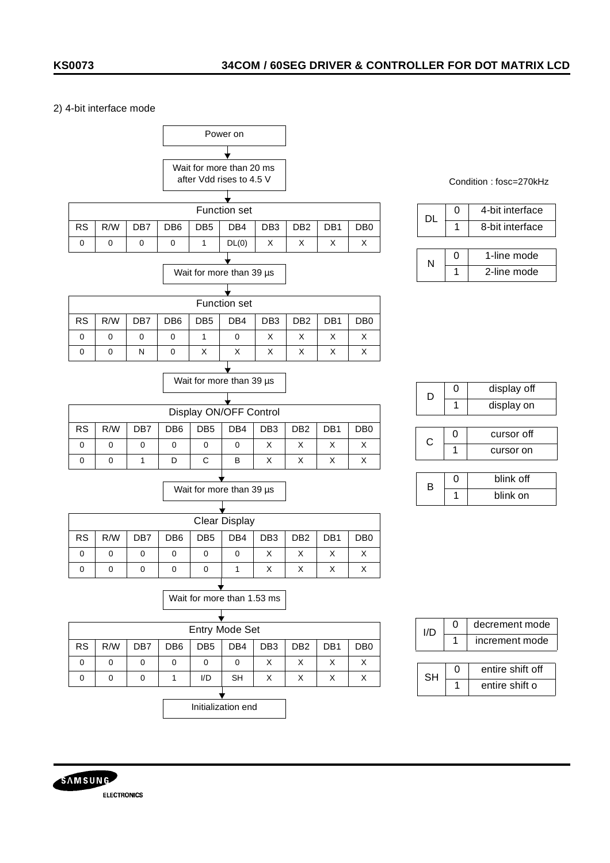## 2) 4-bit interface mode



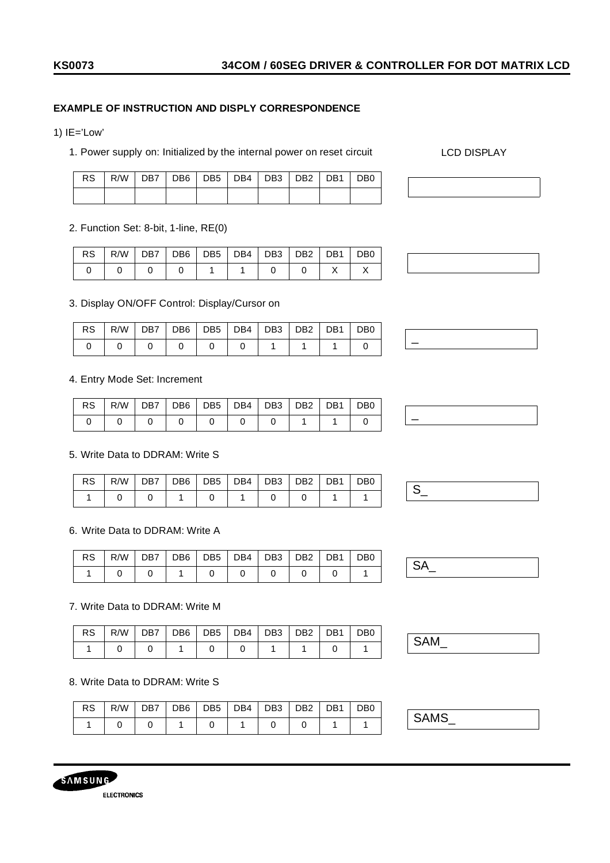# **EXAMPLE OF INSTRUCTION AND DISPLY CORRESPONDENCE**

1)  $IE='Low'$ 

1. Power supply on: Initialized by the internal power on reset circuit

LCD DISPLAY

|  |  | RS   R/W   DB7   DB6   DB5   DB4   DB3   DB2   DB1   DB0 |  |  |
|--|--|----------------------------------------------------------|--|--|
|  |  |                                                          |  |  |

## 2. Function Set: 8-bit, 1-line, RE(0)

|  |                                                         |  | RS   R/W   DB7   DB6   DB5   DB4   DB3   DB2   DB1   DB0 |  |  |
|--|---------------------------------------------------------|--|----------------------------------------------------------|--|--|
|  | $\begin{array}{cccc} \circ & \circ & \circ \end{array}$ |  |                                                          |  |  |

## 3. Display ON/OFF Control: Display/Cursor on

| RS R/W DB7 DB6 DB5 DB4 DB3 DB2 DB1 DB0 |  |  |  |  |  |
|----------------------------------------|--|--|--|--|--|
|                                        |  |  |  |  |  |

#### 4. Entry Mode Set: Increment

|  |  |  | RS   R/W   DB7   DB6   DB5   DB4   DB3   DB2   DB1   DB0 |  |  |  |
|--|--|--|----------------------------------------------------------|--|--|--|
|  |  |  |                                                          |  |  |  |

#### 5. Write Data to DDRAM: Write S

| RS | R/W |  | DB7 DB6 DB5 DB4 DB3 DB2 DB1 |  | DB <sub>0</sub> |  |
|----|-----|--|-----------------------------|--|-----------------|--|
|    |     |  |                             |  |                 |  |

#### 6. Write Data to DDRAM: Write A

| <b>RS</b> |  |  | $R/W$   DB7   DB6   DB5   DB4   DB3   DB2   DB1 |  | DB <sub>0</sub> |  |
|-----------|--|--|-------------------------------------------------|--|-----------------|--|
|           |  |  |                                                 |  |                 |  |

## 7. Write Data to DDRAM: Write M

| <b>SAM</b> | R/W   DB7   DB6   DB5   DB4   DB3   DB2   DB1   DB0 |  |  |  | <b>RS</b> |
|------------|-----------------------------------------------------|--|--|--|-----------|
|            |                                                     |  |  |  |           |

#### 8. Write Data to DDRAM: Write S

| <sub>n</sub><br>א | R/W | D <sub>R7</sub> | DB <sub>6</sub> | DB <sub>5</sub> | DB4 | DB <sub>3</sub> | DB <sub>2</sub> | DB <sub>1</sub> | DB <sub>0</sub> | . . |  |
|-------------------|-----|-----------------|-----------------|-----------------|-----|-----------------|-----------------|-----------------|-----------------|-----|--|
|                   |     |                 |                 |                 |     |                 |                 |                 |                 |     |  |





**ELECTRONICS**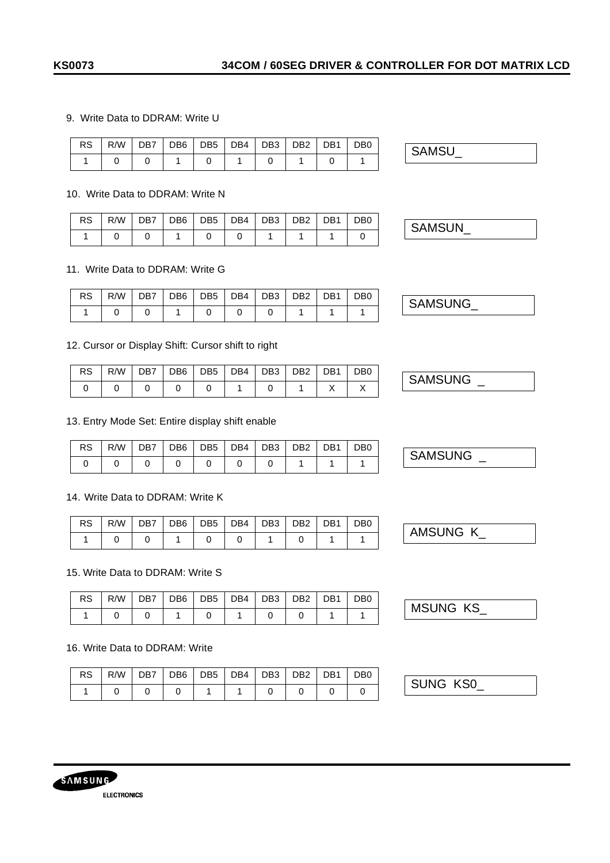## 9. Write Data to DDRAM: Write U

| RS R/W DB7 DB6 DB5 DB4 DB3 DB2 DB1 DB0 |  |  |  |  |
|----------------------------------------|--|--|--|--|
|                                        |  |  |  |  |

## 10. Write Data to DDRAM: Write N

| <b>SAMSUN</b> | DB <sub>0</sub> | DB1 | DB <sub>2</sub> | DB <sub>3</sub> | DB4 | DB <sub>5</sub> | DB <sub>6</sub> | DB7 | R/W | <b>RS</b> |
|---------------|-----------------|-----|-----------------|-----------------|-----|-----------------|-----------------|-----|-----|-----------|
|               |                 |     |                 |                 |     |                 |                 |     |     |           |

## 11. Write Data to DDRAM: Write G

|  |  | RS   R/W   DB7   DB6   DB5   DB4   DB3   DB2   DB1   DB0 |  |  |
|--|--|----------------------------------------------------------|--|--|
|  |  |                                                          |  |  |

## 12. Cursor or Display Shift: Cursor shift to right

| RS   R/W   DB7   DB6   DB5   DB4   DB3   DB2   DB1   DB0 |  |  |  |  |
|----------------------------------------------------------|--|--|--|--|
|                                                          |  |  |  |  |

## 13. Entry Mode Set: Entire display shift enable

| RS   R/W   DB7   DB6   DB5   DB4   DB3   DB2   DB1   DB0 |  |  |  |  |
|----------------------------------------------------------|--|--|--|--|
|                                                          |  |  |  |  |

## 14. Write Data to DDRAM: Write K

| RS . | R/W   DB7   DB6   DB5   DB4   DB3   DB2   DB1   DB0 |  |  |  |  |
|------|-----------------------------------------------------|--|--|--|--|
|      |                                                     |  |  |  |  |

## 15. Write Data to DDRAM: Write S

| KS<br>,UNG | DB <sub>0</sub> | DB1 | DB <sub>2</sub> | DB3 | DB4 | DB <sub>5</sub> | DB6 | DB7 | R/W | RS |
|------------|-----------------|-----|-----------------|-----|-----|-----------------|-----|-----|-----|----|
| MSl        |                 |     |                 |     |     |                 |     |     |     |    |

## 16. Write Data to DDRAM: Write

SAMSUNG

**ELECTRONICS** 

| RS   R/W   DB7   DB6   DB5   DB4   DB3   DB2   DB1   DB0 |  |  |  |  |
|----------------------------------------------------------|--|--|--|--|
|                                                          |  |  |  |  |

SUNG KS0\_

SAMSUNG

SAMSU\_

SAMSUNG \_

SAMSUNG \_

 $AMSUNG K$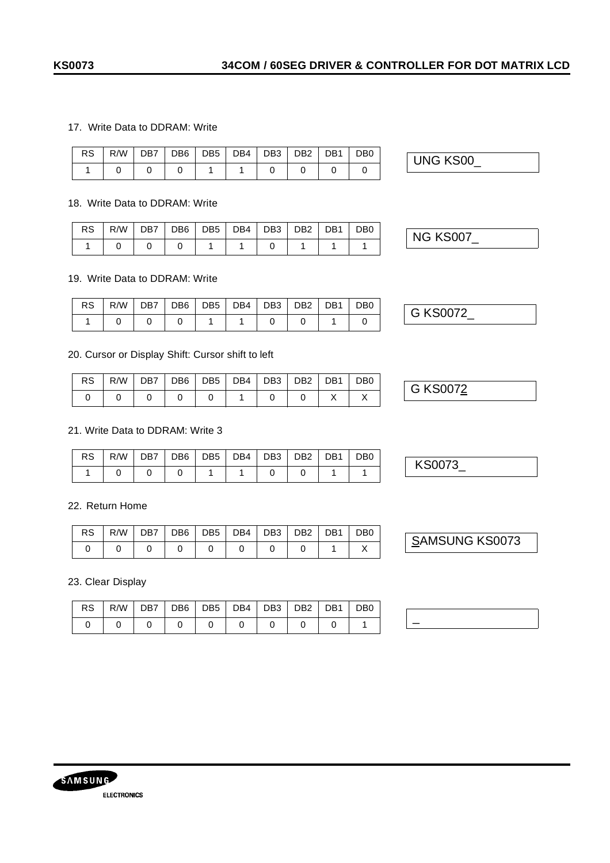#### 17. Write Data to DDRAM: Write

| <b>RS</b> | R/W | DB7 | DB <sub>6</sub> | DB <sub>5</sub> | DB4 | DB <sub>3</sub> | DB <sub>2</sub> | DB <sub>1</sub> | DB <sub>0</sub> | <b>KS00</b><br>ING. |
|-----------|-----|-----|-----------------|-----------------|-----|-----------------|-----------------|-----------------|-----------------|---------------------|
|           |     |     |                 |                 |     |                 |                 |                 |                 | UIVU                |

#### 18. Write Data to DDRAM: Write

| <b>RS</b> | R/W   DB7   DB6   DB5   DB4   DB3   DB2   DB1   DB0 |  |  |  |  |
|-----------|-----------------------------------------------------|--|--|--|--|
|           |                                                     |  |  |  |  |

#### 19. Write Data to DDRAM: Write

|  |  |  |  | RS   R/W   DB7   DB6   DB5   DB4   DB3   DB2   DB1   DB0 |  |
|--|--|--|--|----------------------------------------------------------|--|
|  |  |  |  |                                                          |  |

#### 20. Cursor or Display Shift: Cursor shift to left

| $RS   R/W   DB7   DB6   DB5   DB4   DB3   DB2   DB1   DB0$ |  |  |  |  |
|------------------------------------------------------------|--|--|--|--|
|                                                            |  |  |  |  |

#### 21. Write Data to DDRAM: Write 3

| <b>RS</b> | R/W | DB7 | DB6 | DB <sub>5</sub> | DB4 | DB <sub>3</sub> | DB <sub>2</sub> | DB <sub>1</sub> | DB <sub>0</sub> |  |
|-----------|-----|-----|-----|-----------------|-----|-----------------|-----------------|-----------------|-----------------|--|
|           |     |     |     |                 |     |                 |                 |                 |                 |  |

#### 22. Return Home

| RS   R/W   DB7   DB6   DB5   DB4   DB3   DB2   DB1   DB0 |  |  |  |  |
|----------------------------------------------------------|--|--|--|--|
|                                                          |  |  |  |  |

23. Clear Display

| RS   R/W   DB7   DB6   DB5   DB4   DB3   DB2   DB1   DB0 |                               |  |  |  |  |  |
|----------------------------------------------------------|-------------------------------|--|--|--|--|--|
|                                                          | 0   0   0   0   0   0   0   0 |  |  |  |  |  |



G KS0072

SAMSUNG KS0073

G KS0072\_

NG KS007\_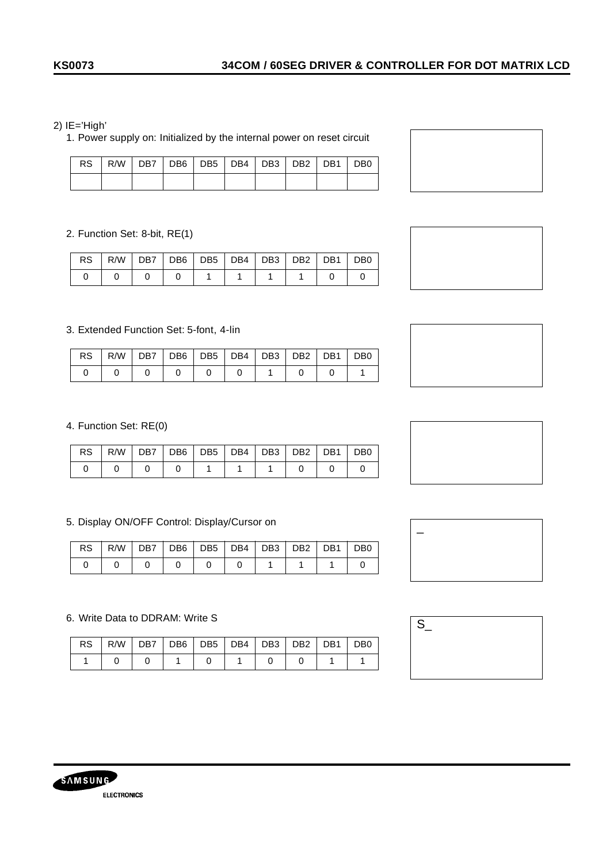# 2) IE='High'

1. Power supply on: Initialized by the internal power on reset circuit

| RS R/W DB7 DB6 DB5 DB4 DB3 DB2 DB1 DB0 |  |  |  |  |
|----------------------------------------|--|--|--|--|
|                                        |  |  |  |  |

## 2. Function Set: 8-bit, RE(1)

| RS   R/W   DB7   DB6   DB5   DB4   DB3   DB2   DB1   DB0 |  |  |  |  |
|----------------------------------------------------------|--|--|--|--|
|                                                          |  |  |  |  |

# 3. Extended Function Set: 5-font, 4-lin

|  |  |  |  | $RS$   R/W   DB7   DB6   DB5   DB4   DB3   DB2   DB1   DB0 |  |
|--|--|--|--|------------------------------------------------------------|--|
|  |  |  |  |                                                            |  |

# 4. Function Set: RE(0)

| $RS   R/W   DB7   DB6   DB5   DB4   DB3   DB2   DB1   DB0$ |  |  |  |  |
|------------------------------------------------------------|--|--|--|--|
|                                                            |  |  |  |  |

# 5. Display ON/OFF Control: Display/Cursor on

| RS   R/W   DB7   DB6   DB5   DB4   DB3   DB2   DB1   DB0 |  |  |  |  |
|----------------------------------------------------------|--|--|--|--|
|                                                          |  |  |  |  |

## 6. Write Data to DDRAM: Write S

| RS - |  |  | R/W   DB7   DB6   DB5   DB4   DB3   DB2   DB1   DB0 |  |  |
|------|--|--|-----------------------------------------------------|--|--|
|      |  |  |                                                     |  |  |

| the control of the control of the control of                    |  |  |
|-----------------------------------------------------------------|--|--|
|                                                                 |  |  |
|                                                                 |  |  |
|                                                                 |  |  |
| the contract of the contract of the contract of the contract of |  |  |
|                                                                 |  |  |
|                                                                 |  |  |
|                                                                 |  |  |
|                                                                 |  |  |
|                                                                 |  |  |
|                                                                 |  |  |









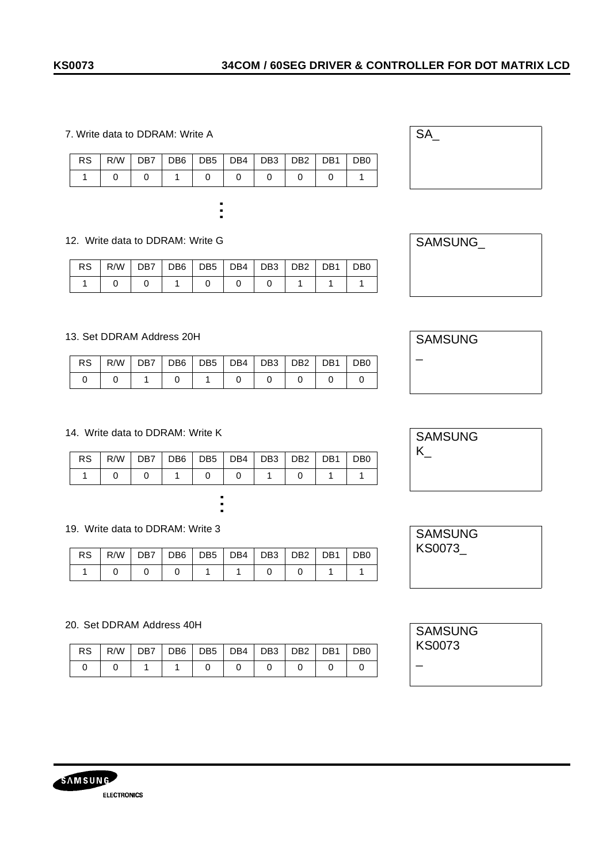SA\_

#### 7. Write data to DDRAM: Write A

|  |  |  | RS   R/W   DB7   DB6   DB5   DB4   DB3   DB2   DB1   DB0 |  |  |
|--|--|--|----------------------------------------------------------|--|--|
|  |  |  |                                                          |  |  |

...

 $\frac{1}{2}$ 

#### 12. Write data to DDRAM: Write G

| $RS   R/W   DB7   DB6   DB5   DB4   DB3   DB2   DB1   DB0$ |  |  |  |  |
|------------------------------------------------------------|--|--|--|--|
|                                                            |  |  |  |  |

#### 13. Set DDRAM Address 20H

|  |  | 110 |  |  |  |
|--|--|-----|--|--|--|

## 14. Write data to DDRAM: Write K

...

 $\overline{\phantom{a}}$ 

#### 19. Write data to DDRAM: Write 3

|  |  |  |  | RS   R/W   DB7   DB6   DB5   DB4   DB3   DB2   DB1   DB0 |  |
|--|--|--|--|----------------------------------------------------------|--|
|  |  |  |  |                                                          |  |

#### 20. Set DDRAM Address 40H

|  |  | $RS   R/W   DB7   DB6   DB5   DB4   DB3   DB2   DB1   DB0$ |  |  |
|--|--|------------------------------------------------------------|--|--|
|  |  |                                                            |  |  |



| <b>SAMSUNG</b> |  |
|----------------|--|
|                |  |
|                |  |

| <b>SAMSUNG</b> |  |
|----------------|--|
|                |  |
|                |  |
|                |  |

| <b>SAMSUNG</b><br>KS0073 |  |
|--------------------------|--|
|                          |  |

SAMSUNG KS0073  $\overline{\phantom{0}}$ 

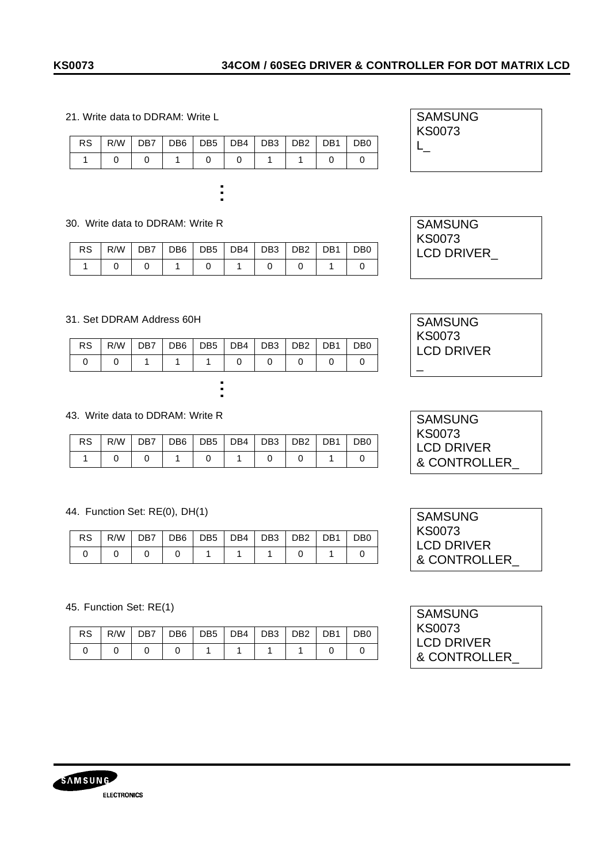21. Write data to DDRAM: Write L

| RS   R/W   DB7   DB6   DB5   DB4   DB3   DB2   DB1   DB0 |  |  |               |  |  |
|----------------------------------------------------------|--|--|---------------|--|--|
|                                                          |  |  | 0 0 1 0 0 1 1 |  |  |
|                                                          |  |  |               |  |  |

...

 $\ddot{\phantom{a}}$ 

30. Write data to DDRAM: Write R

| $RS$   R/W   DB7   DB6   DB5   DB4   DB3   DB2   DB1   DB0 |  |  |  |  |
|------------------------------------------------------------|--|--|--|--|
|                                                            |  |  |  |  |

#### 31. Set DDRAM Address 60H

| <b>RS</b> | R/W |  | DB7   DB6   DB5   DB4   DB3   DB2   DB1 |  | DB <sub>0</sub> |
|-----------|-----|--|-----------------------------------------|--|-----------------|
|           |     |  |                                         |  |                 |
|           |     |  |                                         |  |                 |
|           |     |  |                                         |  |                 |

## 43. Write data to DDRAM: Write R

|  | RS   R/W   DB7   DB6   DB5   DB4   DB3   DB2   DB1   DB0 |  |                                               |  |  |
|--|----------------------------------------------------------|--|-----------------------------------------------|--|--|
|  |                                                          |  | $\begin{array}{c c c c c} \hline \end{array}$ |  |  |

## 44. Function Set: RE(0), DH(1)

| $RS$   R/W   DB7   DB6   DB5   DB4   DB3   DB2   DB1   DB0 |  |  |  |  |
|------------------------------------------------------------|--|--|--|--|
|                                                            |  |  |  |  |

45. Function Set: RE(1)

| <b>RS</b> | R/W   DB7   DB6   DB5   DB4   DB3   DB2   DB1   DB0 |  |  |  |  |
|-----------|-----------------------------------------------------|--|--|--|--|
|           |                                                     |  |  |  |  |

| <b>SAMSUNG</b><br><b>KS0073</b> |  |
|---------------------------------|--|
|                                 |  |
|                                 |  |
|                                 |  |

**SAMSUNG** KS0073 LCD DRIVER\_

| <b>SAMSUNG</b>    |  |
|-------------------|--|
| <b>KS0073</b>     |  |
| <b>LCD DRIVER</b> |  |
|                   |  |

| <b>SAMSUNG</b> |  |
|----------------|--|
| KS0073         |  |
| LCD DRIVER     |  |
| & CONTROLLER   |  |

| SAMSUNG      |  |
|--------------|--|
| KS0073       |  |
| LCD DRIVER   |  |
| & CONTROLLER |  |



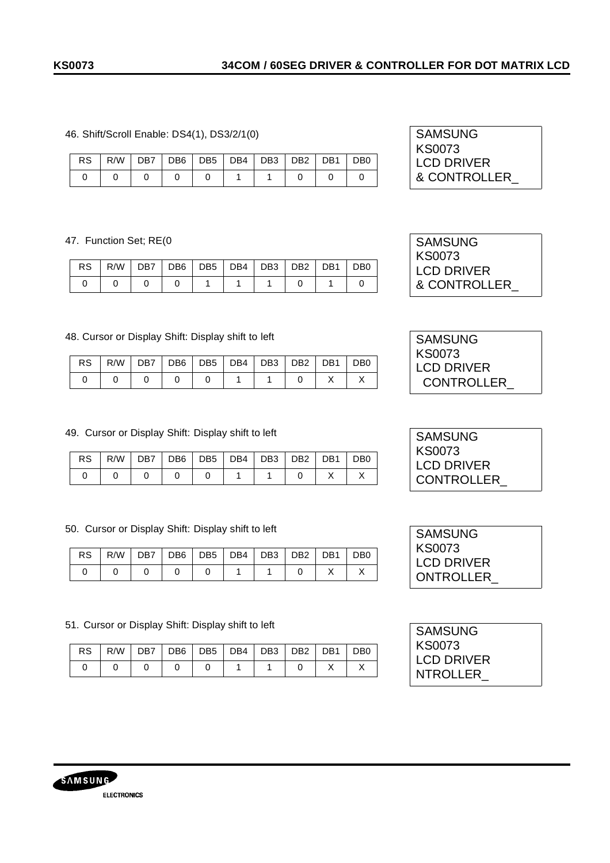#### 46. Shift/Scroll Enable: DS4(1), DS3/2/1(0)

#### 47. Function Set; RE(0

| RS   R/W   DB7   DB6   DB5   DB4   DB3   DB2   DB1   DB0 |  |  |  |  |  |
|----------------------------------------------------------|--|--|--|--|--|
|                                                          |  |  |  |  |  |

## 48. Cursor or Display Shift: Display shift to left

| <b>RS</b> |  |  | $R/W$   DB7   DB6   DB5   DB4   DB3   DB2   DB1   DB0 |  |  |
|-----------|--|--|-------------------------------------------------------|--|--|
|           |  |  |                                                       |  |  |

# 49. Cursor or Display Shift: Display shift to left

|  |  |  | RS   R/W   DB7   DB6   DB5   DB4   DB3   DB2   DB1   DB0 |  |  |
|--|--|--|----------------------------------------------------------|--|--|
|  |  |  | 0 0 0 0 1 1 1 0 1 1 0 1 1 1                              |  |  |

## 50. Cursor or Display Shift: Display shift to left

| <b>RS</b> |  |  | $R/W$   DB7   DB6   DB5   DB4   DB3   DB2   DB1 |  | DB <sub>0</sub> |
|-----------|--|--|-------------------------------------------------|--|-----------------|
|           |  |  |                                                 |  |                 |

51. Cursor or Display Shift: Display shift to left

|  |  | RS   R/W   DB7   DB6   DB5   DB4   DB3   DB2   DB1   DB0 |  |  |
|--|--|----------------------------------------------------------|--|--|
|  |  |                                                          |  |  |

| <b>SAMSUNG</b>    |  |
|-------------------|--|
| <b>KS0073</b>     |  |
| <b>LCD DRIVER</b> |  |
| & CONTROLLER      |  |

| <b>SAMSUNG</b> |  |
|----------------|--|
| KS0073         |  |
| I CD DRIVER    |  |
| & CONTROLLER   |  |

| <b>SAMSUNG</b>    |  |
|-------------------|--|
| <b>KS0073</b>     |  |
| <b>LCD DRIVER</b> |  |
| CONTROLLER        |  |

| SAMSUNG           |
|-------------------|
| KS0073            |
| I CD DRIVER       |
| <b>CONTROLLER</b> |

| <b>SAMSUNG</b> |  |
|----------------|--|
| KS0073         |  |
| I CD DRIVER    |  |
| NTROLLER       |  |
|                |  |

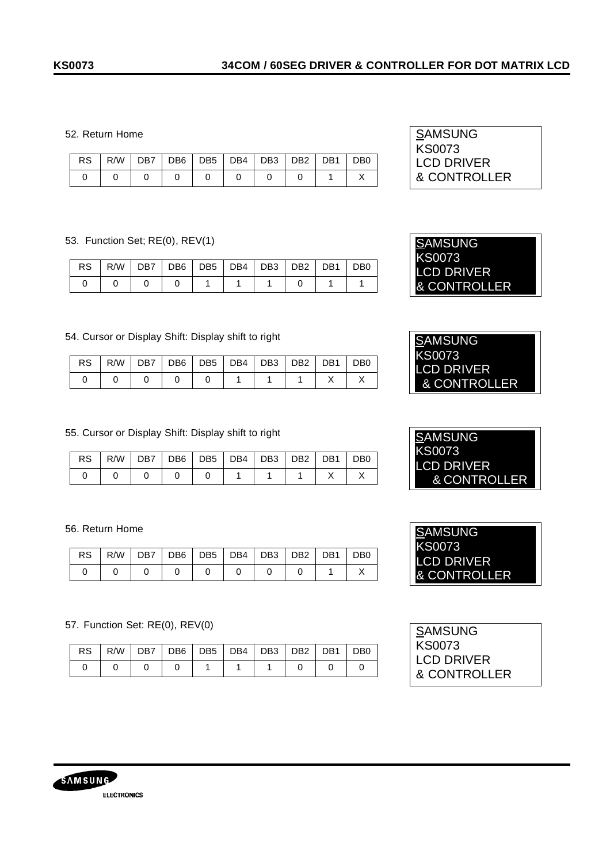#### 52. Return Home

| RS   R/W   DB7   DB6   DB5   DB4   DB3   DB2   DB1   DB0 |  |  |  |  |
|----------------------------------------------------------|--|--|--|--|
| $\begin{array}{ccc} \n\end{array}$                       |  |  |  |  |

## 53. Function Set; RE(0), REV(1)

| $RS$   R/W   DB7   DB6   DB5   DB4   DB3   DB2   DB1 |  |  |  | DB <sub>0</sub> |
|------------------------------------------------------|--|--|--|-----------------|
|                                                      |  |  |  |                 |

# 54. Cursor or Display Shift: Display shift to right

| $RS   R/W   DB7   DB6   DB5   DB4   DB3   DB2   DB1   DB0$ |  |  |  |  |
|------------------------------------------------------------|--|--|--|--|
|                                                            |  |  |  |  |

## 55. Cursor or Display Shift: Display shift to right

|  |                                                                                                                                                                                                                                                                                                                                                                                                                                                           |  | $RS   R/W   DB7   DB6   DB5   DB4   DB3   DB2   DB1   DB0$ |  |  |
|--|-----------------------------------------------------------------------------------------------------------------------------------------------------------------------------------------------------------------------------------------------------------------------------------------------------------------------------------------------------------------------------------------------------------------------------------------------------------|--|------------------------------------------------------------|--|--|
|  | $\begin{array}{c c c c c c c} \hline \multicolumn{3}{c }{\textbf{0}} & \multicolumn{3}{c }{\textbf{0}} & \multicolumn{3}{c }{\textbf{0}} \\ \hline \multicolumn{3}{c }{\textbf{0}} & \multicolumn{3}{c }{\textbf{0}} & \multicolumn{3}{c }{\textbf{0}} & \multicolumn{3}{c }{\textbf{0}} \\ \hline \multicolumn{3}{c }{\textbf{0}} & \multicolumn{3}{c }{\textbf{0}} & \multicolumn{3}{c }{\textbf{0}} & \multicolumn{3}{c }{\textbf{0}} \\ \hline \mult$ |  |                                                            |  |  |

#### 56. Return Home

| $RS   R/W   DB7   DB6   DB5   DB4   DB3   DB2   DB1   DB0$ |  |  |  |  |
|------------------------------------------------------------|--|--|--|--|
|                                                            |  |  |  |  |

## 57. Function Set: RE(0), REV(0)

| RS   R/W   DB7   DB6   DB5   DB4   DB3   DB2   DB1   DB0 |  |  |  |  |
|----------------------------------------------------------|--|--|--|--|
|                                                          |  |  |  |  |

| <b>SAMSUNG</b> |  |
|----------------|--|
| KS0073         |  |
| LCD DRIVER     |  |
| & CONTROLLER   |  |









| <b>SAMSUNG</b> |  |
|----------------|--|
| KS0073         |  |
| I CD DRIVER    |  |
| & CONTROLLER   |  |
|                |  |

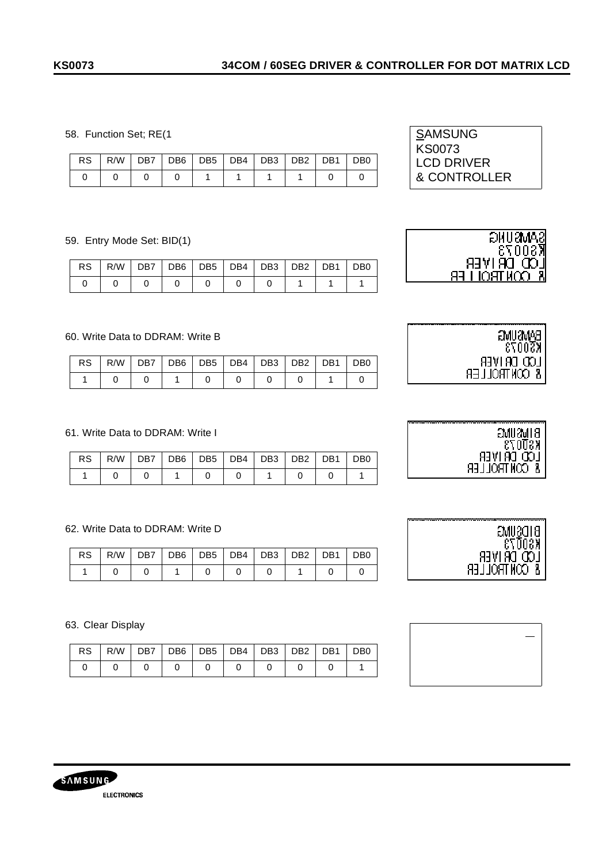#### 58. Function Set; RE(1

| RS   R/W   DB7   DB6   DB5   DB4   DB3   DB2   DB1   DB0 |                   |  |  |  |  |
|----------------------------------------------------------|-------------------|--|--|--|--|
|                                                          | 0 0 0 1 1 1 1 1 0 |  |  |  |  |

#### 59. Entry Mode Set: BID(1)

| RS   R/W   DB7   DB6   DB5   DB4   DB3   DB2   DB1   DB0 |  |  |  |  |
|----------------------------------------------------------|--|--|--|--|
|                                                          |  |  |  |  |

#### 60. Write Data to DDRAM: Write B

| RS   R/W   DB7   DB6   DB5   DB4   DB3   DB2   DB1   DB0 |  |  |                 |  |  |
|----------------------------------------------------------|--|--|-----------------|--|--|
|                                                          |  |  | 1 0 0 0 0 0 1 1 |  |  |

## 61. Write Data to DDRAM: Write I

|  | $\begin{array}{c c c c c c c c c} \hline \multicolumn{3}{c }{\textbf{0}} & \multicolumn{3}{c }{\textbf{0}} & \multicolumn{3}{c }{\textbf{0}} \\ \hline \multicolumn{3}{c }{\textbf{0}} & \multicolumn{3}{c }{\textbf{0}} & \multicolumn{3}{c }{\textbf{0}} & \multicolumn{3}{c }{\textbf{0}} \\ \hline \end{array}$ |  |  |  |  |
|--|---------------------------------------------------------------------------------------------------------------------------------------------------------------------------------------------------------------------------------------------------------------------------------------------------------------------|--|--|--|--|

#### 62. Write Data to DDRAM: Write D

| $RS$   R/W   DB7   DB6   DB5   DB4   DB3   DB2   DB1   DB0 |  |  |  |  |
|------------------------------------------------------------|--|--|--|--|
|                                                            |  |  |  |  |

| 63. Clear Display |  |
|-------------------|--|
|-------------------|--|

| RS   R/W   DB7   DB6   DB5   DB4   DB3   DB2   DB1   DB0 |  |  |  |  |
|----------------------------------------------------------|--|--|--|--|
|                                                          |  |  |  |  |





| <b>BANDANAS</b><br>K30073      |
|--------------------------------|
| נסס מאויאני<br>CONTROLLER<br>8 |

| ł<br>awuawii 8        |
|-----------------------|
| $ \bar{\kappa}$ 80073 |
| נסס מאויאני           |
| 8 CONTROLLER          |

| ລ∧ພຂດ∣ຍ      |  |
|--------------|--|
| KSO073       |  |
| נסס מאויצו   |  |
| 8 CONTROLLER |  |

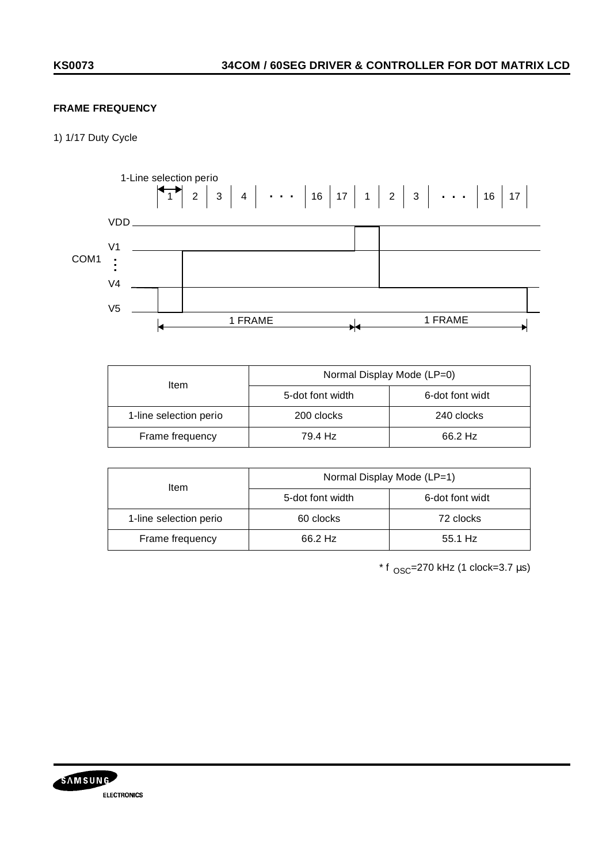# **FRAME FREQUENCY**

# 1) 1/17 Duty Cycle



| ltem                   | Normal Display Mode (LP=0) |                 |  |
|------------------------|----------------------------|-----------------|--|
|                        | 5-dot font width           | 6-dot font widt |  |
| 1-line selection perio | 200 clocks                 | 240 clocks      |  |
| Frame frequency        | 79.4 Hz                    | 66.2 Hz         |  |

| ltem                   | Normal Display Mode (LP=1) |                 |  |
|------------------------|----------------------------|-----------------|--|
|                        | 5-dot font width           | 6-dot font widt |  |
| 1-line selection perio | 60 clocks                  | 72 clocks       |  |
| Frame frequency        | 66.2 Hz                    | 55.1 Hz         |  |

 $*$  f  $_{\text{OSC}}$ =270 kHz (1 clock=3.7  $\mu$ s)

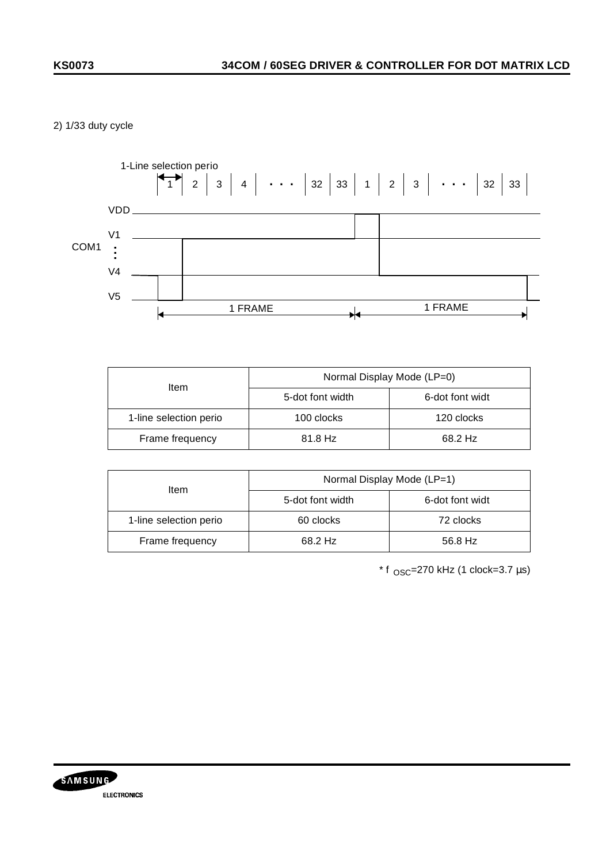# 2) 1/33 duty cycle



| ltem                   | Normal Display Mode (LP=0) |                 |  |
|------------------------|----------------------------|-----------------|--|
|                        | 5-dot font width           | 6-dot font widt |  |
| 1-line selection perio | 100 clocks                 | 120 clocks      |  |
| Frame frequency        | 81.8 Hz                    | 68.2 Hz         |  |

| ltem                   | Normal Display Mode (LP=1) |                 |  |
|------------------------|----------------------------|-----------------|--|
|                        | 5-dot font width           | 6-dot font widt |  |
| 1-line selection perio | 60 clocks                  | 72 clocks       |  |
| Frame frequency        | 68.2 Hz                    | 56.8 Hz         |  |

 $*$  f  $_{\text{OSC}}$ =270 kHz (1 clock=3.7 µs)

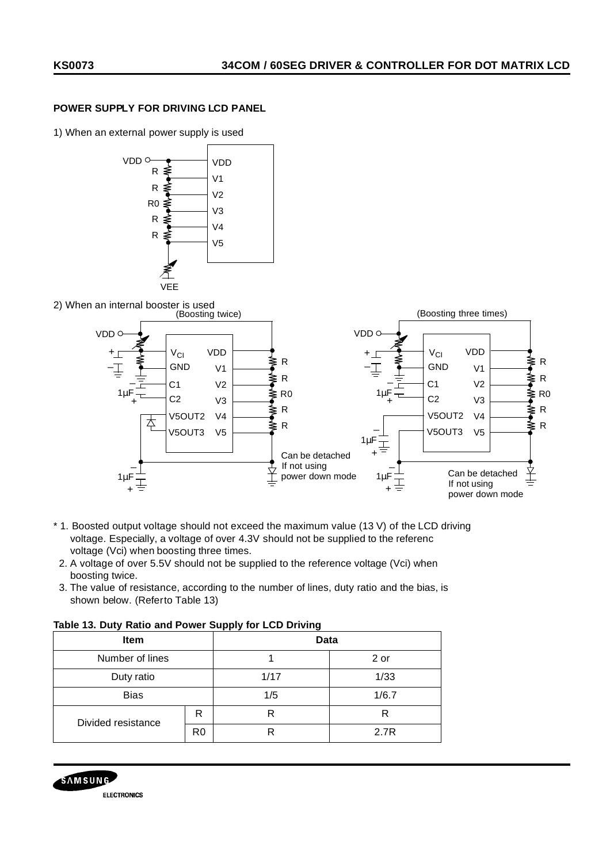# **POWER SUPPLY FOR DRIVING LCD PANEL**

1) When an external power supply is used





- \* 1. Boosted output voltage should not exceed the maximum value (13 V) of the LCD driving voltage. Especially, a voltage of over 4.3V should not be supplied to the referenc voltage (Vci) when boosting three times.
- 2. A voltage of over 5.5V should not be supplied to the reference voltage (Vci) when boosting twice.
- 3. The value of resistance, according to the number of lines, duty ratio and the bias, is shown below. (Referto Table 13)

**Table 13. Duty Ratio and Power Supply for LCD Driving**

| . <b>. .</b><br><b>Item</b> |                | -- -<br><b>Data</b> |       |  |
|-----------------------------|----------------|---------------------|-------|--|
| Number of lines             |                |                     | 2 or  |  |
| Duty ratio                  |                | 1/17                | 1/33  |  |
| <b>Bias</b>                 |                | 1/5                 | 1/6.7 |  |
| Divided resistance          | R              | R                   | R     |  |
|                             | R <sub>0</sub> |                     | 2.7R  |  |

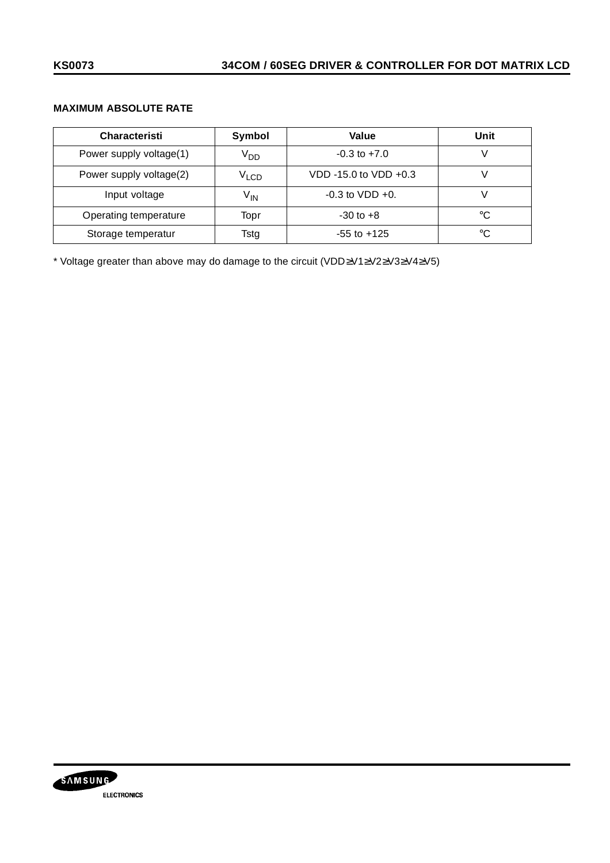# **MAXIMUM ABSOLUTE RATE**

| Characteristi           | Symbol          | Value                 | Unit |
|-------------------------|-----------------|-----------------------|------|
| Power supply voltage(1) | V <sub>DD</sub> | $-0.3$ to $+7.0$      |      |
| Power supply voltage(2) | $\rm V_{LCD}$   | VDD -15.0 to VDD +0.3 |      |
| Input voltage           | V <sub>IN</sub> | $-0.3$ to VDD $+0.$   |      |
| Operating temperature   | Topr            | $-30$ to $+8$         | °C   |
| Storage temperatur      | Tstg            | $-55$ to $+125$       | °C   |

\* Voltage greater than above may do damage to the circuit (VDD≥V1≥V2≥V3≥V4≥V5)

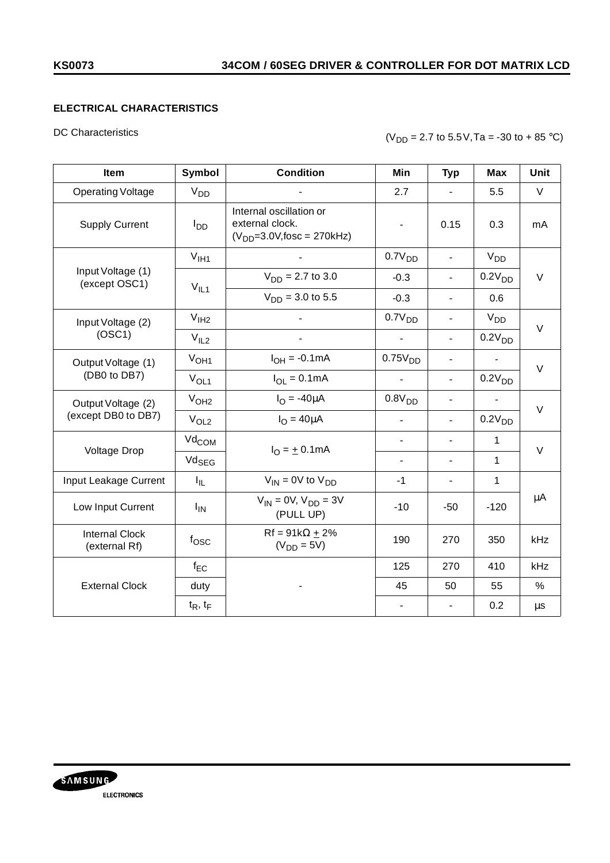### **ELECTRICAL CHARACTERISTICS**

#### DC Characteristics

## $(V_{DD} = 2.7 \text{ to } 5.5 \text{ V}, T_a = -30 \text{ to } +85 \text{ }^{\circ}\text{C})$

| <b>Item</b>                               | Symbol            | <b>Condition</b>                                                                 | Min                      | <b>Typ</b>               | <b>Max</b>         | Unit    |  |
|-------------------------------------------|-------------------|----------------------------------------------------------------------------------|--------------------------|--------------------------|--------------------|---------|--|
| <b>Operating Voltage</b>                  | V <sub>DD</sub>   |                                                                                  | 2.7                      | $\blacksquare$           | 5.5                | $\vee$  |  |
| <b>Supply Current</b>                     | $I_{DD}$          | Internal oscillation or<br>external clock.<br>$(V_{DD} = 3.0 V$ , fosc = 270kHz) | $\overline{\phantom{m}}$ | 0.15                     | 0.3                | mA      |  |
|                                           | V <sub>HH1</sub>  |                                                                                  | 0.7V <sub>DD</sub>       | $\overline{a}$           | V <sub>DD</sub>    |         |  |
| Input Voltage (1)<br>(except OSC1)        |                   | $V_{DD} = 2.7$ to 3.0                                                            | $-0.3$                   | $\blacksquare$           | 0.2V <sub>DD</sub> | $\vee$  |  |
|                                           | $V_{IL1}$         | $V_{DD} = 3.0$ to 5.5                                                            | $-0.3$                   | $\overline{\phantom{a}}$ | 0.6                |         |  |
| Input Voltage (2)                         | V <sub>IH2</sub>  |                                                                                  | 0.7V <sub>DD</sub>       | $\overline{\phantom{0}}$ | V <sub>DD</sub>    | $\vee$  |  |
| (OSC1)                                    | V <sub>IL2</sub>  |                                                                                  |                          | $\blacksquare$           | 0.2V <sub>DD</sub> |         |  |
| Output Voltage (1)<br>(DB0 to DB7)        | V <sub>OH1</sub>  | $I_{OH} = -0.1 \text{mA}$                                                        | 0.75V <sub>DD</sub>      | $\frac{1}{2}$            | $\frac{1}{2}$      | $\vee$  |  |
|                                           | $V_{OL1}$         | $I_{OL} = 0.1mA$                                                                 | $\overline{a}$           | $\overline{a}$           | 0.2V <sub>DD</sub> |         |  |
| Output Voltage (2)<br>(except DB0 to DB7) | V <sub>OH2</sub>  | $I_{\Omega}$ = -40 $\mu$ A                                                       | 0.8V <sub>DD</sub>       |                          |                    | $\vee$  |  |
|                                           | V <sub>OL2</sub>  | $I_{\Omega} = 40 \mu A$                                                          | $\overline{\phantom{0}}$ | $\blacksquare$           | 0.2V <sub>DD</sub> |         |  |
| <b>Voltage Drop</b>                       | Vd <sub>COM</sub> | $\blacksquare$<br>$I_{\Omega} = \pm 0.1$ mA<br>÷.                                |                          | $\overline{a}$           | $\mathbf{1}$       | $\vee$  |  |
|                                           | $Vd_{SEG}$        |                                                                                  |                          |                          | $\mathbf{1}$       |         |  |
| Input Leakage Current                     | $I_{\rm IL}$      | $V_{IN}$ = 0V to $V_{DD}$                                                        | $-1$                     | $\blacksquare$           | $\mathbf{1}$       |         |  |
| Low Input Current<br>$I_{IN}$             |                   | $V_{IN} = 0V$ , $V_{DD} = 3V$<br>(PULL UP)                                       | $-10$                    | $-50$                    | $-120$             | $\mu$ A |  |
| <b>Internal Clock</b><br>(external Rf)    | fosc              | $Rf = 91k\Omega + 2\%$<br>$(V_{DD} = 5V)$                                        | 190                      | 270                      | 350                | kHz     |  |
|                                           | $f_{EC}$          |                                                                                  | 125                      | 270                      | 410                | kHz     |  |
| <b>External Clock</b>                     | duty              |                                                                                  | 45                       | 50                       | 55                 | $\%$    |  |
|                                           | $t_R$ , $t_F$     |                                                                                  |                          |                          | 0.2                | $\mu s$ |  |

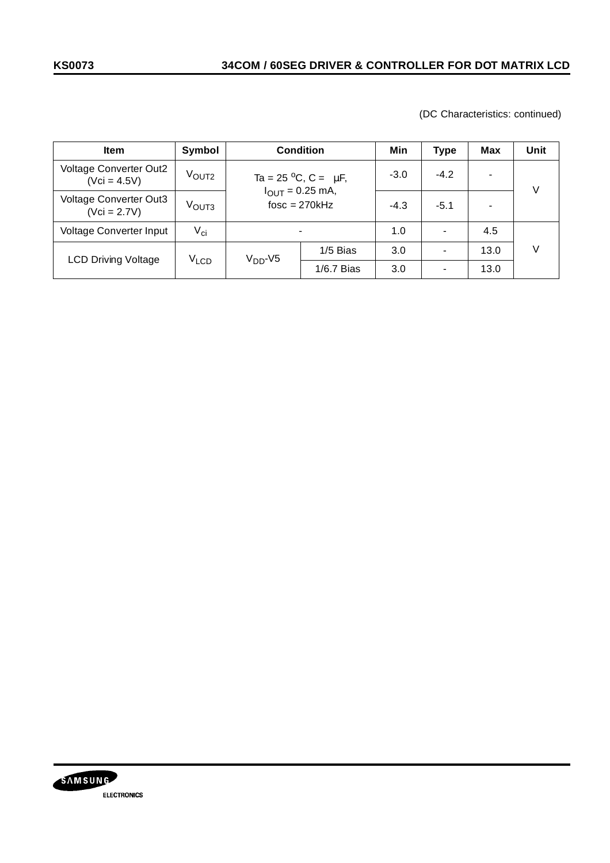(DC Characteristics: continued)

| <b>Item</b>                                     | Symbol            | <b>Condition</b>                                                                             |              | Min    | Type   | <b>Max</b> | Unit |
|-------------------------------------------------|-------------------|----------------------------------------------------------------------------------------------|--------------|--------|--------|------------|------|
| <b>Voltage Converter Out2</b><br>$(Vci = 4.5V)$ | V <sub>OUT2</sub> | Ta = $25^{\circ}$ C, C = $\mu$ F,<br>$I_{\text{OUT}} = 0.25 \text{ mA}$ ,<br>$fosc = 270kHz$ |              | $-3.0$ | $-4.2$ |            | V    |
| <b>Voltage Converter Out3</b><br>$(Vci = 2.7V)$ | V <sub>OUT3</sub> |                                                                                              |              | $-4.3$ | $-5.1$ |            |      |
| Voltage Converter Input                         | $V_{\text{ci}}$   | $\overline{\phantom{a}}$                                                                     |              | 1.0    |        | 4.5        |      |
| <b>LCD Driving Voltage</b>                      | $V_{LCD}$         | $VDD-V5$                                                                                     | 1/5 Bias     | 3.0    |        | 13.0       |      |
|                                                 |                   |                                                                                              | $1/6.7$ Bias | 3.0    |        | 13.0       |      |

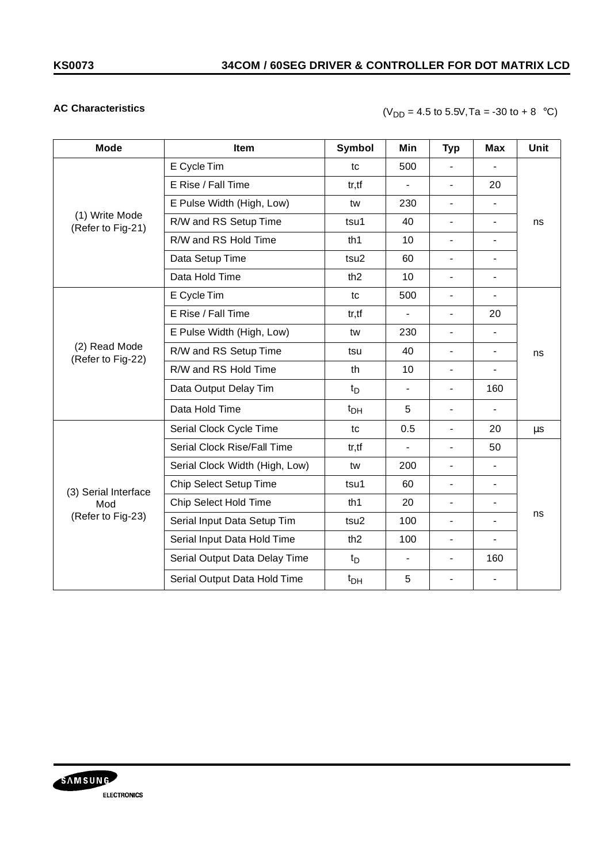#### **AC Characteristics**

# $(V_{DD} = 4.5 \text{ to } 5.5V, Ta = -30 \text{ to } + 8 \text{ °C})$

| <b>Mode</b>                                      | Item                           | <b>Symbol</b>    | Min            | <b>Typ</b>               | Max                      | Unit |
|--------------------------------------------------|--------------------------------|------------------|----------------|--------------------------|--------------------------|------|
|                                                  | E Cycle Tim                    | tc               | 500            |                          |                          |      |
|                                                  | E Rise / Fall Time             | tr, tf           | $\overline{a}$ | $\overline{\phantom{m}}$ | 20                       |      |
|                                                  | E Pulse Width (High, Low)      | tw               | 230            | $\overline{\phantom{a}}$ | $\overline{\phantom{a}}$ |      |
| (1) Write Mode<br>(Refer to Fig-21)              | R/W and RS Setup Time          | tsu1             | 40             | $\overline{\phantom{a}}$ | $\overline{\phantom{a}}$ | ns   |
|                                                  | R/W and RS Hold Time           | th1              | 10             | $\overline{\phantom{a}}$ | $\overline{\phantom{a}}$ |      |
|                                                  | Data Setup Time                | tsu <sub>2</sub> | 60             | $\overline{\phantom{a}}$ | $\blacksquare$           |      |
|                                                  | Data Hold Time                 | th <sub>2</sub>  | 10             | $\blacksquare$           | $\blacksquare$           |      |
|                                                  | E Cycle Tim                    | tc               | 500            | $\overline{\phantom{a}}$ | $\blacksquare$           |      |
|                                                  | E Rise / Fall Time             | tr, tf           |                | $\blacksquare$           | 20                       |      |
| (2) Read Mode                                    | E Pulse Width (High, Low)      | tw               | 230            | $\blacksquare$           | $\blacksquare$           |      |
|                                                  | R/W and RS Setup Time          | tsu              | 40             | $\overline{\phantom{a}}$ | $\blacksquare$           | ns   |
| (Refer to Fig-22)                                | R/W and RS Hold Time           | th               | 10             | $\blacksquare$           | $\overline{a}$           |      |
|                                                  | Data Output Delay Tim          | $t_D$            | $\blacksquare$ | $\overline{\phantom{a}}$ | 160                      |      |
|                                                  | Data Hold Time                 | $t_{DH}$         | 5              | $\blacksquare$           | $\blacksquare$           |      |
|                                                  | Serial Clock Cycle Time        | tc               | 0.5            | $\overline{\phantom{a}}$ | 20                       | μs   |
|                                                  | Serial Clock Rise/Fall Time    | tr, tf           |                | $\overline{\phantom{a}}$ | 50                       |      |
| (3) Serial Interface<br>Mod<br>(Refer to Fig-23) | Serial Clock Width (High, Low) | tw               | 200            | $\overline{\phantom{a}}$ | $\blacksquare$           |      |
|                                                  | Chip Select Setup Time         | tsu1             | 60             | $\blacksquare$           | $\blacksquare$           |      |
|                                                  | Chip Select Hold Time          | th1              | 20             | $\overline{\phantom{a}}$ | $\overline{\phantom{a}}$ |      |
|                                                  | Serial Input Data Setup Tim    | tsu <sub>2</sub> | 100            | $\overline{\phantom{a}}$ | $\overline{\phantom{a}}$ | ns   |
|                                                  | Serial Input Data Hold Time    | th2              | 100            | $\overline{\phantom{a}}$ | $\blacksquare$           |      |
|                                                  | Serial Output Data Delay Time  | $t_D$            | $\blacksquare$ | $\overline{\phantom{a}}$ | 160                      |      |
|                                                  | Serial Output Data Hold Time   | $t_{DH}$         | 5              | $\blacksquare$           | $\blacksquare$           |      |

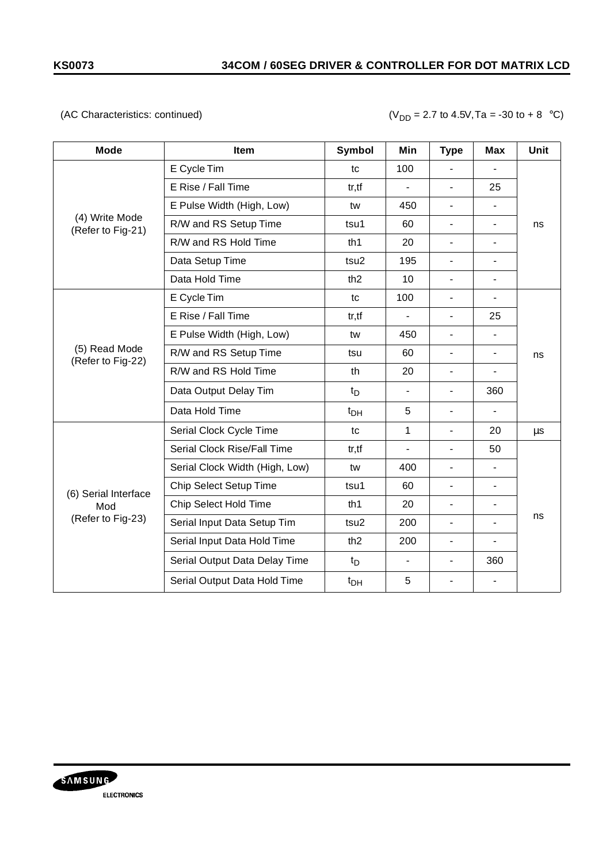(AC Characteristics: continued)  $(V_{DD} = 2.7 \text{ to } 4.5V, Ta = -30 \text{ to } + 8 \text{ °C})$ 

| <b>Mode</b>                                      | Item                           | <b>Symbol</b>    | Min                      | <b>Type</b>              | <b>Max</b>               | Unit    |
|--------------------------------------------------|--------------------------------|------------------|--------------------------|--------------------------|--------------------------|---------|
|                                                  | E Cycle Tim                    | tc               | 100                      |                          |                          |         |
|                                                  | E Rise / Fall Time             | tr, tf           |                          | $\overline{\phantom{a}}$ | 25                       |         |
|                                                  | E Pulse Width (High, Low)      | tw               | 450                      | $\blacksquare$           | $\blacksquare$           |         |
| (4) Write Mode<br>(Refer to Fig-21)              | R/W and RS Setup Time          | tsu1             | 60                       | $\overline{\phantom{m}}$ | $\blacksquare$           | ns      |
|                                                  | R/W and RS Hold Time           | th1              | 20                       | $\blacksquare$           | $\blacksquare$           |         |
|                                                  | Data Setup Time                | tsu <sub>2</sub> | 195                      | $\overline{\phantom{m}}$ | $\overline{\phantom{a}}$ |         |
|                                                  | Data Hold Time                 | th <sub>2</sub>  | 10                       | $\overline{\phantom{m}}$ | $\overline{\phantom{a}}$ |         |
|                                                  | E Cycle Tim                    | tc               | 100                      | $\overline{\phantom{a}}$ | $\overline{\phantom{a}}$ |         |
| (5) Read Mode<br>(Refer to Fig-22)               | E Rise / Fall Time             | tr, tf           | $\overline{\phantom{0}}$ | $\overline{\phantom{0}}$ | 25                       |         |
|                                                  | E Pulse Width (High, Low)      | tw               | 450                      | $\blacksquare$           | $\blacksquare$           |         |
|                                                  | R/W and RS Setup Time          | tsu              | 60                       | $\overline{\phantom{a}}$ | $\overline{\phantom{a}}$ | ns      |
|                                                  | R/W and RS Hold Time           | th               | 20                       | $\overline{\phantom{a}}$ | $\overline{\phantom{0}}$ |         |
|                                                  | Data Output Delay Tim          | $t_D$            | $\overline{\phantom{a}}$ | $\overline{\phantom{a}}$ | 360                      |         |
|                                                  | Data Hold Time                 | $t_{DH}$         | 5                        | $\overline{\phantom{a}}$ | $\blacksquare$           |         |
|                                                  | Serial Clock Cycle Time        | tc               | $\mathbf{1}$             | $\blacksquare$           | 20                       | $\mu s$ |
|                                                  | Serial Clock Rise/Fall Time    | tr,tf            |                          | $\overline{a}$           | 50                       |         |
|                                                  | Serial Clock Width (High, Low) | tw               | 400                      | $\blacksquare$           | $\blacksquare$           |         |
| (6) Serial Interface<br>Mod<br>(Refer to Fig-23) | Chip Select Setup Time         | tsu1             | 60                       | $\overline{\phantom{m}}$ | $\overline{\phantom{a}}$ |         |
|                                                  | Chip Select Hold Time          | th1              | 20                       | $\overline{\phantom{a}}$ | $\overline{\phantom{a}}$ |         |
|                                                  | Serial Input Data Setup Tim    | tsu <sub>2</sub> | 200                      | $\overline{\phantom{a}}$ | $\overline{\phantom{a}}$ | ns      |
|                                                  | Serial Input Data Hold Time    | th <sub>2</sub>  | 200                      | $\overline{\phantom{a}}$ | $\overline{\phantom{a}}$ |         |
|                                                  | Serial Output Data Delay Time  | $t_D$            | $\overline{\phantom{a}}$ | $\overline{\phantom{a}}$ | 360                      |         |
|                                                  | Serial Output Data Hold Time   | $t_{DH}$         | 5                        | $\blacksquare$           | $\blacksquare$           |         |

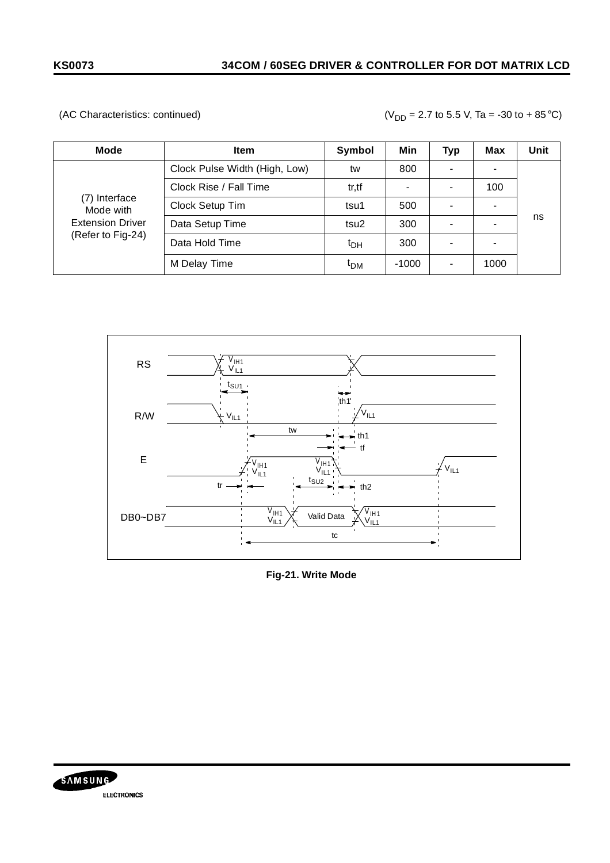#### (AC Characteristics: continued)  $(V_{DD} = 2.7 \text{ to } 5.5 \text{ V}, T_a = -30 \text{ to } +85^{\circ}\text{C})$

| <b>Mode</b>                                                                | <b>Item</b>                   | Symbol           | Min     | <b>Typ</b>               | <b>Max</b> | Unit |
|----------------------------------------------------------------------------|-------------------------------|------------------|---------|--------------------------|------------|------|
| (7) Interface<br>Mode with<br><b>Extension Driver</b><br>(Refer to Fig-24) | Clock Pulse Width (High, Low) | tw               | 800     | $\overline{\phantom{0}}$ |            |      |
|                                                                            | Clock Rise / Fall Time        | tr,tf            |         |                          | 100        |      |
|                                                                            | Clock Setup Tim               | tsu1             | 500     |                          |            |      |
|                                                                            | Data Setup Time               | tsu <sub>2</sub> | 300     |                          |            | ns   |
|                                                                            | Data Hold Time                |                  | 300     |                          |            |      |
|                                                                            | M Delay Time                  | $t_{DM}$         | $-1000$ |                          | 1000       |      |



**Fig-21. Write Mode**

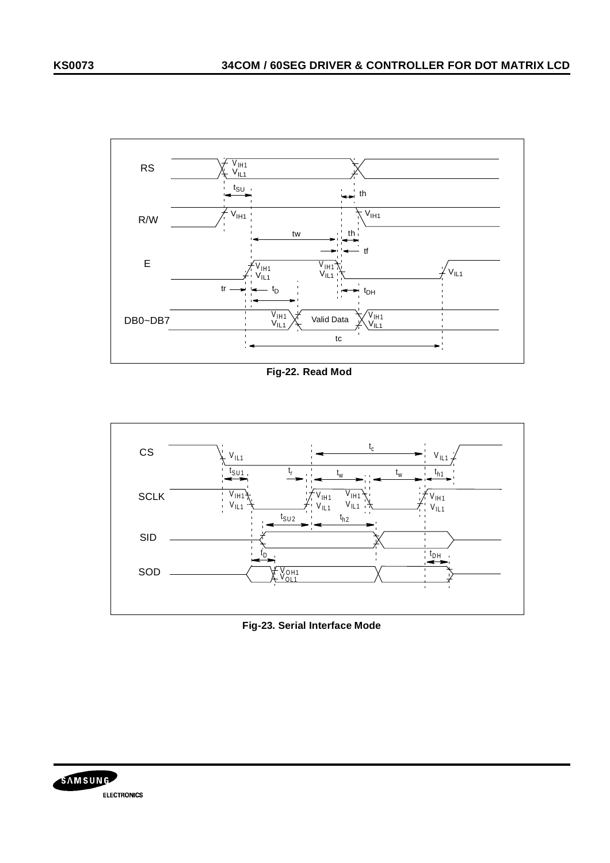

**Fig-22. Read Mod**



**Fig-23. Serial Interface Mode**

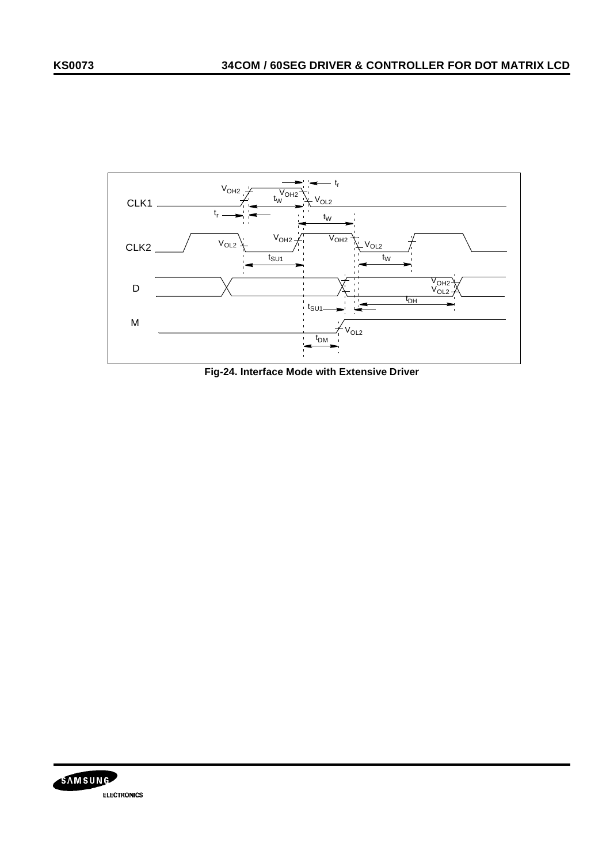

**Fig-24. Interface Mode with Extensive Driver**